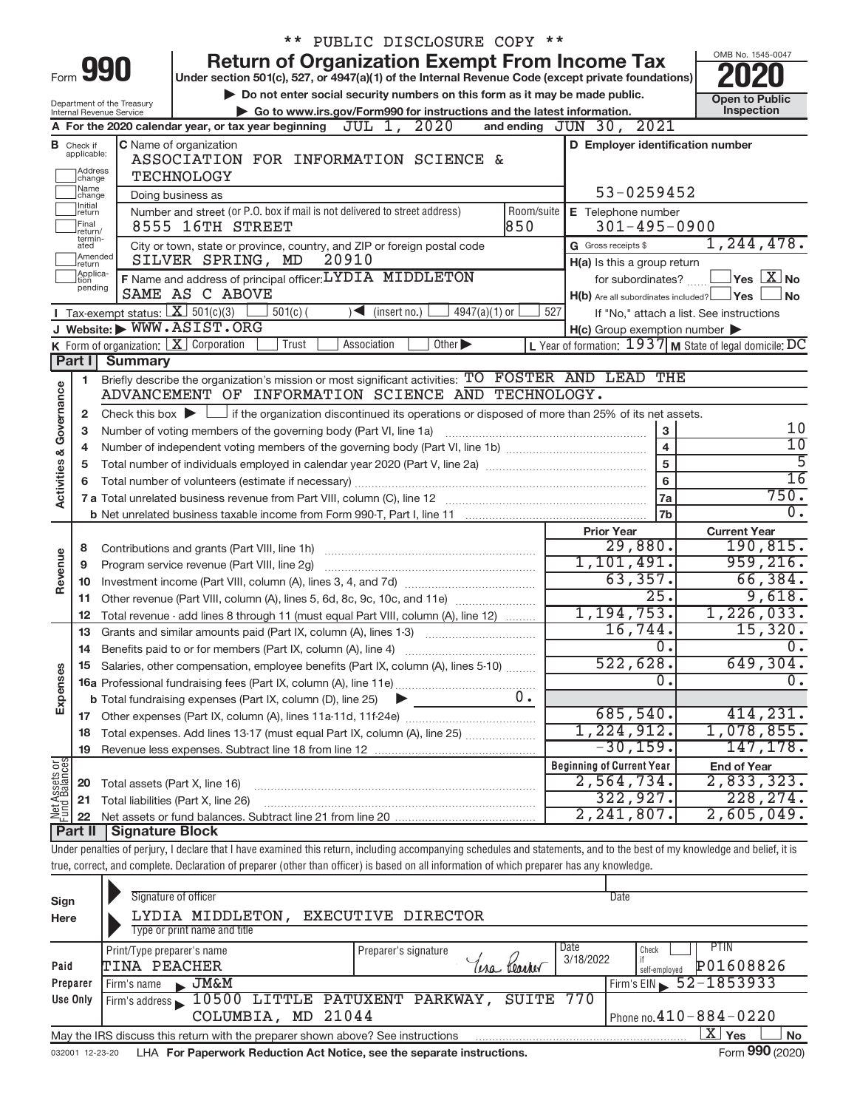|                                |                                                                                                                                                  |                                                        | ** PUBLIC DISCLOSURE COPY **                                                                                                                                               |                                                           |                                          |  |  |  |
|--------------------------------|--------------------------------------------------------------------------------------------------------------------------------------------------|--------------------------------------------------------|----------------------------------------------------------------------------------------------------------------------------------------------------------------------------|-----------------------------------------------------------|------------------------------------------|--|--|--|
|                                |                                                                                                                                                  |                                                        | <b>Return of Organization Exempt From Income Tax</b>                                                                                                                       |                                                           | OMB No. 1545-0047                        |  |  |  |
|                                |                                                                                                                                                  | Form 990                                               | Under section 501(c), 527, or 4947(a)(1) of the Internal Revenue Code (except private foundations)                                                                         |                                                           |                                          |  |  |  |
|                                |                                                                                                                                                  |                                                        | Do not enter social security numbers on this form as it may be made public.                                                                                                |                                                           | <b>Open to Public</b>                    |  |  |  |
|                                |                                                                                                                                                  | Department of the Treasury<br>Internal Revenue Service | Go to www.irs.gov/Form990 for instructions and the latest information.                                                                                                     |                                                           | Inspection                               |  |  |  |
|                                |                                                                                                                                                  |                                                        | JUL 1, 2020<br>A For the 2020 calendar year, or tax year beginning                                                                                                         | 2021<br>and ending $JUN$ 30,                              |                                          |  |  |  |
|                                | <b>B</b> Check if applicable:                                                                                                                    |                                                        | C Name of organization                                                                                                                                                     | D Employer identification number                          |                                          |  |  |  |
|                                | Address                                                                                                                                          |                                                        | ASSOCIATION FOR INFORMATION SCIENCE &                                                                                                                                      |                                                           |                                          |  |  |  |
|                                | change                                                                                                                                           |                                                        | <b>TECHNOLOGY</b>                                                                                                                                                          |                                                           |                                          |  |  |  |
|                                | ]Name<br>]change<br>Initial                                                                                                                      |                                                        | Doing business as                                                                                                                                                          | 53-0259452                                                |                                          |  |  |  |
|                                | return<br>Final                                                                                                                                  |                                                        | Number and street (or P.O. box if mail is not delivered to street address)<br>Room/suite                                                                                   | E Telephone number                                        |                                          |  |  |  |
|                                | return/<br>termin-                                                                                                                               |                                                        | 850<br>8555 16TH STREET                                                                                                                                                    | $301 - 495 - 0900$                                        | 1, 244, 478.                             |  |  |  |
|                                | G Gross receipts \$<br>City or town, state or province, country, and ZIP or foreign postal code<br>ated<br>Amended<br>SILVER SPRING, MD<br>20910 |                                                        |                                                                                                                                                                            |                                                           |                                          |  |  |  |
|                                | Ireturn<br>Applica-                                                                                                                              |                                                        | F Name and address of principal officer: LYDIA MIDDLETON                                                                                                                   | H(a) Is this a group return                               |                                          |  |  |  |
|                                | tion<br>pending                                                                                                                                  |                                                        | for subordinates?                                                                                                                                                          | $\sqrt{}$ Yes $\sqrt{}$ $\sqrt{}$ $\sqrt{}$ No            |                                          |  |  |  |
|                                |                                                                                                                                                  | Tax-exempt status: $X \over 301(c)(3)$                 | SAME AS C ABOVE<br>$501(c)$ (<br>$4947(a)(1)$ or<br>$\sum$ (insert no.)                                                                                                    | $H(b)$ Are all subordinates included? $\Box$ Yes<br>527   | No                                       |  |  |  |
|                                |                                                                                                                                                  |                                                        | J Website: WWW.ASIST.ORG                                                                                                                                                   | $H(c)$ Group exemption number $\blacktriangleright$       | If "No," attach a list. See instructions |  |  |  |
|                                |                                                                                                                                                  |                                                        | <b>K</b> Form of organization: $\boxed{\mathbf{X}}$ Corporation<br>Other<br>Trust<br>Association                                                                           | L Year of formation: $1937$ M State of legal domicile: DC |                                          |  |  |  |
|                                | Part I                                                                                                                                           | <b>Summary</b>                                         |                                                                                                                                                                            |                                                           |                                          |  |  |  |
|                                | 1                                                                                                                                                |                                                        | Briefly describe the organization's mission or most significant activities: TO FOSTER AND LEAD THE                                                                         |                                                           |                                          |  |  |  |
| Governance                     |                                                                                                                                                  |                                                        | ADVANCEMENT OF INFORMATION SCIENCE AND TECHNOLOGY.                                                                                                                         |                                                           |                                          |  |  |  |
|                                | 2                                                                                                                                                |                                                        | Check this box $\blacktriangleright \Box$ if the organization discontinued its operations or disposed of more than 25% of its net assets.                                  |                                                           |                                          |  |  |  |
|                                | з                                                                                                                                                |                                                        | Number of voting members of the governing body (Part VI, line 1a)                                                                                                          | $\mathbf{3}$                                              | 10                                       |  |  |  |
|                                | 4                                                                                                                                                | $\overline{10}$                                        |                                                                                                                                                                            |                                                           |                                          |  |  |  |
|                                | 5                                                                                                                                                |                                                        |                                                                                                                                                                            | 5                                                         | $\overline{5}$                           |  |  |  |
|                                | 6                                                                                                                                                |                                                        |                                                                                                                                                                            | $\bf 6$                                                   | $\overline{16}$                          |  |  |  |
| Activities &                   |                                                                                                                                                  |                                                        |                                                                                                                                                                            | 7a                                                        | 750.                                     |  |  |  |
|                                |                                                                                                                                                  |                                                        |                                                                                                                                                                            | 7b                                                        | $\overline{0}$ .                         |  |  |  |
|                                |                                                                                                                                                  |                                                        |                                                                                                                                                                            | <b>Prior Year</b>                                         | <b>Current Year</b>                      |  |  |  |
|                                | 8                                                                                                                                                |                                                        |                                                                                                                                                                            | 29,880.                                                   | 190, 815.                                |  |  |  |
| Revenue                        | 9                                                                                                                                                |                                                        | Program service revenue (Part VIII, line 2g)                                                                                                                               | 1,101,491.                                                | 959,216.                                 |  |  |  |
|                                | 10                                                                                                                                               |                                                        |                                                                                                                                                                            | 63, 357.                                                  | 66, 384.                                 |  |  |  |
|                                | 11                                                                                                                                               |                                                        | Other revenue (Part VIII, column (A), lines 5, 6d, 8c, 9c, 10c, and 11e)                                                                                                   | 25.                                                       | 9,618.                                   |  |  |  |
|                                | 12                                                                                                                                               |                                                        | Total revenue - add lines 8 through 11 (must equal Part VIII, column (A), line 12)                                                                                         | 1, 194, 753.                                              | 1,226,033.                               |  |  |  |
|                                | 13                                                                                                                                               |                                                        | Grants and similar amounts paid (Part IX, column (A), lines 1-3)                                                                                                           | 16,744.                                                   | 15,320.                                  |  |  |  |
|                                |                                                                                                                                                  |                                                        |                                                                                                                                                                            | 0.                                                        | 0.                                       |  |  |  |
|                                | 15                                                                                                                                               |                                                        | Salaries, other compensation, employee benefits (Part IX, column (A), lines 5-10)                                                                                          | 522,628.                                                  | 649,304.                                 |  |  |  |
| Expenses                       |                                                                                                                                                  |                                                        |                                                                                                                                                                            | $\overline{0}$ .                                          | $\overline{0}$ .                         |  |  |  |
|                                |                                                                                                                                                  |                                                        | $0 \cdot$<br><b>b</b> Total fundraising expenses (Part IX, column (D), line 25)                                                                                            |                                                           |                                          |  |  |  |
|                                |                                                                                                                                                  |                                                        |                                                                                                                                                                            | 685,540.                                                  | 414, 231.                                |  |  |  |
|                                | 18                                                                                                                                               |                                                        | Total expenses. Add lines 13-17 (must equal Part IX, column (A), line 25)                                                                                                  | 1,224,912.                                                | 1,078,855.                               |  |  |  |
|                                | 19                                                                                                                                               |                                                        |                                                                                                                                                                            | $-30, 159.$                                               | 147, 178.                                |  |  |  |
| Net Assets or<br>Fund Balances |                                                                                                                                                  |                                                        |                                                                                                                                                                            | <b>Beginning of Current Year</b>                          | <b>End of Year</b><br>2,833,323.         |  |  |  |
|                                | 20                                                                                                                                               | Total assets (Part X, line 16)                         |                                                                                                                                                                            | 2,564,734.<br>322,927.                                    | 228, 274.                                |  |  |  |
|                                | 21                                                                                                                                               |                                                        | Total liabilities (Part X, line 26)                                                                                                                                        | 2, 241, 807.                                              | 2,605,049.                               |  |  |  |
|                                | 22<br>Part II                                                                                                                                    | <b>Signature Block</b>                                 |                                                                                                                                                                            |                                                           |                                          |  |  |  |
|                                |                                                                                                                                                  |                                                        | Under penalties of perjury, I declare that I have examined this return, including accompanying schedules and statements, and to the best of my knowledge and belief, it is |                                                           |                                          |  |  |  |
|                                |                                                                                                                                                  |                                                        | true, correct, and complete. Declaration of preparer (other than officer) is based on all information of which preparer has any knowledge.                                 |                                                           |                                          |  |  |  |
|                                |                                                                                                                                                  |                                                        |                                                                                                                                                                            |                                                           |                                          |  |  |  |
| Sign                           |                                                                                                                                                  |                                                        | Signature of officer                                                                                                                                                       | <b>Date</b>                                               |                                          |  |  |  |
| Here                           |                                                                                                                                                  |                                                        | LYDIA MIDDLETON, EXECUTIVE DIRECTOR                                                                                                                                        |                                                           |                                          |  |  |  |
|                                |                                                                                                                                                  |                                                        |                                                                                                                                                                            |                                                           |                                          |  |  |  |

| Here     | LYDIA MIDDLETON, EXECUTIVE DIRECTOR                                             |                              |                              |
|----------|---------------------------------------------------------------------------------|------------------------------|------------------------------|
|          | Type or print name and title                                                    |                              |                              |
|          | Print/Type preparer's name                                                      | Date<br>Preparer's signature | PTIN<br>Check                |
| Paid     | TINA PEACHER                                                                    | 3/18/2022<br>teacher<br>(era | P01608826<br>self-employed   |
| Preparer | <b>JM&amp;M</b><br>r Firm's name<br><b>Barnet</b>                               |                              | $Firm's EIN = 52 - 1853933$  |
| Use Only | Firm's address 10500 LITTLE PATUXENT PARKWAY, SUITE 770                         |                              |                              |
|          | COLUMBIA, MD 21044                                                              |                              | Phone no. $410 - 884 - 0220$ |
|          | May the IRS discuss this return with the preparer shown above? See instructions |                              | х<br><b>No</b><br>Yes        |
|          |                                                                                 |                              |                              |

032001 12-23-20 **For Paperwork Reduction Act Notice, see the separate instructions.**  LHA Form (2020)

Form 990 (2020)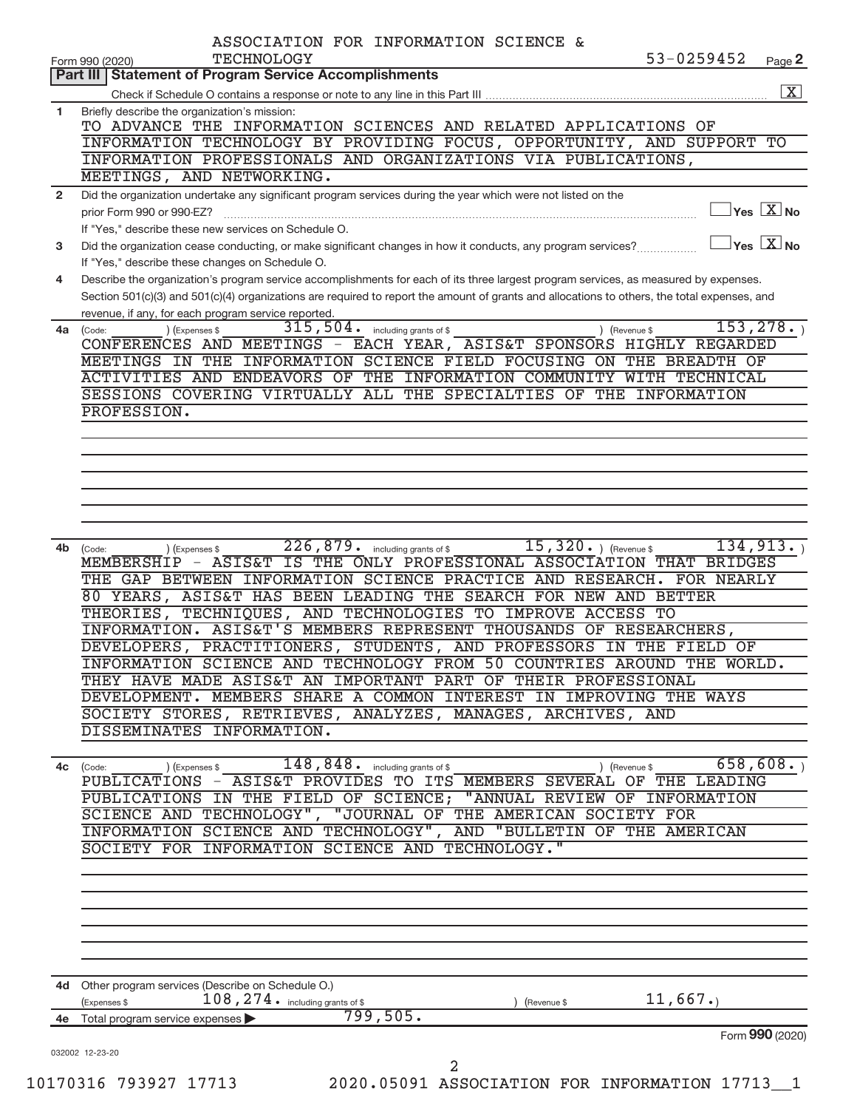| Part III   Statement of Program Service Accomplishments<br>Briefly describe the organization's mission:<br>TO ADVANCE THE INFORMATION SCIENCES AND RELATED APPLICATIONS OF<br>INFORMATION TECHNOLOGY BY PROVIDING FOCUS, OPPORTUNITY, AND SUPPORT TO<br>INFORMATION PROFESSIONALS AND ORGANIZATIONS VIA PUBLICATIONS, |                                         | Page 2             |
|-----------------------------------------------------------------------------------------------------------------------------------------------------------------------------------------------------------------------------------------------------------------------------------------------------------------------|-----------------------------------------|--------------------|
|                                                                                                                                                                                                                                                                                                                       |                                         |                    |
|                                                                                                                                                                                                                                                                                                                       |                                         | $\boxed{\text{X}}$ |
|                                                                                                                                                                                                                                                                                                                       |                                         |                    |
|                                                                                                                                                                                                                                                                                                                       |                                         |                    |
|                                                                                                                                                                                                                                                                                                                       |                                         |                    |
| MEETINGS, AND NETWORKING.                                                                                                                                                                                                                                                                                             |                                         |                    |
|                                                                                                                                                                                                                                                                                                                       |                                         |                    |
| Did the organization undertake any significant program services during the year which were not listed on the                                                                                                                                                                                                          | $\exists$ Yes $\boxed{\text{X}}$ No     |                    |
|                                                                                                                                                                                                                                                                                                                       |                                         |                    |
| If "Yes," describe these new services on Schedule O.                                                                                                                                                                                                                                                                  | $\Box$ Yes $[\overline{\mathrm{X}}]$ No |                    |
| Did the organization cease conducting, or make significant changes in how it conducts, any program services?                                                                                                                                                                                                          |                                         |                    |
| If "Yes," describe these changes on Schedule O.<br>Describe the organization's program service accomplishments for each of its three largest program services, as measured by expenses.                                                                                                                               |                                         |                    |
| Section 501(c)(3) and 501(c)(4) organizations are required to report the amount of grants and allocations to others, the total expenses, and                                                                                                                                                                          |                                         |                    |
| revenue, if any, for each program service reported.                                                                                                                                                                                                                                                                   |                                         |                    |
| $315, 504$ . including grants of \$<br>) (Expenses \$<br>) (Revenue \$                                                                                                                                                                                                                                                | 153, 278.                               |                    |
| CONFERENCES AND MEETINGS - EACH YEAR, ASIS&T SPONSORS HIGHLY REGARDED                                                                                                                                                                                                                                                 |                                         |                    |
| MEETINGS IN THE INFORMATION SCIENCE FIELD FOCUSING ON THE BREADTH OF                                                                                                                                                                                                                                                  |                                         |                    |
| ACTIVITIES AND ENDEAVORS OF THE INFORMATION COMMUNITY WITH TECHNICAL                                                                                                                                                                                                                                                  |                                         |                    |
| SESSIONS COVERING VIRTUALLY ALL THE SPECIALTIES OF THE INFORMATION                                                                                                                                                                                                                                                    |                                         |                    |
| PROFESSION.                                                                                                                                                                                                                                                                                                           |                                         |                    |
|                                                                                                                                                                                                                                                                                                                       |                                         |                    |
|                                                                                                                                                                                                                                                                                                                       |                                         |                    |
|                                                                                                                                                                                                                                                                                                                       |                                         |                    |
|                                                                                                                                                                                                                                                                                                                       |                                         |                    |
|                                                                                                                                                                                                                                                                                                                       |                                         |                    |
|                                                                                                                                                                                                                                                                                                                       |                                         |                    |
|                                                                                                                                                                                                                                                                                                                       |                                         |                    |
| $226,879$ $\cdot$ including grants of \$ 15, 320 $\cdot$ ) (Revenue \$<br>(Expenses \$                                                                                                                                                                                                                                | 134, 913.                               |                    |
| MEMBERSHIP - ASIS&T IS THE ONLY PROFESSIONAL ASSOCIATION THAT BRIDGES                                                                                                                                                                                                                                                 |                                         |                    |
| THE GAP BETWEEN INFORMATION SCIENCE PRACTICE AND RESEARCH. FOR NEARLY                                                                                                                                                                                                                                                 |                                         |                    |
| 80 YEARS, ASIS&T HAS BEEN LEADING THE SEARCH FOR NEW AND BETTER                                                                                                                                                                                                                                                       |                                         |                    |
| THEORIES, TECHNIQUES, AND TECHNOLOGIES TO IMPROVE ACCESS TO                                                                                                                                                                                                                                                           |                                         |                    |
| INFORMATION. ASIS&T'S MEMBERS REPRESENT THOUSANDS OF RESEARCHERS,                                                                                                                                                                                                                                                     |                                         |                    |
| DEVELOPERS, PRACTITIONERS, STUDENTS, AND PROFESSORS IN THE FIELD OF                                                                                                                                                                                                                                                   |                                         |                    |
| INFORMATION SCIENCE AND TECHNOLOGY FROM 50 COUNTRIES AROUND THE WORLD.                                                                                                                                                                                                                                                |                                         |                    |
| THEY HAVE MADE ASIS&T AN IMPORTANT PART OF THEIR PROFESSIONAL                                                                                                                                                                                                                                                         |                                         |                    |
| DEVELOPMENT. MEMBERS SHARE A COMMON INTEREST IN IMPROVING THE WAYS                                                                                                                                                                                                                                                    |                                         |                    |
| SOCIETY STORES, RETRIEVES, ANALYZES, MANAGES, ARCHIVES, AND                                                                                                                                                                                                                                                           |                                         |                    |
| DISSEMINATES INFORMATION.                                                                                                                                                                                                                                                                                             |                                         |                    |
|                                                                                                                                                                                                                                                                                                                       |                                         |                    |
| $148,848.$ including grants of \$<br>(Revenue \$<br>(Expenses \$                                                                                                                                                                                                                                                      | 658,608.                                |                    |
| PUBLICATIONS - ASIS&T PROVIDES TO ITS MEMBERS SEVERAL OF THE LEADING                                                                                                                                                                                                                                                  |                                         |                    |
| PUBLICATIONS IN THE FIELD OF SCIENCE; "ANNUAL REVIEW OF INFORMATION                                                                                                                                                                                                                                                   |                                         |                    |
| SCIENCE AND TECHNOLOGY", "JOURNAL OF THE AMERICAN SOCIETY FOR                                                                                                                                                                                                                                                         |                                         |                    |
| INFORMATION SCIENCE AND TECHNOLOGY", AND "BULLETIN OF THE AMERICAN                                                                                                                                                                                                                                                    |                                         |                    |
| SOCIETY FOR INFORMATION SCIENCE AND TECHNOLOGY."                                                                                                                                                                                                                                                                      |                                         |                    |
|                                                                                                                                                                                                                                                                                                                       |                                         |                    |
|                                                                                                                                                                                                                                                                                                                       |                                         |                    |
|                                                                                                                                                                                                                                                                                                                       |                                         |                    |
|                                                                                                                                                                                                                                                                                                                       |                                         |                    |
|                                                                                                                                                                                                                                                                                                                       |                                         |                    |
|                                                                                                                                                                                                                                                                                                                       |                                         |                    |
|                                                                                                                                                                                                                                                                                                                       |                                         |                    |
|                                                                                                                                                                                                                                                                                                                       |                                         |                    |
| 4d Other program services (Describe on Schedule O.)                                                                                                                                                                                                                                                                   |                                         |                    |
| $108, 274$ . including grants of \$<br>(Expenses \$<br>(Revenue \$                                                                                                                                                                                                                                                    | 11,667.                                 |                    |
| 799,505.<br>Total program service expenses                                                                                                                                                                                                                                                                            | Form 990 (2020)                         |                    |
|                                                                                                                                                                                                                                                                                                                       |                                         |                    |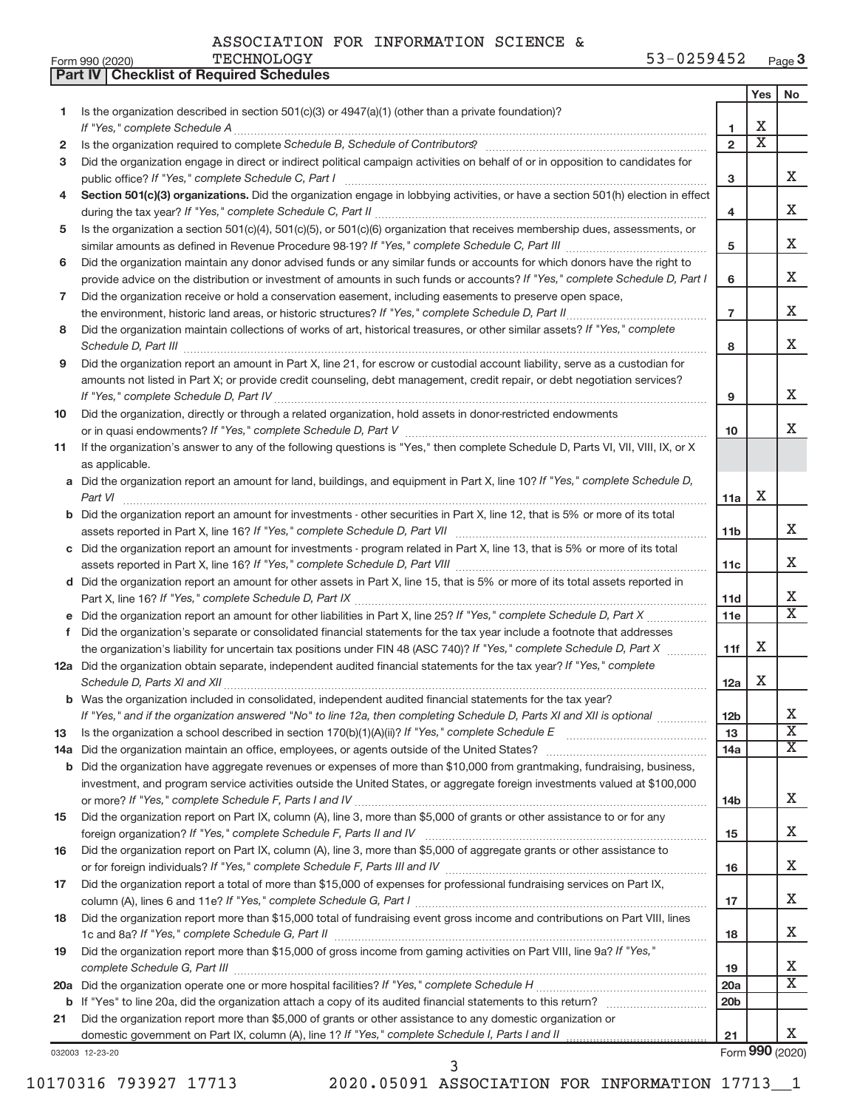| ASSOCIATION FOR INFORMATION SCIENCE & |
|---------------------------------------|
|---------------------------------------|

**Part IV Checklist of Required Schedules**

| Is the organization described in section 501(c)(3) or 4947(a)(1) (other than a private foundation)?<br>1<br>2<br>Did the organization engage in direct or indirect political campaign activities on behalf of or in opposition to candidates for<br>3<br>Section 501(c)(3) organizations. Did the organization engage in lobbying activities, or have a section 501(h) election in effect<br>4<br>Is the organization a section 501(c)(4), 501(c)(5), or 501(c)(6) organization that receives membership dues, assessments, or<br>5<br>Did the organization maintain any donor advised funds or any similar funds or accounts for which donors have the right to<br>6<br>provide advice on the distribution or investment of amounts in such funds or accounts? If "Yes," complete Schedule D, Part I<br>Did the organization receive or hold a conservation easement, including easements to preserve open space,<br>7<br>Did the organization maintain collections of works of art, historical treasures, or other similar assets? If "Yes," complete<br>8<br>Did the organization report an amount in Part X, line 21, for escrow or custodial account liability, serve as a custodian for<br>9<br>amounts not listed in Part X; or provide credit counseling, debt management, credit repair, or debt negotiation services?<br>Did the organization, directly or through a related organization, hold assets in donor-restricted endowments<br>10<br>If the organization's answer to any of the following questions is "Yes," then complete Schedule D, Parts VI, VII, VIII, IX, or X<br>11<br>as applicable.<br>a Did the organization report an amount for land, buildings, and equipment in Part X, line 10? If "Yes," complete Schedule D,<br>Did the organization report an amount for investments - other securities in Part X, line 12, that is 5% or more of its total<br>c Did the organization report an amount for investments - program related in Part X, line 13, that is 5% or more of its total<br>d Did the organization report an amount for other assets in Part X, line 15, that is 5% or more of its total assets reported in<br>е<br>Did the organization's separate or consolidated financial statements for the tax year include a footnote that addresses<br>f.<br>the organization's liability for uncertain tax positions under FIN 48 (ASC 740)? If "Yes," complete Schedule D, Part X<br>12a Did the organization obtain separate, independent audited financial statements for the tax year? If "Yes," complete | 1<br>$\overline{2}$<br>3<br>4<br>5<br>6<br>$\overline{7}$<br>8<br>9<br>10<br>11a<br>11 <sub>b</sub><br>11c<br>11d | х<br>$\overline{\textbf{x}}$<br>х | x<br>х<br>х<br>x<br>x<br>x<br>x<br>x |
|---------------------------------------------------------------------------------------------------------------------------------------------------------------------------------------------------------------------------------------------------------------------------------------------------------------------------------------------------------------------------------------------------------------------------------------------------------------------------------------------------------------------------------------------------------------------------------------------------------------------------------------------------------------------------------------------------------------------------------------------------------------------------------------------------------------------------------------------------------------------------------------------------------------------------------------------------------------------------------------------------------------------------------------------------------------------------------------------------------------------------------------------------------------------------------------------------------------------------------------------------------------------------------------------------------------------------------------------------------------------------------------------------------------------------------------------------------------------------------------------------------------------------------------------------------------------------------------------------------------------------------------------------------------------------------------------------------------------------------------------------------------------------------------------------------------------------------------------------------------------------------------------------------------------------------------------------------------------------------------------------------------------------------------------------------------------------------------------------------------------------------------------------------------------------------------------------------------------------------------------------------------------------------------------------------------------------------------------------------------------------------------------------------------------------------------------------------------------------------------------------------------------------------------------------|-------------------------------------------------------------------------------------------------------------------|-----------------------------------|--------------------------------------|
|                                                                                                                                                                                                                                                                                                                                                                                                                                                                                                                                                                                                                                                                                                                                                                                                                                                                                                                                                                                                                                                                                                                                                                                                                                                                                                                                                                                                                                                                                                                                                                                                                                                                                                                                                                                                                                                                                                                                                                                                                                                                                                                                                                                                                                                                                                                                                                                                                                                                                                                                                   |                                                                                                                   |                                   |                                      |
|                                                                                                                                                                                                                                                                                                                                                                                                                                                                                                                                                                                                                                                                                                                                                                                                                                                                                                                                                                                                                                                                                                                                                                                                                                                                                                                                                                                                                                                                                                                                                                                                                                                                                                                                                                                                                                                                                                                                                                                                                                                                                                                                                                                                                                                                                                                                                                                                                                                                                                                                                   |                                                                                                                   |                                   |                                      |
|                                                                                                                                                                                                                                                                                                                                                                                                                                                                                                                                                                                                                                                                                                                                                                                                                                                                                                                                                                                                                                                                                                                                                                                                                                                                                                                                                                                                                                                                                                                                                                                                                                                                                                                                                                                                                                                                                                                                                                                                                                                                                                                                                                                                                                                                                                                                                                                                                                                                                                                                                   |                                                                                                                   |                                   |                                      |
|                                                                                                                                                                                                                                                                                                                                                                                                                                                                                                                                                                                                                                                                                                                                                                                                                                                                                                                                                                                                                                                                                                                                                                                                                                                                                                                                                                                                                                                                                                                                                                                                                                                                                                                                                                                                                                                                                                                                                                                                                                                                                                                                                                                                                                                                                                                                                                                                                                                                                                                                                   |                                                                                                                   |                                   |                                      |
|                                                                                                                                                                                                                                                                                                                                                                                                                                                                                                                                                                                                                                                                                                                                                                                                                                                                                                                                                                                                                                                                                                                                                                                                                                                                                                                                                                                                                                                                                                                                                                                                                                                                                                                                                                                                                                                                                                                                                                                                                                                                                                                                                                                                                                                                                                                                                                                                                                                                                                                                                   |                                                                                                                   |                                   |                                      |
|                                                                                                                                                                                                                                                                                                                                                                                                                                                                                                                                                                                                                                                                                                                                                                                                                                                                                                                                                                                                                                                                                                                                                                                                                                                                                                                                                                                                                                                                                                                                                                                                                                                                                                                                                                                                                                                                                                                                                                                                                                                                                                                                                                                                                                                                                                                                                                                                                                                                                                                                                   |                                                                                                                   |                                   |                                      |
|                                                                                                                                                                                                                                                                                                                                                                                                                                                                                                                                                                                                                                                                                                                                                                                                                                                                                                                                                                                                                                                                                                                                                                                                                                                                                                                                                                                                                                                                                                                                                                                                                                                                                                                                                                                                                                                                                                                                                                                                                                                                                                                                                                                                                                                                                                                                                                                                                                                                                                                                                   |                                                                                                                   |                                   |                                      |
|                                                                                                                                                                                                                                                                                                                                                                                                                                                                                                                                                                                                                                                                                                                                                                                                                                                                                                                                                                                                                                                                                                                                                                                                                                                                                                                                                                                                                                                                                                                                                                                                                                                                                                                                                                                                                                                                                                                                                                                                                                                                                                                                                                                                                                                                                                                                                                                                                                                                                                                                                   |                                                                                                                   |                                   |                                      |
|                                                                                                                                                                                                                                                                                                                                                                                                                                                                                                                                                                                                                                                                                                                                                                                                                                                                                                                                                                                                                                                                                                                                                                                                                                                                                                                                                                                                                                                                                                                                                                                                                                                                                                                                                                                                                                                                                                                                                                                                                                                                                                                                                                                                                                                                                                                                                                                                                                                                                                                                                   |                                                                                                                   |                                   |                                      |
|                                                                                                                                                                                                                                                                                                                                                                                                                                                                                                                                                                                                                                                                                                                                                                                                                                                                                                                                                                                                                                                                                                                                                                                                                                                                                                                                                                                                                                                                                                                                                                                                                                                                                                                                                                                                                                                                                                                                                                                                                                                                                                                                                                                                                                                                                                                                                                                                                                                                                                                                                   |                                                                                                                   |                                   |                                      |
|                                                                                                                                                                                                                                                                                                                                                                                                                                                                                                                                                                                                                                                                                                                                                                                                                                                                                                                                                                                                                                                                                                                                                                                                                                                                                                                                                                                                                                                                                                                                                                                                                                                                                                                                                                                                                                                                                                                                                                                                                                                                                                                                                                                                                                                                                                                                                                                                                                                                                                                                                   |                                                                                                                   |                                   |                                      |
|                                                                                                                                                                                                                                                                                                                                                                                                                                                                                                                                                                                                                                                                                                                                                                                                                                                                                                                                                                                                                                                                                                                                                                                                                                                                                                                                                                                                                                                                                                                                                                                                                                                                                                                                                                                                                                                                                                                                                                                                                                                                                                                                                                                                                                                                                                                                                                                                                                                                                                                                                   |                                                                                                                   |                                   |                                      |
|                                                                                                                                                                                                                                                                                                                                                                                                                                                                                                                                                                                                                                                                                                                                                                                                                                                                                                                                                                                                                                                                                                                                                                                                                                                                                                                                                                                                                                                                                                                                                                                                                                                                                                                                                                                                                                                                                                                                                                                                                                                                                                                                                                                                                                                                                                                                                                                                                                                                                                                                                   |                                                                                                                   |                                   |                                      |
|                                                                                                                                                                                                                                                                                                                                                                                                                                                                                                                                                                                                                                                                                                                                                                                                                                                                                                                                                                                                                                                                                                                                                                                                                                                                                                                                                                                                                                                                                                                                                                                                                                                                                                                                                                                                                                                                                                                                                                                                                                                                                                                                                                                                                                                                                                                                                                                                                                                                                                                                                   |                                                                                                                   |                                   |                                      |
|                                                                                                                                                                                                                                                                                                                                                                                                                                                                                                                                                                                                                                                                                                                                                                                                                                                                                                                                                                                                                                                                                                                                                                                                                                                                                                                                                                                                                                                                                                                                                                                                                                                                                                                                                                                                                                                                                                                                                                                                                                                                                                                                                                                                                                                                                                                                                                                                                                                                                                                                                   |                                                                                                                   |                                   |                                      |
|                                                                                                                                                                                                                                                                                                                                                                                                                                                                                                                                                                                                                                                                                                                                                                                                                                                                                                                                                                                                                                                                                                                                                                                                                                                                                                                                                                                                                                                                                                                                                                                                                                                                                                                                                                                                                                                                                                                                                                                                                                                                                                                                                                                                                                                                                                                                                                                                                                                                                                                                                   |                                                                                                                   |                                   |                                      |
|                                                                                                                                                                                                                                                                                                                                                                                                                                                                                                                                                                                                                                                                                                                                                                                                                                                                                                                                                                                                                                                                                                                                                                                                                                                                                                                                                                                                                                                                                                                                                                                                                                                                                                                                                                                                                                                                                                                                                                                                                                                                                                                                                                                                                                                                                                                                                                                                                                                                                                                                                   |                                                                                                                   |                                   |                                      |
|                                                                                                                                                                                                                                                                                                                                                                                                                                                                                                                                                                                                                                                                                                                                                                                                                                                                                                                                                                                                                                                                                                                                                                                                                                                                                                                                                                                                                                                                                                                                                                                                                                                                                                                                                                                                                                                                                                                                                                                                                                                                                                                                                                                                                                                                                                                                                                                                                                                                                                                                                   |                                                                                                                   |                                   |                                      |
|                                                                                                                                                                                                                                                                                                                                                                                                                                                                                                                                                                                                                                                                                                                                                                                                                                                                                                                                                                                                                                                                                                                                                                                                                                                                                                                                                                                                                                                                                                                                                                                                                                                                                                                                                                                                                                                                                                                                                                                                                                                                                                                                                                                                                                                                                                                                                                                                                                                                                                                                                   |                                                                                                                   |                                   |                                      |
|                                                                                                                                                                                                                                                                                                                                                                                                                                                                                                                                                                                                                                                                                                                                                                                                                                                                                                                                                                                                                                                                                                                                                                                                                                                                                                                                                                                                                                                                                                                                                                                                                                                                                                                                                                                                                                                                                                                                                                                                                                                                                                                                                                                                                                                                                                                                                                                                                                                                                                                                                   |                                                                                                                   |                                   |                                      |
|                                                                                                                                                                                                                                                                                                                                                                                                                                                                                                                                                                                                                                                                                                                                                                                                                                                                                                                                                                                                                                                                                                                                                                                                                                                                                                                                                                                                                                                                                                                                                                                                                                                                                                                                                                                                                                                                                                                                                                                                                                                                                                                                                                                                                                                                                                                                                                                                                                                                                                                                                   |                                                                                                                   |                                   |                                      |
|                                                                                                                                                                                                                                                                                                                                                                                                                                                                                                                                                                                                                                                                                                                                                                                                                                                                                                                                                                                                                                                                                                                                                                                                                                                                                                                                                                                                                                                                                                                                                                                                                                                                                                                                                                                                                                                                                                                                                                                                                                                                                                                                                                                                                                                                                                                                                                                                                                                                                                                                                   |                                                                                                                   |                                   |                                      |
|                                                                                                                                                                                                                                                                                                                                                                                                                                                                                                                                                                                                                                                                                                                                                                                                                                                                                                                                                                                                                                                                                                                                                                                                                                                                                                                                                                                                                                                                                                                                                                                                                                                                                                                                                                                                                                                                                                                                                                                                                                                                                                                                                                                                                                                                                                                                                                                                                                                                                                                                                   |                                                                                                                   |                                   |                                      |
|                                                                                                                                                                                                                                                                                                                                                                                                                                                                                                                                                                                                                                                                                                                                                                                                                                                                                                                                                                                                                                                                                                                                                                                                                                                                                                                                                                                                                                                                                                                                                                                                                                                                                                                                                                                                                                                                                                                                                                                                                                                                                                                                                                                                                                                                                                                                                                                                                                                                                                                                                   |                                                                                                                   |                                   |                                      |
|                                                                                                                                                                                                                                                                                                                                                                                                                                                                                                                                                                                                                                                                                                                                                                                                                                                                                                                                                                                                                                                                                                                                                                                                                                                                                                                                                                                                                                                                                                                                                                                                                                                                                                                                                                                                                                                                                                                                                                                                                                                                                                                                                                                                                                                                                                                                                                                                                                                                                                                                                   |                                                                                                                   |                                   | x                                    |
|                                                                                                                                                                                                                                                                                                                                                                                                                                                                                                                                                                                                                                                                                                                                                                                                                                                                                                                                                                                                                                                                                                                                                                                                                                                                                                                                                                                                                                                                                                                                                                                                                                                                                                                                                                                                                                                                                                                                                                                                                                                                                                                                                                                                                                                                                                                                                                                                                                                                                                                                                   |                                                                                                                   |                                   |                                      |
|                                                                                                                                                                                                                                                                                                                                                                                                                                                                                                                                                                                                                                                                                                                                                                                                                                                                                                                                                                                                                                                                                                                                                                                                                                                                                                                                                                                                                                                                                                                                                                                                                                                                                                                                                                                                                                                                                                                                                                                                                                                                                                                                                                                                                                                                                                                                                                                                                                                                                                                                                   |                                                                                                                   |                                   | X                                    |
|                                                                                                                                                                                                                                                                                                                                                                                                                                                                                                                                                                                                                                                                                                                                                                                                                                                                                                                                                                                                                                                                                                                                                                                                                                                                                                                                                                                                                                                                                                                                                                                                                                                                                                                                                                                                                                                                                                                                                                                                                                                                                                                                                                                                                                                                                                                                                                                                                                                                                                                                                   |                                                                                                                   |                                   |                                      |
|                                                                                                                                                                                                                                                                                                                                                                                                                                                                                                                                                                                                                                                                                                                                                                                                                                                                                                                                                                                                                                                                                                                                                                                                                                                                                                                                                                                                                                                                                                                                                                                                                                                                                                                                                                                                                                                                                                                                                                                                                                                                                                                                                                                                                                                                                                                                                                                                                                                                                                                                                   |                                                                                                                   |                                   | х<br>X                               |
|                                                                                                                                                                                                                                                                                                                                                                                                                                                                                                                                                                                                                                                                                                                                                                                                                                                                                                                                                                                                                                                                                                                                                                                                                                                                                                                                                                                                                                                                                                                                                                                                                                                                                                                                                                                                                                                                                                                                                                                                                                                                                                                                                                                                                                                                                                                                                                                                                                                                                                                                                   | 11e                                                                                                               |                                   |                                      |
|                                                                                                                                                                                                                                                                                                                                                                                                                                                                                                                                                                                                                                                                                                                                                                                                                                                                                                                                                                                                                                                                                                                                                                                                                                                                                                                                                                                                                                                                                                                                                                                                                                                                                                                                                                                                                                                                                                                                                                                                                                                                                                                                                                                                                                                                                                                                                                                                                                                                                                                                                   |                                                                                                                   | х                                 |                                      |
|                                                                                                                                                                                                                                                                                                                                                                                                                                                                                                                                                                                                                                                                                                                                                                                                                                                                                                                                                                                                                                                                                                                                                                                                                                                                                                                                                                                                                                                                                                                                                                                                                                                                                                                                                                                                                                                                                                                                                                                                                                                                                                                                                                                                                                                                                                                                                                                                                                                                                                                                                   | 11f                                                                                                               |                                   |                                      |
|                                                                                                                                                                                                                                                                                                                                                                                                                                                                                                                                                                                                                                                                                                                                                                                                                                                                                                                                                                                                                                                                                                                                                                                                                                                                                                                                                                                                                                                                                                                                                                                                                                                                                                                                                                                                                                                                                                                                                                                                                                                                                                                                                                                                                                                                                                                                                                                                                                                                                                                                                   | 12a                                                                                                               | X                                 |                                      |
| <b>b</b> Was the organization included in consolidated, independent audited financial statements for the tax year?                                                                                                                                                                                                                                                                                                                                                                                                                                                                                                                                                                                                                                                                                                                                                                                                                                                                                                                                                                                                                                                                                                                                                                                                                                                                                                                                                                                                                                                                                                                                                                                                                                                                                                                                                                                                                                                                                                                                                                                                                                                                                                                                                                                                                                                                                                                                                                                                                                |                                                                                                                   |                                   |                                      |
| If "Yes," and if the organization answered "No" to line 12a, then completing Schedule D, Parts XI and XII is optional                                                                                                                                                                                                                                                                                                                                                                                                                                                                                                                                                                                                                                                                                                                                                                                                                                                                                                                                                                                                                                                                                                                                                                                                                                                                                                                                                                                                                                                                                                                                                                                                                                                                                                                                                                                                                                                                                                                                                                                                                                                                                                                                                                                                                                                                                                                                                                                                                             | 12 <sub>b</sub>                                                                                                   |                                   | Х                                    |
| 13                                                                                                                                                                                                                                                                                                                                                                                                                                                                                                                                                                                                                                                                                                                                                                                                                                                                                                                                                                                                                                                                                                                                                                                                                                                                                                                                                                                                                                                                                                                                                                                                                                                                                                                                                                                                                                                                                                                                                                                                                                                                                                                                                                                                                                                                                                                                                                                                                                                                                                                                                | 13                                                                                                                |                                   | $\overline{\text{X}}$                |
|                                                                                                                                                                                                                                                                                                                                                                                                                                                                                                                                                                                                                                                                                                                                                                                                                                                                                                                                                                                                                                                                                                                                                                                                                                                                                                                                                                                                                                                                                                                                                                                                                                                                                                                                                                                                                                                                                                                                                                                                                                                                                                                                                                                                                                                                                                                                                                                                                                                                                                                                                   | 14a                                                                                                               |                                   | X                                    |
| <b>b</b> Did the organization have aggregate revenues or expenses of more than \$10,000 from grantmaking, fundraising, business,                                                                                                                                                                                                                                                                                                                                                                                                                                                                                                                                                                                                                                                                                                                                                                                                                                                                                                                                                                                                                                                                                                                                                                                                                                                                                                                                                                                                                                                                                                                                                                                                                                                                                                                                                                                                                                                                                                                                                                                                                                                                                                                                                                                                                                                                                                                                                                                                                  |                                                                                                                   |                                   |                                      |
| investment, and program service activities outside the United States, or aggregate foreign investments valued at \$100,000                                                                                                                                                                                                                                                                                                                                                                                                                                                                                                                                                                                                                                                                                                                                                                                                                                                                                                                                                                                                                                                                                                                                                                                                                                                                                                                                                                                                                                                                                                                                                                                                                                                                                                                                                                                                                                                                                                                                                                                                                                                                                                                                                                                                                                                                                                                                                                                                                        |                                                                                                                   |                                   |                                      |
|                                                                                                                                                                                                                                                                                                                                                                                                                                                                                                                                                                                                                                                                                                                                                                                                                                                                                                                                                                                                                                                                                                                                                                                                                                                                                                                                                                                                                                                                                                                                                                                                                                                                                                                                                                                                                                                                                                                                                                                                                                                                                                                                                                                                                                                                                                                                                                                                                                                                                                                                                   | 14 <sub>b</sub>                                                                                                   |                                   | х                                    |
| Did the organization report on Part IX, column (A), line 3, more than \$5,000 of grants or other assistance to or for any<br>15                                                                                                                                                                                                                                                                                                                                                                                                                                                                                                                                                                                                                                                                                                                                                                                                                                                                                                                                                                                                                                                                                                                                                                                                                                                                                                                                                                                                                                                                                                                                                                                                                                                                                                                                                                                                                                                                                                                                                                                                                                                                                                                                                                                                                                                                                                                                                                                                                   |                                                                                                                   |                                   |                                      |
|                                                                                                                                                                                                                                                                                                                                                                                                                                                                                                                                                                                                                                                                                                                                                                                                                                                                                                                                                                                                                                                                                                                                                                                                                                                                                                                                                                                                                                                                                                                                                                                                                                                                                                                                                                                                                                                                                                                                                                                                                                                                                                                                                                                                                                                                                                                                                                                                                                                                                                                                                   | 15                                                                                                                |                                   | x                                    |
| Did the organization report on Part IX, column (A), line 3, more than \$5,000 of aggregate grants or other assistance to<br>16                                                                                                                                                                                                                                                                                                                                                                                                                                                                                                                                                                                                                                                                                                                                                                                                                                                                                                                                                                                                                                                                                                                                                                                                                                                                                                                                                                                                                                                                                                                                                                                                                                                                                                                                                                                                                                                                                                                                                                                                                                                                                                                                                                                                                                                                                                                                                                                                                    |                                                                                                                   |                                   |                                      |
|                                                                                                                                                                                                                                                                                                                                                                                                                                                                                                                                                                                                                                                                                                                                                                                                                                                                                                                                                                                                                                                                                                                                                                                                                                                                                                                                                                                                                                                                                                                                                                                                                                                                                                                                                                                                                                                                                                                                                                                                                                                                                                                                                                                                                                                                                                                                                                                                                                                                                                                                                   | 16                                                                                                                |                                   | x                                    |
| Did the organization report a total of more than \$15,000 of expenses for professional fundraising services on Part IX,<br>17                                                                                                                                                                                                                                                                                                                                                                                                                                                                                                                                                                                                                                                                                                                                                                                                                                                                                                                                                                                                                                                                                                                                                                                                                                                                                                                                                                                                                                                                                                                                                                                                                                                                                                                                                                                                                                                                                                                                                                                                                                                                                                                                                                                                                                                                                                                                                                                                                     |                                                                                                                   |                                   |                                      |
|                                                                                                                                                                                                                                                                                                                                                                                                                                                                                                                                                                                                                                                                                                                                                                                                                                                                                                                                                                                                                                                                                                                                                                                                                                                                                                                                                                                                                                                                                                                                                                                                                                                                                                                                                                                                                                                                                                                                                                                                                                                                                                                                                                                                                                                                                                                                                                                                                                                                                                                                                   | 17                                                                                                                |                                   | x                                    |
| Did the organization report more than \$15,000 total of fundraising event gross income and contributions on Part VIII, lines<br>18                                                                                                                                                                                                                                                                                                                                                                                                                                                                                                                                                                                                                                                                                                                                                                                                                                                                                                                                                                                                                                                                                                                                                                                                                                                                                                                                                                                                                                                                                                                                                                                                                                                                                                                                                                                                                                                                                                                                                                                                                                                                                                                                                                                                                                                                                                                                                                                                                |                                                                                                                   |                                   |                                      |
|                                                                                                                                                                                                                                                                                                                                                                                                                                                                                                                                                                                                                                                                                                                                                                                                                                                                                                                                                                                                                                                                                                                                                                                                                                                                                                                                                                                                                                                                                                                                                                                                                                                                                                                                                                                                                                                                                                                                                                                                                                                                                                                                                                                                                                                                                                                                                                                                                                                                                                                                                   | 18                                                                                                                |                                   | x                                    |
| Did the organization report more than \$15,000 of gross income from gaming activities on Part VIII, line 9a? If "Yes,"<br>19                                                                                                                                                                                                                                                                                                                                                                                                                                                                                                                                                                                                                                                                                                                                                                                                                                                                                                                                                                                                                                                                                                                                                                                                                                                                                                                                                                                                                                                                                                                                                                                                                                                                                                                                                                                                                                                                                                                                                                                                                                                                                                                                                                                                                                                                                                                                                                                                                      |                                                                                                                   |                                   | х                                    |
|                                                                                                                                                                                                                                                                                                                                                                                                                                                                                                                                                                                                                                                                                                                                                                                                                                                                                                                                                                                                                                                                                                                                                                                                                                                                                                                                                                                                                                                                                                                                                                                                                                                                                                                                                                                                                                                                                                                                                                                                                                                                                                                                                                                                                                                                                                                                                                                                                                                                                                                                                   |                                                                                                                   |                                   |                                      |
| 20a                                                                                                                                                                                                                                                                                                                                                                                                                                                                                                                                                                                                                                                                                                                                                                                                                                                                                                                                                                                                                                                                                                                                                                                                                                                                                                                                                                                                                                                                                                                                                                                                                                                                                                                                                                                                                                                                                                                                                                                                                                                                                                                                                                                                                                                                                                                                                                                                                                                                                                                                               | 19                                                                                                                |                                   |                                      |
|                                                                                                                                                                                                                                                                                                                                                                                                                                                                                                                                                                                                                                                                                                                                                                                                                                                                                                                                                                                                                                                                                                                                                                                                                                                                                                                                                                                                                                                                                                                                                                                                                                                                                                                                                                                                                                                                                                                                                                                                                                                                                                                                                                                                                                                                                                                                                                                                                                                                                                                                                   | 20a                                                                                                               |                                   | X                                    |
| b                                                                                                                                                                                                                                                                                                                                                                                                                                                                                                                                                                                                                                                                                                                                                                                                                                                                                                                                                                                                                                                                                                                                                                                                                                                                                                                                                                                                                                                                                                                                                                                                                                                                                                                                                                                                                                                                                                                                                                                                                                                                                                                                                                                                                                                                                                                                                                                                                                                                                                                                                 | 20 <sub>b</sub>                                                                                                   |                                   |                                      |
| Did the organization report more than \$5,000 of grants or other assistance to any domestic organization or<br>21<br>domestic government on Part IX, column (A), line 1? If "Yes," complete Schedule I, Parts I and II                                                                                                                                                                                                                                                                                                                                                                                                                                                                                                                                                                                                                                                                                                                                                                                                                                                                                                                                                                                                                                                                                                                                                                                                                                                                                                                                                                                                                                                                                                                                                                                                                                                                                                                                                                                                                                                                                                                                                                                                                                                                                                                                                                                                                                                                                                                            | 21                                                                                                                |                                   | x                                    |

10170316 793927 17713 2020.05091 ASSOCIATION FOR INFORMATION 17713\_\_1

3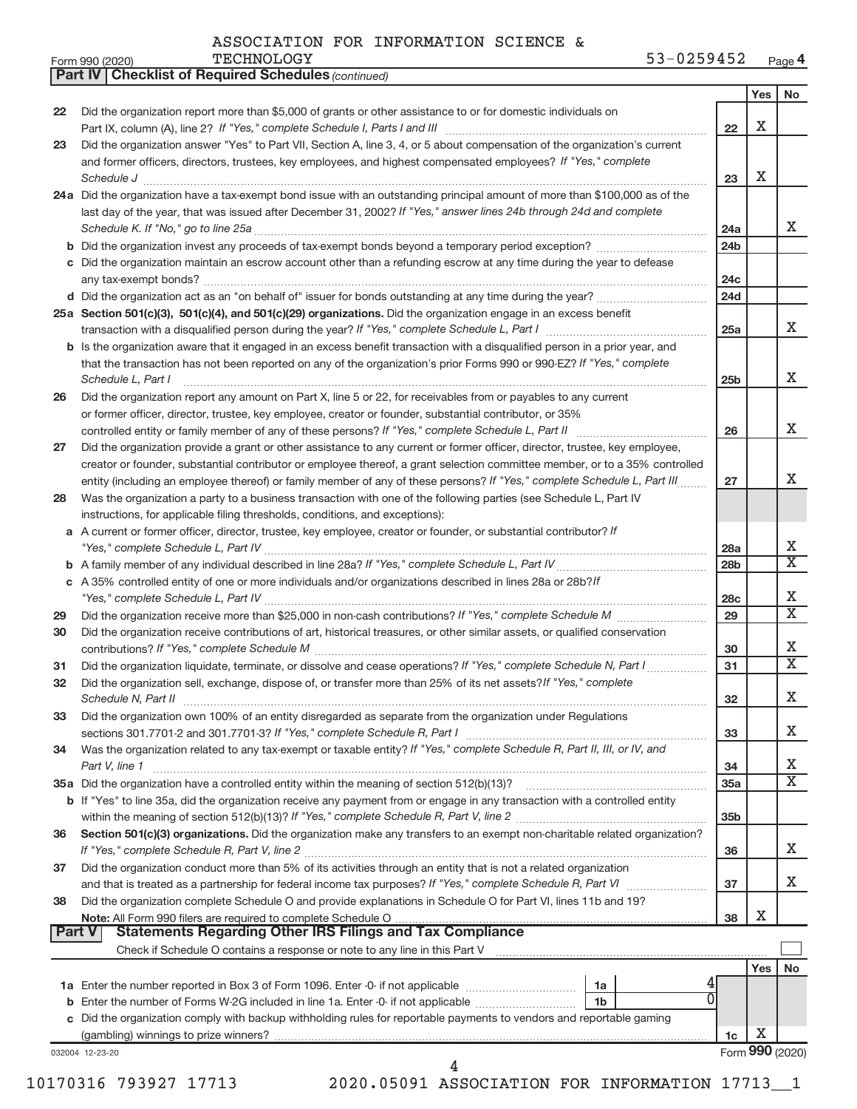|  |  | ASSOCIATION FOR INFORMATION SCIENCE & |  |  |
|--|--|---------------------------------------|--|--|
|--|--|---------------------------------------|--|--|

*(continued)*

**Part IV Checklist of Required Schedules**

|               |                                                                                                                                     |                 | Yes             | No                           |
|---------------|-------------------------------------------------------------------------------------------------------------------------------------|-----------------|-----------------|------------------------------|
| 22            | Did the organization report more than \$5,000 of grants or other assistance to or for domestic individuals on                       |                 |                 |                              |
|               |                                                                                                                                     | 22              | x               |                              |
| 23            | Did the organization answer "Yes" to Part VII, Section A, line 3, 4, or 5 about compensation of the organization's current          |                 |                 |                              |
|               | and former officers, directors, trustees, key employees, and highest compensated employees? If "Yes," complete                      |                 |                 |                              |
|               |                                                                                                                                     | 23              | х               |                              |
|               | 24a Did the organization have a tax-exempt bond issue with an outstanding principal amount of more than \$100,000 as of the         |                 |                 |                              |
|               | last day of the year, that was issued after December 31, 2002? If "Yes," answer lines 24b through 24d and complete                  |                 |                 |                              |
|               |                                                                                                                                     | 24a             |                 | X                            |
|               |                                                                                                                                     | 24 <sub>b</sub> |                 |                              |
|               | c Did the organization maintain an escrow account other than a refunding escrow at any time during the year to defease              |                 |                 |                              |
|               |                                                                                                                                     | 24c             |                 |                              |
|               |                                                                                                                                     | 24d             |                 |                              |
|               | 25a Section 501(c)(3), 501(c)(4), and 501(c)(29) organizations. Did the organization engage in an excess benefit                    |                 |                 |                              |
|               |                                                                                                                                     | 25a             |                 | X                            |
|               | <b>b</b> Is the organization aware that it engaged in an excess benefit transaction with a disqualified person in a prior year, and |                 |                 |                              |
|               | that the transaction has not been reported on any of the organization's prior Forms 990 or 990-EZ? If "Yes," complete               |                 |                 |                              |
|               | Schedule L, Part I                                                                                                                  | 25 <sub>b</sub> |                 | x                            |
| 26            | Did the organization report any amount on Part X, line 5 or 22, for receivables from or payables to any current                     |                 |                 |                              |
|               | or former officer, director, trustee, key employee, creator or founder, substantial contributor, or 35%                             |                 |                 |                              |
|               | controlled entity or family member of any of these persons? If "Yes," complete Schedule L, Part II                                  | 26              |                 | x                            |
| 27            | Did the organization provide a grant or other assistance to any current or former officer, director, trustee, key employee,         |                 |                 |                              |
|               | creator or founder, substantial contributor or employee thereof, a grant selection committee member, or to a 35% controlled         |                 |                 |                              |
|               | entity (including an employee thereof) or family member of any of these persons? If "Yes," complete Schedule L, Part III.           | 27              |                 | x                            |
| 28            | Was the organization a party to a business transaction with one of the following parties (see Schedule L, Part IV                   |                 |                 |                              |
|               | instructions, for applicable filing thresholds, conditions, and exceptions):                                                        |                 |                 |                              |
|               | a A current or former officer, director, trustee, key employee, creator or founder, or substantial contributor? If                  |                 |                 |                              |
|               |                                                                                                                                     | <b>28a</b>      |                 | х                            |
|               |                                                                                                                                     | 28 <sub>b</sub> |                 | X                            |
| c             | A 35% controlled entity of one or more individuals and/or organizations described in lines 28a or 28b?If                            |                 |                 |                              |
|               |                                                                                                                                     | 28 <sub>c</sub> |                 | Х<br>$\overline{\mathbf{x}}$ |
| 29            |                                                                                                                                     | 29              |                 |                              |
| 30            | Did the organization receive contributions of art, historical treasures, or other similar assets, or qualified conservation         |                 |                 | Х                            |
|               |                                                                                                                                     | 30              |                 | X                            |
| 31            | Did the organization liquidate, terminate, or dissolve and cease operations? If "Yes," complete Schedule N, Part I                  | 31              |                 |                              |
| 32            | Did the organization sell, exchange, dispose of, or transfer more than 25% of its net assets? If "Yes," complete                    |                 |                 | x                            |
|               | Did the organization own 100% of an entity disregarded as separate from the organization under Regulations                          | 32              |                 |                              |
| 33            | sections 301.7701-2 and 301.7701-3? If "Yes," complete Schedule R, Part I                                                           | 33              |                 | x                            |
| 34            | Was the organization related to any tax-exempt or taxable entity? If "Yes," complete Schedule R, Part II, III, or IV, and           |                 |                 |                              |
|               | Part V, line 1                                                                                                                      | 34              |                 | х                            |
|               |                                                                                                                                     | 35a             |                 | $\overline{\text{X}}$        |
|               | b If "Yes" to line 35a, did the organization receive any payment from or engage in any transaction with a controlled entity         |                 |                 |                              |
|               |                                                                                                                                     | 35 <sub>b</sub> |                 |                              |
| 36            | Section 501(c)(3) organizations. Did the organization make any transfers to an exempt non-charitable related organization?          |                 |                 |                              |
|               | If "Yes," complete Schedule R, Part V, line 2                                                                                       | 36              |                 | X.                           |
| 37            | Did the organization conduct more than 5% of its activities through an entity that is not a related organization                    |                 |                 |                              |
|               |                                                                                                                                     | 37              |                 | X.                           |
| 38            | Did the organization complete Schedule O and provide explanations in Schedule O for Part VI, lines 11b and 19?                      |                 |                 |                              |
|               |                                                                                                                                     | 38              | х               |                              |
| <b>Part V</b> | <b>Statements Regarding Other IRS Filings and Tax Compliance</b>                                                                    |                 |                 |                              |
|               |                                                                                                                                     |                 |                 |                              |
|               |                                                                                                                                     |                 | Yes             | No                           |
|               | 1a                                                                                                                                  |                 |                 |                              |
| b             | 0<br>Enter the number of Forms W-2G included in line 1a. Enter -0- if not applicable<br>1b                                          |                 |                 |                              |
| c             | Did the organization comply with backup withholding rules for reportable payments to vendors and reportable gaming                  |                 |                 |                              |
|               |                                                                                                                                     | 1c              | х               |                              |
|               | 032004 12-23-20<br>4                                                                                                                |                 | Form 990 (2020) |                              |
|               |                                                                                                                                     |                 |                 |                              |

10170316 793927 17713 2020.05091 ASSOCIATION FOR INFORMATION 17713\_\_1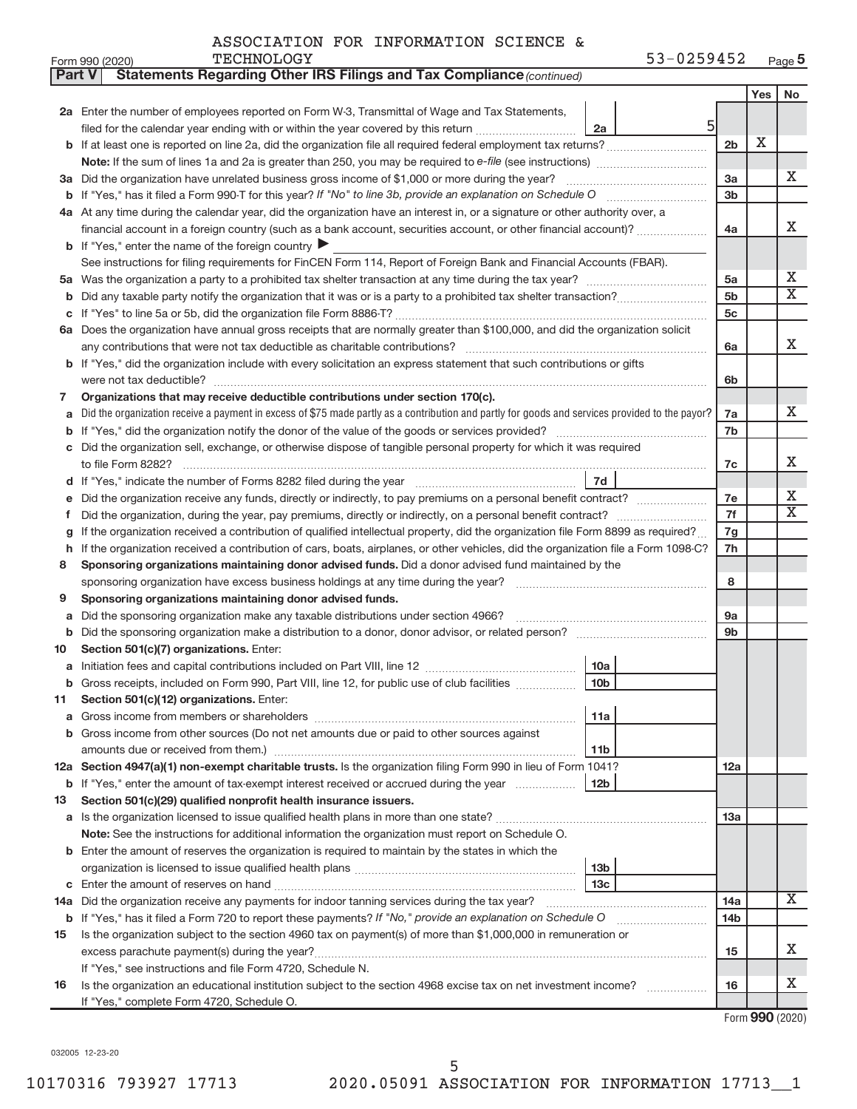| Part V | Statements Regarding Other IRS Filings and Tax Compliance (continued)                                                                                             |                 |     |                              |  |  |
|--------|-------------------------------------------------------------------------------------------------------------------------------------------------------------------|-----------------|-----|------------------------------|--|--|
|        |                                                                                                                                                                   |                 | Yes | No                           |  |  |
|        | 2a Enter the number of employees reported on Form W-3, Transmittal of Wage and Tax Statements,                                                                    |                 |     |                              |  |  |
|        | 5<br>filed for the calendar year ending with or within the year covered by this return<br>2a                                                                      |                 |     |                              |  |  |
| b      |                                                                                                                                                                   | 2 <sub>b</sub>  | X   |                              |  |  |
|        |                                                                                                                                                                   |                 |     |                              |  |  |
|        | 3a Did the organization have unrelated business gross income of \$1,000 or more during the year?                                                                  | За              |     | х                            |  |  |
| b      |                                                                                                                                                                   | 3b              |     |                              |  |  |
|        | 4a At any time during the calendar year, did the organization have an interest in, or a signature or other authority over, a                                      |                 |     |                              |  |  |
|        | financial account in a foreign country (such as a bank account, securities account, or other financial account)?                                                  | 4a              |     | х                            |  |  |
|        | <b>b</b> If "Yes," enter the name of the foreign country                                                                                                          |                 |     |                              |  |  |
|        | See instructions for filing requirements for FinCEN Form 114, Report of Foreign Bank and Financial Accounts (FBAR).                                               |                 |     |                              |  |  |
| 5a     |                                                                                                                                                                   | 5a              |     | Х                            |  |  |
| b      |                                                                                                                                                                   | 5 <sub>b</sub>  |     | $\overline{\mathbf{X}}$      |  |  |
| с      |                                                                                                                                                                   | 5c              |     |                              |  |  |
|        | 6a Does the organization have annual gross receipts that are normally greater than \$100,000, and did the organization solicit                                    |                 |     |                              |  |  |
|        |                                                                                                                                                                   |                 |     |                              |  |  |
| b      | If "Yes," did the organization include with every solicitation an express statement that such contributions or gifts                                              |                 |     |                              |  |  |
|        |                                                                                                                                                                   | 6b              |     |                              |  |  |
| 7      | Organizations that may receive deductible contributions under section 170(c).                                                                                     |                 |     |                              |  |  |
| a      | Did the organization receive a payment in excess of \$75 made partly as a contribution and partly for goods and services provided to the payor?                   | 7a              |     | x                            |  |  |
| b      |                                                                                                                                                                   | 7b              |     |                              |  |  |
| с      | Did the organization sell, exchange, or otherwise dispose of tangible personal property for which it was required                                                 |                 |     |                              |  |  |
|        |                                                                                                                                                                   | 7c              |     | х                            |  |  |
| d      | 7d                                                                                                                                                                |                 |     |                              |  |  |
| е      | Did the organization receive any funds, directly or indirectly, to pay premiums on a personal benefit contract?                                                   | 7e              |     | Х<br>$\overline{\mathbf{X}}$ |  |  |
| f      |                                                                                                                                                                   |                 |     |                              |  |  |
| g      | If the organization received a contribution of qualified intellectual property, did the organization file Form 8899 as required?                                  |                 |     |                              |  |  |
| h      | If the organization received a contribution of cars, boats, airplanes, or other vehicles, did the organization file a Form 1098-C?                                |                 |     |                              |  |  |
| 8      | Sponsoring organizations maintaining donor advised funds. Did a donor advised fund maintained by the                                                              |                 |     |                              |  |  |
|        |                                                                                                                                                                   |                 |     |                              |  |  |
| 9      | Sponsoring organizations maintaining donor advised funds.                                                                                                         |                 |     |                              |  |  |
| а      | Did the sponsoring organization make any taxable distributions under section 4966?                                                                                |                 |     |                              |  |  |
| b      |                                                                                                                                                                   | 9b              |     |                              |  |  |
| 10     | Section 501(c)(7) organizations. Enter:                                                                                                                           |                 |     |                              |  |  |
| а      | 10a                                                                                                                                                               |                 |     |                              |  |  |
|        | 10 <sub>b</sub><br>Gross receipts, included on Form 990, Part VIII, line 12, for public use of club facilities                                                    |                 |     |                              |  |  |
| ᄁ      | Section 501(c)(12) organizations. Enter:                                                                                                                          |                 |     |                              |  |  |
| а      | 11a                                                                                                                                                               |                 |     |                              |  |  |
|        | Gross income from other sources (Do not net amounts due or paid to other sources against                                                                          |                 |     |                              |  |  |
|        | amounts due or received from them.)<br>11b                                                                                                                        |                 |     |                              |  |  |
|        | 12a Section 4947(a)(1) non-exempt charitable trusts. Is the organization filing Form 990 in lieu of Form 1041?                                                    | 12a             |     |                              |  |  |
|        | <b>b</b> If "Yes," enter the amount of tax-exempt interest received or accrued during the year<br>12 <sub>b</sub>                                                 |                 |     |                              |  |  |
| 13     | Section 501(c)(29) qualified nonprofit health insurance issuers.                                                                                                  |                 |     |                              |  |  |
|        | a Is the organization licensed to issue qualified health plans in more than one state? [[[[[[[[[[[[ [[ [ [ [ [                                                    | 13a             |     |                              |  |  |
|        | Note: See the instructions for additional information the organization must report on Schedule O.                                                                 |                 |     |                              |  |  |
| b      | Enter the amount of reserves the organization is required to maintain by the states in which the                                                                  |                 |     |                              |  |  |
|        | 13 <sub>b</sub>                                                                                                                                                   |                 |     |                              |  |  |
| с      | 13 <sub>c</sub>                                                                                                                                                   |                 |     | X                            |  |  |
|        | 14a Did the organization receive any payments for indoor tanning services during the tax year?                                                                    | 14a             |     |                              |  |  |
|        | <b>b</b> If "Yes," has it filed a Form 720 to report these payments? If "No," provide an explanation on Schedule O<br><u> 1986 - John Bernstein, skriuwer oan</u> | 14 <sub>b</sub> |     |                              |  |  |
| 15     | Is the organization subject to the section 4960 tax on payment(s) of more than \$1,000,000 in remuneration or                                                     |                 |     |                              |  |  |
|        |                                                                                                                                                                   | 15              |     | x                            |  |  |
|        | If "Yes," see instructions and file Form 4720, Schedule N.                                                                                                        |                 |     |                              |  |  |
| 16     | Is the organization an educational institution subject to the section 4968 excise tax on net investment income?                                                   | 16              |     | х                            |  |  |
|        | If "Yes," complete Form 4720, Schedule O.                                                                                                                         |                 |     |                              |  |  |

Form (2020) **990**

032005 12-23-20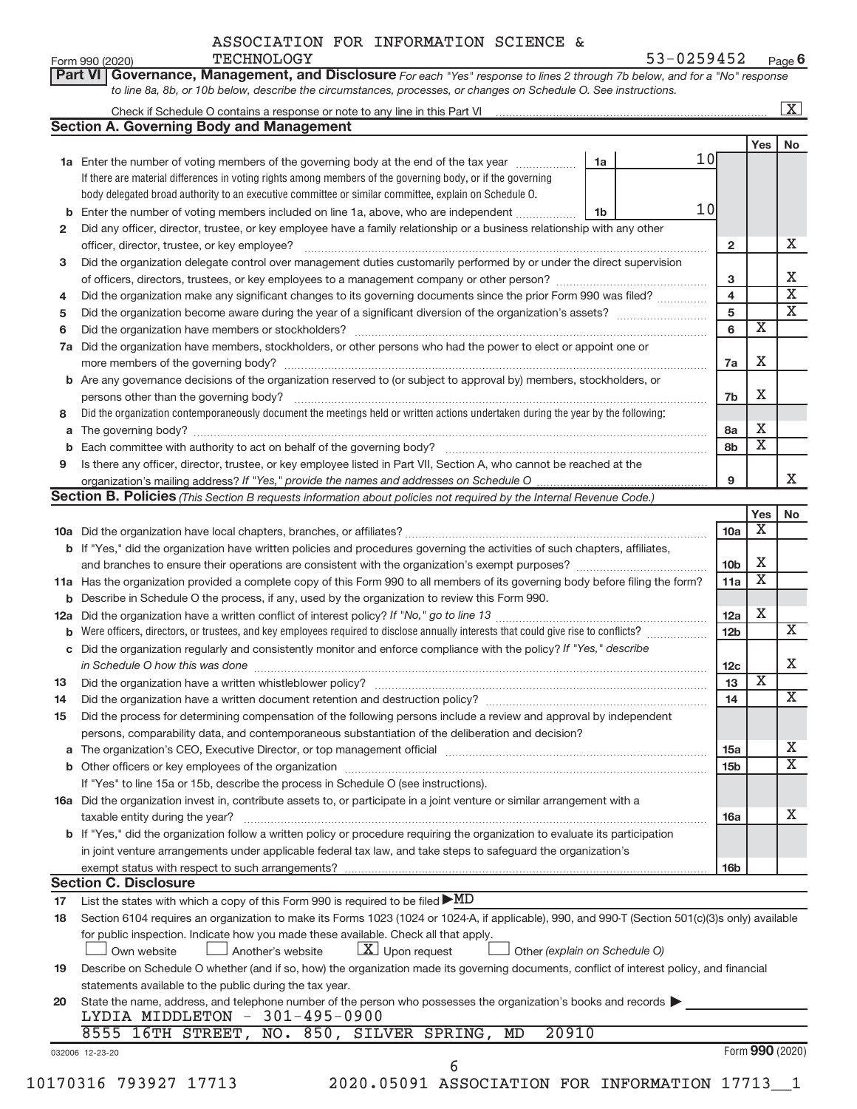**Part VI** Governance, Management, and Disclosure For each "Yes" response to lines 2 through 7b below, and for a "No" response

Form 990 (2020) Page **6** TECHNOLOGY 53-0259452

|          |                                                                                                                                                  |                               |    |                 |                         | $\overline{\mathbf{X}}$     |
|----------|--------------------------------------------------------------------------------------------------------------------------------------------------|-------------------------------|----|-----------------|-------------------------|-----------------------------|
|          | <b>Section A. Governing Body and Management</b>                                                                                                  |                               |    |                 |                         |                             |
|          |                                                                                                                                                  |                               |    |                 | Yes                     | No                          |
|          | 1a Enter the number of voting members of the governing body at the end of the tax year                                                           | 1a                            | 10 |                 |                         |                             |
|          | If there are material differences in voting rights among members of the governing body, or if the governing                                      |                               |    |                 |                         |                             |
|          | body delegated broad authority to an executive committee or similar committee, explain on Schedule O.                                            |                               |    |                 |                         |                             |
| b        | Enter the number of voting members included on line 1a, above, who are independent                                                               | 1b                            | 10 |                 |                         |                             |
| 2        | Did any officer, director, trustee, or key employee have a family relationship or a business relationship with any other                         |                               |    |                 |                         |                             |
|          |                                                                                                                                                  |                               |    | $\mathbf{2}$    |                         | x                           |
| 3        | Did the organization delegate control over management duties customarily performed by or under the direct supervision                            |                               |    |                 |                         |                             |
|          |                                                                                                                                                  |                               |    | 3               |                         | Х                           |
|          |                                                                                                                                                  |                               |    | 4               |                         | $\overline{\mathbf{x}}$     |
| 4        | Did the organization make any significant changes to its governing documents since the prior Form 990 was filed?                                 |                               |    |                 |                         | $\overline{\mathbf{x}}$     |
| 5        |                                                                                                                                                  |                               |    | 5               | $\overline{\mathbf{x}}$ |                             |
| 6        |                                                                                                                                                  |                               |    | 6               |                         |                             |
| 7a       | Did the organization have members, stockholders, or other persons who had the power to elect or appoint one or                                   |                               |    |                 |                         |                             |
|          |                                                                                                                                                  |                               |    | 7a              | X                       |                             |
|          | <b>b</b> Are any governance decisions of the organization reserved to (or subject to approval by) members, stockholders, or                      |                               |    |                 |                         |                             |
|          | persons other than the governing body?                                                                                                           |                               |    | 7b              | X                       |                             |
| 8        | Did the organization contemporaneously document the meetings held or written actions undertaken during the year by the following:                |                               |    |                 |                         |                             |
|          |                                                                                                                                                  |                               |    | 8a              | х                       |                             |
|          |                                                                                                                                                  |                               |    | 8b              | $\overline{\textbf{x}}$ |                             |
| 9        | Is there any officer, director, trustee, or key employee listed in Part VII, Section A, who cannot be reached at the                             |                               |    |                 |                         |                             |
|          |                                                                                                                                                  |                               |    | 9               |                         | X                           |
|          | Section B. Policies (This Section B requests information about policies not required by the Internal Revenue Code.)                              |                               |    |                 |                         |                             |
|          |                                                                                                                                                  |                               |    |                 | Yes <sub>1</sub>        | No                          |
|          |                                                                                                                                                  |                               |    | 10a             | х                       |                             |
|          |                                                                                                                                                  |                               |    |                 |                         |                             |
|          | <b>b</b> If "Yes," did the organization have written policies and procedures governing the activities of such chapters, affiliates,              |                               |    |                 |                         |                             |
|          |                                                                                                                                                  |                               |    | 10 <sub>b</sub> | Х                       |                             |
|          | 11a Has the organization provided a complete copy of this Form 990 to all members of its governing body before filing the form?                  |                               |    | 11a             | $\overline{\textbf{X}}$ |                             |
|          | <b>b</b> Describe in Schedule O the process, if any, used by the organization to review this Form 990.                                           |                               |    |                 |                         |                             |
|          |                                                                                                                                                  |                               |    | 12a             | X                       |                             |
|          |                                                                                                                                                  |                               |    | 12 <sub>b</sub> |                         | $\overline{\mathbf{X}}$     |
|          | c Did the organization regularly and consistently monitor and enforce compliance with the policy? If "Yes," describe                             |                               |    |                 |                         |                             |
|          | in Schedule O how this was done manufactured and continuum and contact the way to be a set of the set of the s                                   |                               |    | 12c             |                         | X                           |
| 13       |                                                                                                                                                  |                               |    | 13              | $\overline{\mathbf{X}}$ |                             |
| 14       | Did the organization have a written document retention and destruction policy? [11] manufaction manufaction in                                   |                               |    | 14              |                         | $\overline{\mathbf{X}}$     |
| 15       | Did the process for determining compensation of the following persons include a review and approval by independent                               |                               |    |                 |                         |                             |
|          | persons, comparability data, and contemporaneous substantiation of the deliberation and decision?                                                |                               |    |                 |                         |                             |
|          |                                                                                                                                                  |                               |    | <b>15a</b>      |                         | x                           |
|          |                                                                                                                                                  |                               |    | 15 <sub>b</sub> |                         | $\overline{\textnormal{x}}$ |
|          |                                                                                                                                                  |                               |    |                 |                         |                             |
|          | If "Yes" to line 15a or 15b, describe the process in Schedule O (see instructions).                                                              |                               |    |                 |                         |                             |
|          | 16a Did the organization invest in, contribute assets to, or participate in a joint venture or similar arrangement with a                        |                               |    |                 |                         |                             |
|          |                                                                                                                                                  |                               |    | 16a             |                         | x                           |
|          | taxable entity during the year?                                                                                                                  |                               |    |                 |                         |                             |
|          | b If "Yes," did the organization follow a written policy or procedure requiring the organization to evaluate its participation                   |                               |    |                 |                         |                             |
|          | in joint venture arrangements under applicable federal tax law, and take steps to safeguard the organization's                                   |                               |    |                 |                         |                             |
|          | exempt status with respect to such arrangements?                                                                                                 |                               |    | 16b             |                         |                             |
|          | <b>Section C. Disclosure</b>                                                                                                                     |                               |    |                 |                         |                             |
| 17       |                                                                                                                                                  |                               |    |                 |                         |                             |
|          | List the states with which a copy of this Form 990 is required to be filed $\blacktriangleright$ MD                                              |                               |    |                 |                         |                             |
| 18       | Section 6104 requires an organization to make its Forms 1023 (1024 or 1024-A, if applicable), 990, and 990-T (Section 501(c)(3)s only) available |                               |    |                 |                         |                             |
|          | for public inspection. Indicate how you made these available. Check all that apply.                                                              |                               |    |                 |                         |                             |
|          | $\lfloor x \rfloor$ Upon request<br>Own website<br>Another's website                                                                             | Other (explain on Schedule O) |    |                 |                         |                             |
|          | Describe on Schedule O whether (and if so, how) the organization made its governing documents, conflict of interest policy, and financial        |                               |    |                 |                         |                             |
|          | statements available to the public during the tax year.                                                                                          |                               |    |                 |                         |                             |
|          | State the name, address, and telephone number of the person who possesses the organization's books and records                                   |                               |    |                 |                         |                             |
|          | LYDIA MIDDLETON - 301-495-0900                                                                                                                   |                               |    |                 |                         |                             |
|          | 8555 16TH STREET, NO. 850, SILVER SPRING, MD<br>20910                                                                                            |                               |    |                 |                         |                             |
| 19<br>20 | 032006 12-23-20<br>6                                                                                                                             |                               |    |                 | Form 990 (2020)         |                             |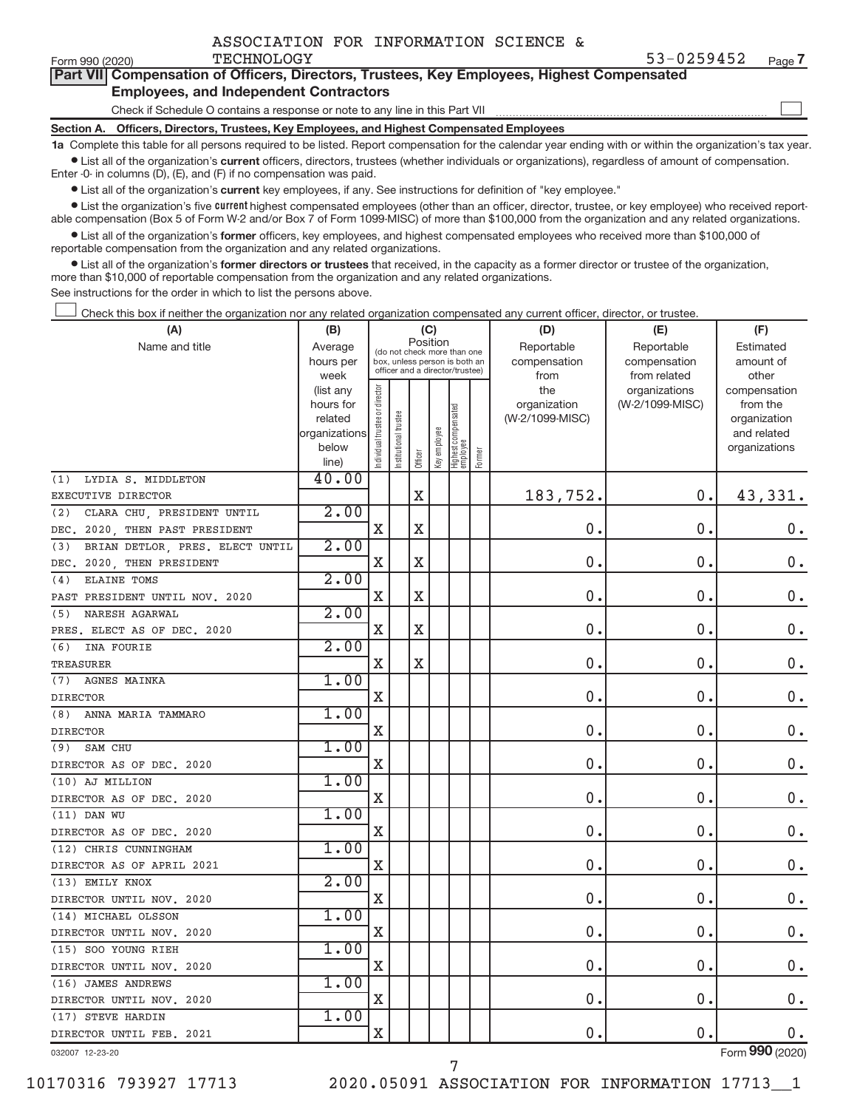|  |  |  | ASSOCIATION FOR INFORMATION SCIENCE & |  |  |
|--|--|--|---------------------------------------|--|--|
|--|--|--|---------------------------------------|--|--|

 $\begin{array}{c} \hline \end{array}$ 

| Part VII Compensation of Officers, Directors, Trustees, Key Employees, Highest Compensated |
|--------------------------------------------------------------------------------------------|
| <b>Employees, and Independent Contractors</b>                                              |

Check if Schedule O contains a response or note to any line in this Part VII

**Section A. Officers, Directors, Trustees, Key Employees, and Highest Compensated Employees**

**1a**  Complete this table for all persons required to be listed. Report compensation for the calendar year ending with or within the organization's tax year.  $\bullet$  List all of the organization's current officers, directors, trustees (whether individuals or organizations), regardless of amount of compensation.

Enter -0- in columns (D), (E), and (F) if no compensation was paid.

**•** List all of the organization's **current** key employees, if any. See instructions for definition of "key employee."

**Examber 1** List the organization's five *current* highest compensated employees (other than an officer, director, trustee, or key employee) who received reportable compensation (Box 5 of Form W-2 and/or Box 7 of Form 1099-MISC) of more than \$100,000 from the organization and any related organizations.

 $\bullet$  List all of the organization's former officers, key employees, and highest compensated employees who received more than \$100,000 of reportable compensation from the organization and any related organizations.

**•** List all of the organization's former directors or trustees that received, in the capacity as a former director or trustee of the organization, more than \$10,000 of reportable compensation from the organization and any related organizations.

See instructions for the order in which to list the persons above.

Check this box if neither the organization nor any related organization compensated any current officer, director, or trustee.  $\overline{\phantom{a}}$ 

| (A)                                    | (B)                    |                                |                                 | (C)         |              |                                   |        | (D)             | (E)             | (F)                          |
|----------------------------------------|------------------------|--------------------------------|---------------------------------|-------------|--------------|-----------------------------------|--------|-----------------|-----------------|------------------------------|
| Name and title                         | Average                |                                | (do not check more than one     | Position    |              |                                   |        | Reportable      | Reportable      | Estimated                    |
|                                        | hours per              |                                | box, unless person is both an   |             |              |                                   |        | compensation    | compensation    | amount of                    |
|                                        | week                   |                                | officer and a director/trustee) |             |              |                                   |        | from            | from related    | other                        |
|                                        | (list any              |                                |                                 |             |              |                                   |        | the             | organizations   | compensation                 |
|                                        | hours for              |                                |                                 |             |              |                                   |        | organization    | (W-2/1099-MISC) | from the                     |
|                                        | related                |                                |                                 |             |              |                                   |        | (W-2/1099-MISC) |                 | organization                 |
|                                        | organizations<br>below |                                |                                 |             |              |                                   |        |                 |                 | and related<br>organizations |
|                                        | line)                  | Individual trustee or director | Institutional trustee           | Officer     | Key employee | Highest compensated<br>  employee | Former |                 |                 |                              |
| LYDIA S. MIDDLETON<br>(1)              | 40.00                  |                                |                                 |             |              |                                   |        |                 |                 |                              |
| EXECUTIVE DIRECTOR                     |                        |                                |                                 | $\mathbf X$ |              |                                   |        | 183,752.        | 0.              | 43,331.                      |
| CLARA CHU, PRESIDENT UNTIL<br>(2)      | 2.00                   |                                |                                 |             |              |                                   |        |                 |                 |                              |
| DEC. 2020, THEN PAST PRESIDENT         |                        | $\mathbf X$                    |                                 | $\mathbf X$ |              |                                   |        | 0.              | $\mathbf 0$ .   | $0$ .                        |
| BRIAN DETLOR, PRES. ELECT UNTIL<br>(3) | 2.00                   |                                |                                 |             |              |                                   |        |                 |                 |                              |
| 2020, THEN PRESIDENT<br>DEC.           |                        | X                              |                                 | X           |              |                                   |        | 0.              | $\mathbf 0$ .   | $0$ .                        |
| ELAINE TOMS<br>(4)                     | 2.00                   |                                |                                 |             |              |                                   |        |                 |                 |                              |
| PAST PRESIDENT UNTIL NOV. 2020         |                        | $\mathbf X$                    |                                 | X           |              |                                   |        | 0.              | $\mathbf{0}$    | $\mathbf 0$ .                |
| NARESH AGARWAL<br>(5)                  | 2.00                   |                                |                                 |             |              |                                   |        |                 |                 |                              |
| PRES. ELECT AS OF DEC. 2020            |                        | $\mathbf X$                    |                                 | X           |              |                                   |        | 0.              | 0.              | $0$ .                        |
| INA FOURIE<br>(6)                      | 2.00                   |                                |                                 |             |              |                                   |        |                 |                 |                              |
| <b>TREASURER</b>                       |                        | Χ                              |                                 | $\mathbf X$ |              |                                   |        | 0.              | 0.              | $0$ .                        |
| <b>AGNES MAINKA</b><br>(7)             | 1.00                   |                                |                                 |             |              |                                   |        |                 |                 |                              |
| <b>DIRECTOR</b>                        |                        | $\mathbf X$                    |                                 |             |              |                                   |        | 0.              | $\mathbf 0$ .   | 0.                           |
| (8)<br>ANNA MARIA TAMMARO              | 1.00                   |                                |                                 |             |              |                                   |        |                 |                 |                              |
| <b>DIRECTOR</b>                        |                        | $\mathbf x$                    |                                 |             |              |                                   |        | 0.              | 0.              | $0$ .                        |
| SAM CHU<br>(9)                         | 1.00                   |                                |                                 |             |              |                                   |        |                 |                 |                              |
| DIRECTOR AS OF DEC. 2020               |                        | $\mathbf x$                    |                                 |             |              |                                   |        | 0.              | $\mathbf 0$ .   | 0.                           |
| (10) AJ MILLION                        | 1.00                   |                                |                                 |             |              |                                   |        |                 |                 |                              |
| DIRECTOR AS OF DEC. 2020               |                        | X                              |                                 |             |              |                                   |        | 0.              | 0.              | 0.                           |
| $(11)$ DAN WU                          | 1.00                   |                                |                                 |             |              |                                   |        |                 |                 |                              |
| DIRECTOR AS OF DEC. 2020               |                        | $\mathbf X$                    |                                 |             |              |                                   |        | 0.              | $\mathbf 0$ .   | $\mathbf 0$ .                |
| (12) CHRIS CUNNINGHAM                  | 1.00                   |                                |                                 |             |              |                                   |        |                 |                 |                              |
| DIRECTOR AS OF APRIL 2021              |                        | X                              |                                 |             |              |                                   |        | 0.              | 0.              | $0$ .                        |
| (13) EMILY KNOX                        | 2.00                   |                                |                                 |             |              |                                   |        |                 |                 |                              |
| DIRECTOR UNTIL NOV. 2020               |                        | $\overline{\text{X}}$          |                                 |             |              |                                   |        | 0.              | 0.              | $\mathbf 0$ .                |
| (14) MICHAEL OLSSON                    | 1.00                   |                                |                                 |             |              |                                   |        |                 |                 |                              |
| DIRECTOR UNTIL NOV. 2020               |                        | $\overline{\text{X}}$          |                                 |             |              |                                   |        | 0.              | 0.              | $0$ .                        |
| (15) SOO YOUNG RIEH                    | 1.00                   |                                |                                 |             |              |                                   |        |                 |                 |                              |
| DIRECTOR UNTIL NOV. 2020               |                        | X                              |                                 |             |              |                                   |        | 0.              | 0.              | 0.                           |
| (16) JAMES ANDREWS                     | 1.00                   |                                |                                 |             |              |                                   |        |                 |                 |                              |
| DIRECTOR UNTIL NOV. 2020               |                        | $\overline{\text{X}}$          |                                 |             |              |                                   |        | 0.              | 0.              | $0$ .                        |
| (17) STEVE HARDIN                      | 1.00                   |                                |                                 |             |              |                                   |        |                 |                 |                              |
| DIRECTOR UNTIL FEB. 2021               |                        | $\mathbf x$                    |                                 |             |              |                                   |        | 0.              | $\mathbf 0$ .   | 0.                           |
| 032007 12-23-20                        |                        |                                |                                 |             |              |                                   |        |                 |                 | Form 990 (2020)              |

10170316 793927 17713 2020.05091 ASSOCIATION FOR INFORMATION 17713\_\_1

7

Form (2020) **990**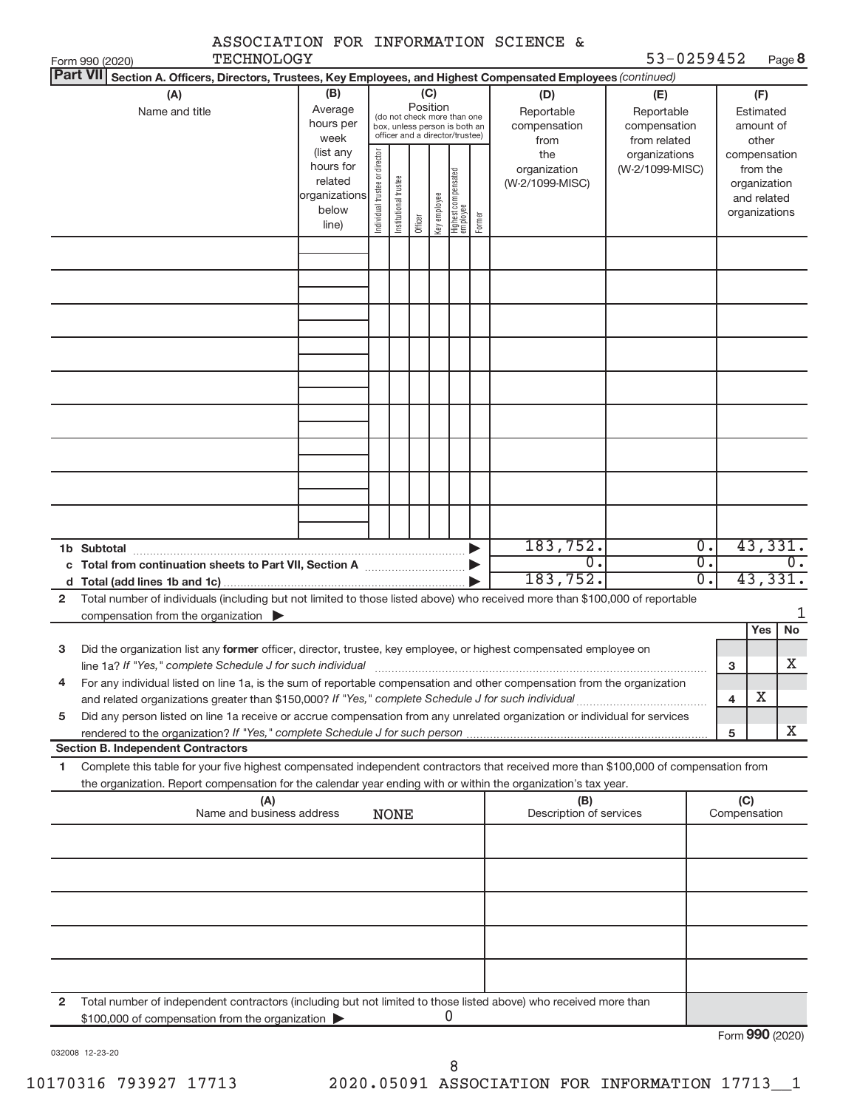|                 |                                                                                                                                      |                        |                                |                       |          |              |                                                              |        | ASSOCIATION FOR INFORMATION SCIENCE & |                            |                  |              |                        |                  |
|-----------------|--------------------------------------------------------------------------------------------------------------------------------------|------------------------|--------------------------------|-----------------------|----------|--------------|--------------------------------------------------------------|--------|---------------------------------------|----------------------------|------------------|--------------|------------------------|------------------|
| <b>Part VII</b> | TECHNOLOGY<br>Form 990 (2020)                                                                                                        |                        |                                |                       |          |              |                                                              |        |                                       | 53-0259452                 |                  |              |                        | Page 8           |
|                 | Section A. Officers, Directors, Trustees, Key Employees, and Highest Compensated Employees (continued)                               |                        |                                |                       |          |              |                                                              |        |                                       |                            |                  |              |                        |                  |
|                 | (A)                                                                                                                                  | (B)                    |                                |                       | Position | (C)          |                                                              |        | (D)                                   | (E)                        |                  |              | (F)                    |                  |
|                 | Name and title                                                                                                                       | Average<br>hours per   |                                |                       |          |              | (do not check more than one<br>box, unless person is both an |        | Reportable<br>compensation            | Reportable<br>compensation |                  |              | Estimated<br>amount of |                  |
|                 |                                                                                                                                      | week                   |                                |                       |          |              | officer and a director/trustee)                              |        | from                                  | from related               |                  |              | other                  |                  |
|                 |                                                                                                                                      | (list any              |                                |                       |          |              |                                                              |        | the                                   | organizations              |                  |              |                        | compensation     |
|                 |                                                                                                                                      | hours for              |                                |                       |          |              |                                                              |        | organization                          | (W-2/1099-MISC)            |                  |              | from the               |                  |
|                 |                                                                                                                                      | related                |                                |                       |          |              |                                                              |        | (W-2/1099-MISC)                       |                            |                  |              | organization           |                  |
|                 |                                                                                                                                      | organizations<br>below | Individual trustee or director | Institutional trustee |          | key employee | Highest compensated<br>employee                              |        |                                       |                            |                  |              | and related            |                  |
|                 |                                                                                                                                      | line)                  |                                |                       | Officer  |              |                                                              | Former |                                       |                            |                  |              | organizations          |                  |
|                 |                                                                                                                                      |                        |                                |                       |          |              |                                                              |        |                                       |                            |                  |              |                        |                  |
|                 |                                                                                                                                      |                        |                                |                       |          |              |                                                              |        |                                       |                            |                  |              |                        |                  |
|                 |                                                                                                                                      |                        |                                |                       |          |              |                                                              |        |                                       |                            |                  |              |                        |                  |
|                 |                                                                                                                                      |                        |                                |                       |          |              |                                                              |        |                                       |                            |                  |              |                        |                  |
|                 |                                                                                                                                      |                        |                                |                       |          |              |                                                              |        |                                       |                            |                  |              |                        |                  |
|                 |                                                                                                                                      |                        |                                |                       |          |              |                                                              |        |                                       |                            |                  |              |                        |                  |
|                 |                                                                                                                                      |                        |                                |                       |          |              |                                                              |        |                                       |                            |                  |              |                        |                  |
|                 |                                                                                                                                      |                        |                                |                       |          |              |                                                              |        |                                       |                            |                  |              |                        |                  |
|                 |                                                                                                                                      |                        |                                |                       |          |              |                                                              |        |                                       |                            |                  |              |                        |                  |
|                 |                                                                                                                                      |                        |                                |                       |          |              |                                                              |        |                                       |                            |                  |              |                        |                  |
|                 |                                                                                                                                      |                        |                                |                       |          |              |                                                              |        |                                       |                            |                  |              |                        |                  |
|                 |                                                                                                                                      |                        |                                |                       |          |              |                                                              |        |                                       |                            |                  |              |                        |                  |
|                 |                                                                                                                                      |                        |                                |                       |          |              |                                                              |        |                                       |                            |                  |              |                        |                  |
|                 |                                                                                                                                      |                        |                                |                       |          |              |                                                              |        |                                       |                            |                  |              |                        |                  |
|                 |                                                                                                                                      |                        |                                |                       |          |              |                                                              |        |                                       |                            |                  |              |                        |                  |
|                 |                                                                                                                                      |                        |                                |                       |          |              |                                                              |        |                                       |                            |                  |              |                        |                  |
|                 |                                                                                                                                      |                        |                                |                       |          |              |                                                              |        |                                       |                            |                  |              |                        |                  |
|                 |                                                                                                                                      |                        |                                |                       |          |              |                                                              |        |                                       |                            |                  |              |                        |                  |
|                 |                                                                                                                                      |                        |                                |                       |          |              |                                                              |        | 183,752.                              |                            | 0.               |              |                        | 43,331.          |
| c               | Total from continuation sheets to Part VII, Section A manufactured:                                                                  |                        |                                |                       |          |              |                                                              |        | 0.                                    |                            | $\overline{0}$ . |              |                        | 0.               |
|                 |                                                                                                                                      |                        |                                |                       |          |              |                                                              |        | 183, 752.                             |                            | $\overline{0}$ . |              |                        | 43,331.          |
| $\overline{2}$  | Total number of individuals (including but not limited to those listed above) who received more than \$100,000 of reportable         |                        |                                |                       |          |              |                                                              |        |                                       |                            |                  |              |                        |                  |
|                 | compensation from the organization $\blacktriangleright$                                                                             |                        |                                |                       |          |              |                                                              |        |                                       |                            |                  |              |                        |                  |
|                 |                                                                                                                                      |                        |                                |                       |          |              |                                                              |        |                                       |                            |                  |              | Yes                    | No               |
| 3               | Did the organization list any former officer, director, trustee, key employee, or highest compensated employee on                    |                        |                                |                       |          |              |                                                              |        |                                       |                            |                  |              |                        |                  |
|                 | line 1a? If "Yes," complete Schedule J for such individual                                                                           |                        |                                |                       |          |              |                                                              |        |                                       |                            |                  | 3            |                        | x                |
| 4               | For any individual listed on line 1a, is the sum of reportable compensation and other compensation from the organization             |                        |                                |                       |          |              |                                                              |        |                                       |                            |                  |              |                        |                  |
|                 |                                                                                                                                      |                        |                                |                       |          |              |                                                              |        |                                       |                            |                  | 4            | х                      |                  |
| 5               | Did any person listed on line 1a receive or accrue compensation from any unrelated organization or individual for services           |                        |                                |                       |          |              |                                                              |        |                                       |                            |                  |              |                        |                  |
|                 |                                                                                                                                      |                        |                                |                       |          |              |                                                              |        |                                       |                            |                  | 5            |                        | X                |
|                 | <b>Section B. Independent Contractors</b>                                                                                            |                        |                                |                       |          |              |                                                              |        |                                       |                            |                  |              |                        |                  |
| 1               | Complete this table for your five highest compensated independent contractors that received more than \$100,000 of compensation from |                        |                                |                       |          |              |                                                              |        |                                       |                            |                  |              |                        |                  |
|                 | the organization. Report compensation for the calendar year ending with or within the organization's tax year.                       |                        |                                |                       |          |              |                                                              |        |                                       |                            |                  |              |                        |                  |
|                 | (A)                                                                                                                                  |                        |                                |                       |          |              |                                                              |        | (B)                                   |                            |                  | (C)          |                        |                  |
|                 | Name and business address                                                                                                            |                        |                                | <b>NONE</b>           |          |              |                                                              |        | Description of services               |                            |                  | Compensation |                        |                  |
|                 |                                                                                                                                      |                        |                                |                       |          |              |                                                              |        |                                       |                            |                  |              |                        |                  |
|                 |                                                                                                                                      |                        |                                |                       |          |              |                                                              |        |                                       |                            |                  |              |                        |                  |
|                 |                                                                                                                                      |                        |                                |                       |          |              |                                                              |        |                                       |                            |                  |              |                        |                  |
|                 |                                                                                                                                      |                        |                                |                       |          |              |                                                              |        |                                       |                            |                  |              |                        |                  |
|                 |                                                                                                                                      |                        |                                |                       |          |              |                                                              |        |                                       |                            |                  |              |                        |                  |
|                 |                                                                                                                                      |                        |                                |                       |          |              |                                                              |        |                                       |                            |                  |              |                        |                  |
|                 |                                                                                                                                      |                        |                                |                       |          |              |                                                              |        |                                       |                            |                  |              |                        |                  |
|                 |                                                                                                                                      |                        |                                |                       |          |              |                                                              |        |                                       |                            |                  |              |                        |                  |
|                 |                                                                                                                                      |                        |                                |                       |          |              |                                                              |        |                                       |                            |                  |              |                        |                  |
| 2               | Total number of independent contractors (including but not limited to those listed above) who received more than                     |                        |                                |                       |          |              |                                                              |        |                                       |                            |                  |              |                        |                  |
|                 | \$100,000 of compensation from the organization                                                                                      |                        |                                |                       |          |              |                                                              |        |                                       |                            |                  |              |                        |                  |
|                 |                                                                                                                                      |                        |                                |                       |          |              |                                                              |        |                                       |                            |                  |              |                        | $000 \times 000$ |

032008 12-23-20

Form (2020) **990**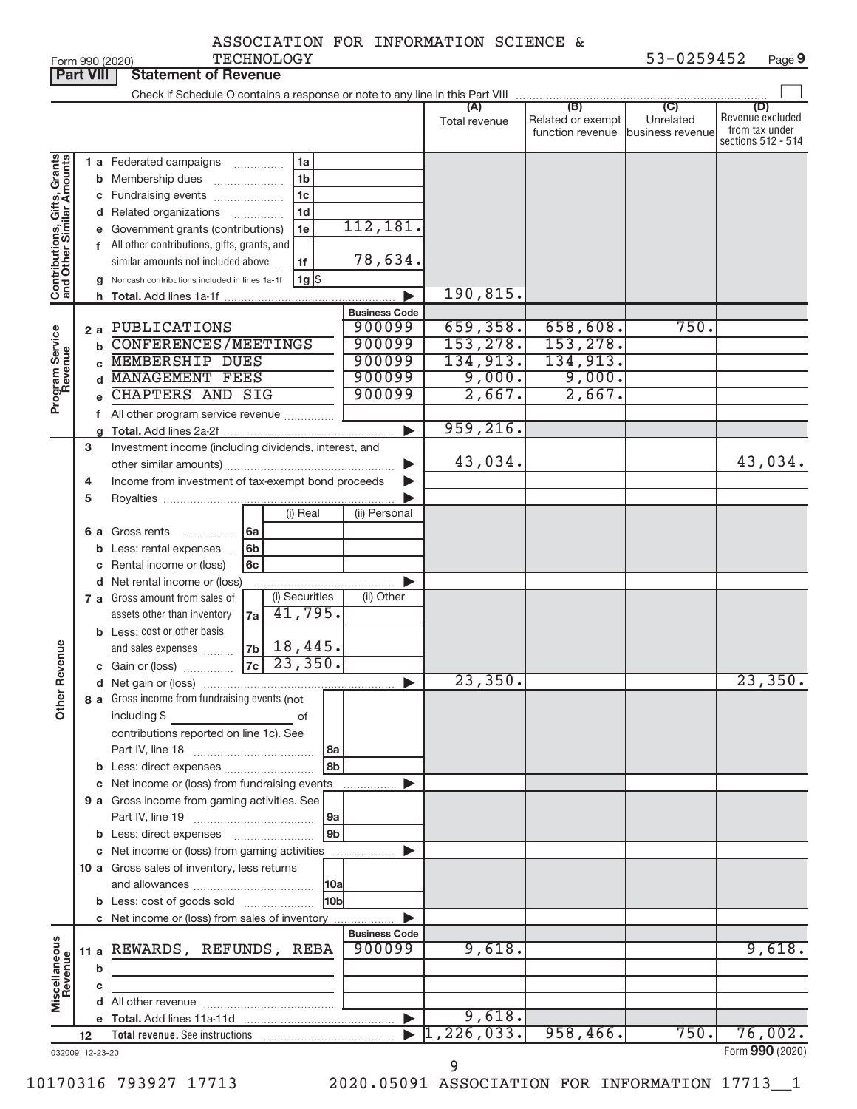| ASSOCIATION FOR INFORMATION SCIENCE & |  |  |  |  |
|---------------------------------------|--|--|--|--|
|---------------------------------------|--|--|--|--|

**Part VIII Statement of Revenue**

|                              |          | Check if Schedule O contains a response or note to any line in this Part VIII |                       |               |                                              |                                      |                                                                 |
|------------------------------|----------|-------------------------------------------------------------------------------|-----------------------|---------------|----------------------------------------------|--------------------------------------|-----------------------------------------------------------------|
|                              |          |                                                                               |                       | Total revenue | (B)<br>Related or exempt<br>function revenue | (C)<br>Unrelated<br>business revenue | (D)<br>Revenue excluded<br>from tax under<br>sections 512 - 514 |
|                              |          | 1 a Federated campaigns<br>1a                                                 |                       |               |                                              |                                      |                                                                 |
| Contributions, Gifts, Grants |          | 1 <sub>b</sub><br><b>b</b> Membership dues<br>$\overline{\phantom{a}}$        |                       |               |                                              |                                      |                                                                 |
|                              |          | 1 <sub>c</sub><br>c Fundraising events                                        |                       |               |                                              |                                      |                                                                 |
|                              |          | 1 <sub>d</sub>                                                                |                       |               |                                              |                                      |                                                                 |
|                              |          | d Related organizations                                                       | 112,181.              |               |                                              |                                      |                                                                 |
|                              |          | e Government grants (contributions)<br>1e                                     |                       |               |                                              |                                      |                                                                 |
|                              |          | f All other contributions, gifts, grants, and                                 |                       |               |                                              |                                      |                                                                 |
|                              |          | similar amounts not included above<br>1f                                      | 78,634.               |               |                                              |                                      |                                                                 |
|                              |          | $1g$ \$<br>g Noncash contributions included in lines 1a-1f                    |                       |               |                                              |                                      |                                                                 |
|                              |          |                                                                               |                       | 190,815.      |                                              |                                      |                                                                 |
|                              |          |                                                                               | <b>Business Code</b>  |               |                                              |                                      |                                                                 |
|                              | 2a       | PUBLICATIONS                                                                  | 900099                | 659,358.      | 658,608.                                     | 750.                                 |                                                                 |
|                              | b        | <b>CONFERENCES/MEETINGS</b>                                                   | 900099                | 153, 278.     | 153, 278.                                    |                                      |                                                                 |
| Program Service              | <b>C</b> | <b>MEMBERSHIP DUES</b>                                                        | 900099                | 134,913.      | 134,913.                                     |                                      |                                                                 |
|                              | d        | <b>MANAGEMENT FEES</b>                                                        | 900099                | 9,000.        | 9,000.                                       |                                      |                                                                 |
|                              | e        | <b>CHAPTERS AND SIG</b>                                                       | 900099                | 2,667.        | 2,667.                                       |                                      |                                                                 |
|                              |          | f All other program service revenue                                           |                       |               |                                              |                                      |                                                                 |
|                              |          |                                                                               |                       | 959, 216.     |                                              |                                      |                                                                 |
|                              | 3        | Investment income (including dividends, interest, and                         |                       |               |                                              |                                      |                                                                 |
|                              |          |                                                                               |                       | 43,034.       |                                              |                                      | 43,034.                                                         |
|                              | 4        | Income from investment of tax-exempt bond proceeds                            |                       |               |                                              |                                      |                                                                 |
|                              | 5        |                                                                               |                       |               |                                              |                                      |                                                                 |
|                              |          | (i) Real                                                                      | (ii) Personal         |               |                                              |                                      |                                                                 |
|                              |          | 6 a Gross rents<br>6a                                                         |                       |               |                                              |                                      |                                                                 |
|                              |          | .<br>6 <sub>b</sub>                                                           |                       |               |                                              |                                      |                                                                 |
|                              | b        | Less: rental expenses                                                         |                       |               |                                              |                                      |                                                                 |
|                              |          | c Rental income or (loss)<br>6c                                               |                       |               |                                              |                                      |                                                                 |
|                              |          | d Net rental income or (loss)                                                 |                       |               |                                              |                                      |                                                                 |
|                              |          | (i) Securities<br>7 a Gross amount from sales of                              | (ii) Other            |               |                                              |                                      |                                                                 |
|                              |          | 41,795.<br>assets other than inventory<br>7a                                  |                       |               |                                              |                                      |                                                                 |
|                              |          | <b>b</b> Less: cost or other basis                                            |                       |               |                                              |                                      |                                                                 |
| <b>Other Revenue</b>         |          | $18,445$ .<br> 7b <br>and sales expenses                                      |                       |               |                                              |                                      |                                                                 |
|                              |          | 23,350.<br>7c<br><b>c</b> Gain or (loss) $\ldots$                             |                       |               |                                              |                                      |                                                                 |
|                              |          |                                                                               |                       | 23,350.       |                                              |                                      | 23,350.                                                         |
|                              |          | 8 a Gross income from fundraising events (not                                 |                       |               |                                              |                                      |                                                                 |
|                              |          | including \$ of                                                               |                       |               |                                              |                                      |                                                                 |
|                              |          | contributions reported on line 1c). See                                       |                       |               |                                              |                                      |                                                                 |
|                              |          | 8a                                                                            |                       |               |                                              |                                      |                                                                 |
|                              |          | 8 <sub>b</sub>                                                                |                       |               |                                              |                                      |                                                                 |
|                              |          | c Net income or (loss) from fundraising events                                |                       |               |                                              |                                      |                                                                 |
|                              |          | 9 a Gross income from gaming activities. See                                  |                       |               |                                              |                                      |                                                                 |
|                              |          | 9a                                                                            |                       |               |                                              |                                      |                                                                 |
|                              |          | 9 <sub>b</sub><br><b>b</b> Less: direct expenses <b>manually</b>              |                       |               |                                              |                                      |                                                                 |
|                              |          | c Net income or (loss) from gaming activities                                 |                       |               |                                              |                                      |                                                                 |
|                              |          | 10 a Gross sales of inventory, less returns                                   |                       |               |                                              |                                      |                                                                 |
|                              |          | 10a                                                                           |                       |               |                                              |                                      |                                                                 |
|                              |          | 10b<br><b>b</b> Less: cost of goods sold                                      |                       |               |                                              |                                      |                                                                 |
|                              |          |                                                                               |                       |               |                                              |                                      |                                                                 |
|                              |          | c Net income or (loss) from sales of inventory                                | <b>Business Code</b>  |               |                                              |                                      |                                                                 |
|                              |          | 11 a REWARDS, REFUNDS, REBA                                                   | 900099                | 9,618.        |                                              |                                      | 9,618.                                                          |
|                              |          |                                                                               |                       |               |                                              |                                      |                                                                 |
| Miscellaneous<br>Revenue     | b        |                                                                               |                       |               |                                              |                                      |                                                                 |
|                              | С        |                                                                               |                       |               |                                              |                                      |                                                                 |
|                              |          |                                                                               |                       |               |                                              |                                      |                                                                 |
|                              |          |                                                                               | $\blacktriangleright$ | 9,618.        |                                              |                                      |                                                                 |
|                              | 12       | Total revenue. See instructions                                               |                       | 1,226,033.    | 958,466.                                     | 750.                                 | 76,002.                                                         |
| 032009 12-23-20              |          |                                                                               |                       | 9             |                                              |                                      | Form 990 (2020)                                                 |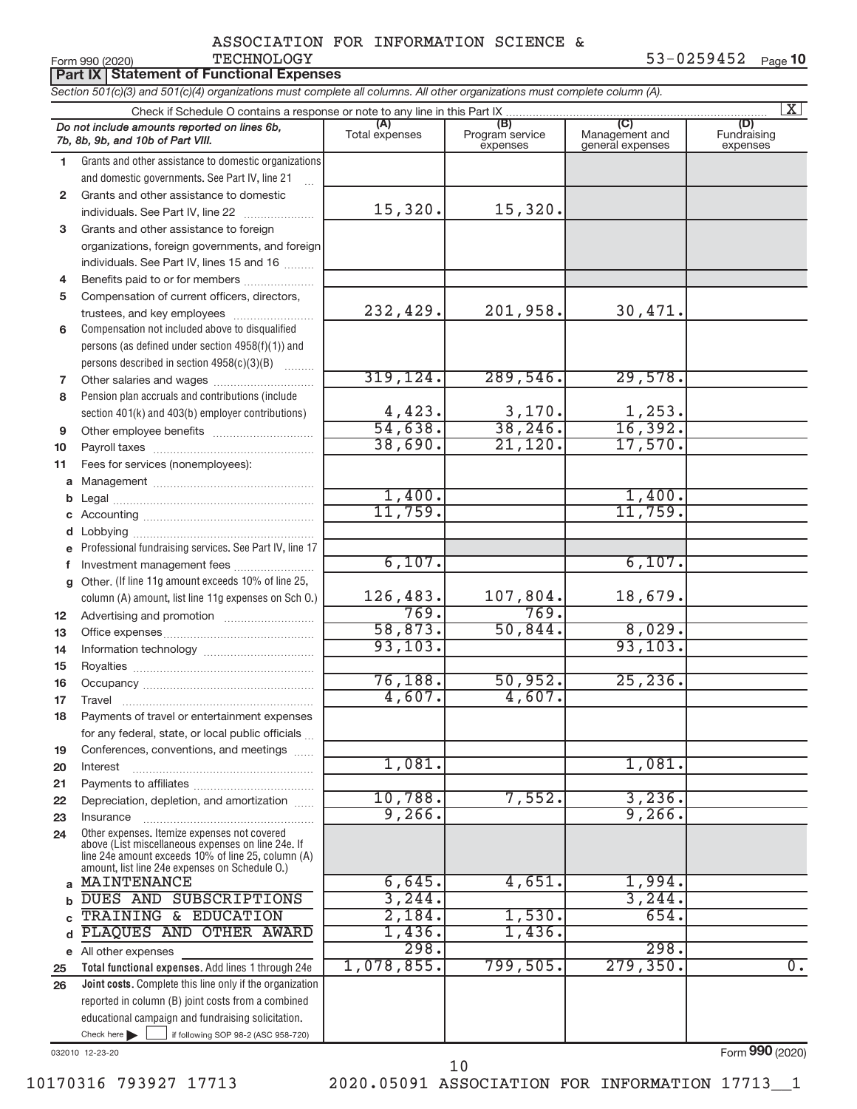53-0259452 Page 10

|              | <b>Part IX   Statement of Functional Expenses</b>                                                                          |                        |                                    |                                           |                                |  |  |  |  |
|--------------|----------------------------------------------------------------------------------------------------------------------------|------------------------|------------------------------------|-------------------------------------------|--------------------------------|--|--|--|--|
|              | Section 501(c)(3) and 501(c)(4) organizations must complete all columns. All other organizations must complete column (A). |                        |                                    |                                           |                                |  |  |  |  |
|              | Check if Schedule O contains a response or note to any line in this Part IX                                                |                        |                                    |                                           | $\mathbf{X}$                   |  |  |  |  |
|              | Do not include amounts reported on lines 6b,<br>7b, 8b, 9b, and 10b of Part VIII.                                          | (A)<br>Total expenses  | (B)<br>Program service<br>expenses | (C)<br>Management and<br>general expenses | (D)<br>Fundraising<br>expenses |  |  |  |  |
| 1.           | Grants and other assistance to domestic organizations                                                                      |                        |                                    |                                           |                                |  |  |  |  |
|              | and domestic governments. See Part IV, line 21                                                                             |                        |                                    |                                           |                                |  |  |  |  |
| $\mathbf{2}$ | Grants and other assistance to domestic                                                                                    |                        |                                    |                                           |                                |  |  |  |  |
|              | individuals. See Part IV, line 22                                                                                          | 15,320.                | 15,320.                            |                                           |                                |  |  |  |  |
| 3            | Grants and other assistance to foreign                                                                                     |                        |                                    |                                           |                                |  |  |  |  |
|              | organizations, foreign governments, and foreign                                                                            |                        |                                    |                                           |                                |  |  |  |  |
|              | individuals. See Part IV, lines 15 and 16                                                                                  |                        |                                    |                                           |                                |  |  |  |  |
| 4            | Benefits paid to or for members                                                                                            |                        |                                    |                                           |                                |  |  |  |  |
| 5            | Compensation of current officers, directors,                                                                               |                        |                                    |                                           |                                |  |  |  |  |
|              | trustees, and key employees                                                                                                | 232,429.               | 201,958.                           | 30,471.                                   |                                |  |  |  |  |
| 6            | Compensation not included above to disqualified                                                                            |                        |                                    |                                           |                                |  |  |  |  |
|              | persons (as defined under section 4958(f)(1)) and                                                                          |                        |                                    |                                           |                                |  |  |  |  |
|              | persons described in section 4958(c)(3)(B)                                                                                 | 319, 124.              | 289,546.                           | 29,578.                                   |                                |  |  |  |  |
| 7            |                                                                                                                            |                        |                                    |                                           |                                |  |  |  |  |
| 8            | Pension plan accruals and contributions (include                                                                           |                        |                                    |                                           |                                |  |  |  |  |
| 9            | section 401(k) and 403(b) employer contributions)                                                                          | $\frac{4,423}{54,638}$ | $\frac{3,170}{38,246}$             | $\frac{1,253}{16,392}$                    |                                |  |  |  |  |
| 10           | Other employee benefits                                                                                                    | 38,690.                | 21,120.                            | 17,570.                                   |                                |  |  |  |  |
| 11           | Fees for services (nonemployees):                                                                                          |                        |                                    |                                           |                                |  |  |  |  |
| a            |                                                                                                                            |                        |                                    |                                           |                                |  |  |  |  |
| b            |                                                                                                                            | 1,400.                 |                                    | 1,400.                                    |                                |  |  |  |  |
|              |                                                                                                                            | 11,759.                |                                    | 11,759.                                   |                                |  |  |  |  |
| d            |                                                                                                                            |                        |                                    |                                           |                                |  |  |  |  |
|              | Professional fundraising services. See Part IV, line 17                                                                    |                        |                                    |                                           |                                |  |  |  |  |
| f            | Investment management fees                                                                                                 | 6,107.                 |                                    | 6,107.                                    |                                |  |  |  |  |
| $\mathbf{q}$ | Other. (If line 11g amount exceeds 10% of line 25,                                                                         |                        |                                    |                                           |                                |  |  |  |  |
|              | column (A) amount, list line 11g expenses on Sch O.)                                                                       | 126,483.               | 107,804.                           | 18,679.                                   |                                |  |  |  |  |
| 12           |                                                                                                                            | 769.                   | 769.                               |                                           |                                |  |  |  |  |
| 13           |                                                                                                                            | 58,873.                | 50,844.                            | 8,029.                                    |                                |  |  |  |  |
| 14           |                                                                                                                            | 93, 103.               |                                    | 93, 103.                                  |                                |  |  |  |  |
| 15           |                                                                                                                            |                        |                                    |                                           |                                |  |  |  |  |
| 16           |                                                                                                                            | 76,188.                | 50,952.                            | 25, 236.                                  |                                |  |  |  |  |
| 17           | Travel                                                                                                                     | 4,607.                 | 4,607.                             |                                           |                                |  |  |  |  |
| 18           | Payments of travel or entertainment expenses                                                                               |                        |                                    |                                           |                                |  |  |  |  |
|              | for any federal, state, or local public officials                                                                          |                        |                                    |                                           |                                |  |  |  |  |
| 19           | Conferences, conventions, and meetings                                                                                     | 1,081.                 |                                    | 1,081.                                    |                                |  |  |  |  |
| 20           | Interest                                                                                                                   |                        |                                    |                                           |                                |  |  |  |  |
| 21           | Depreciation, depletion, and amortization                                                                                  | 10,788.                | 7,552.                             | 3,236.                                    |                                |  |  |  |  |
| 22<br>23     | Insurance                                                                                                                  | 9,266.                 |                                    | 9, 266.                                   |                                |  |  |  |  |
| 24           | Other expenses. Itemize expenses not covered                                                                               |                        |                                    |                                           |                                |  |  |  |  |
|              | above (List miscellaneous expenses on line 24e. If                                                                         |                        |                                    |                                           |                                |  |  |  |  |
|              | line 24e amount exceeds 10% of line 25, column (A)<br>amount, list line 24e expenses on Schedule O.)                       |                        |                                    |                                           |                                |  |  |  |  |
| $\mathbf{a}$ | MAINTENANCE                                                                                                                | 6,645.                 | 4,651.                             | 1,994.                                    |                                |  |  |  |  |
| b            | DUES AND SUBSCRIPTIONS                                                                                                     | 3,244.                 |                                    | 3,244.                                    |                                |  |  |  |  |
|              | TRAINING & EDUCATION                                                                                                       | 2,184.                 | 1,530.                             | 654.                                      |                                |  |  |  |  |
| d            | PLAQUES AND OTHER AWARD                                                                                                    | 1,436.                 | 1,436.                             |                                           |                                |  |  |  |  |
|              | e All other expenses                                                                                                       | 298.                   |                                    | 298.                                      |                                |  |  |  |  |
| 25           | Total functional expenses. Add lines 1 through 24e                                                                         | 1,078,855.             | 799,505.                           | 279, 350.                                 | $\overline{0}$ .               |  |  |  |  |
| 26           | Joint costs. Complete this line only if the organization                                                                   |                        |                                    |                                           |                                |  |  |  |  |
|              | reported in column (B) joint costs from a combined                                                                         |                        |                                    |                                           |                                |  |  |  |  |
|              | educational campaign and fundraising solicitation.                                                                         |                        |                                    |                                           |                                |  |  |  |  |
|              | Check here $\blacktriangleright$<br>if following SOP 98-2 (ASC 958-720)                                                    |                        |                                    |                                           |                                |  |  |  |  |

032010 12-23-20

Form (2020) **990**

10170316 793927 17713 2020.05091 ASSOCIATION FOR INFORMATION 17713\_\_1 10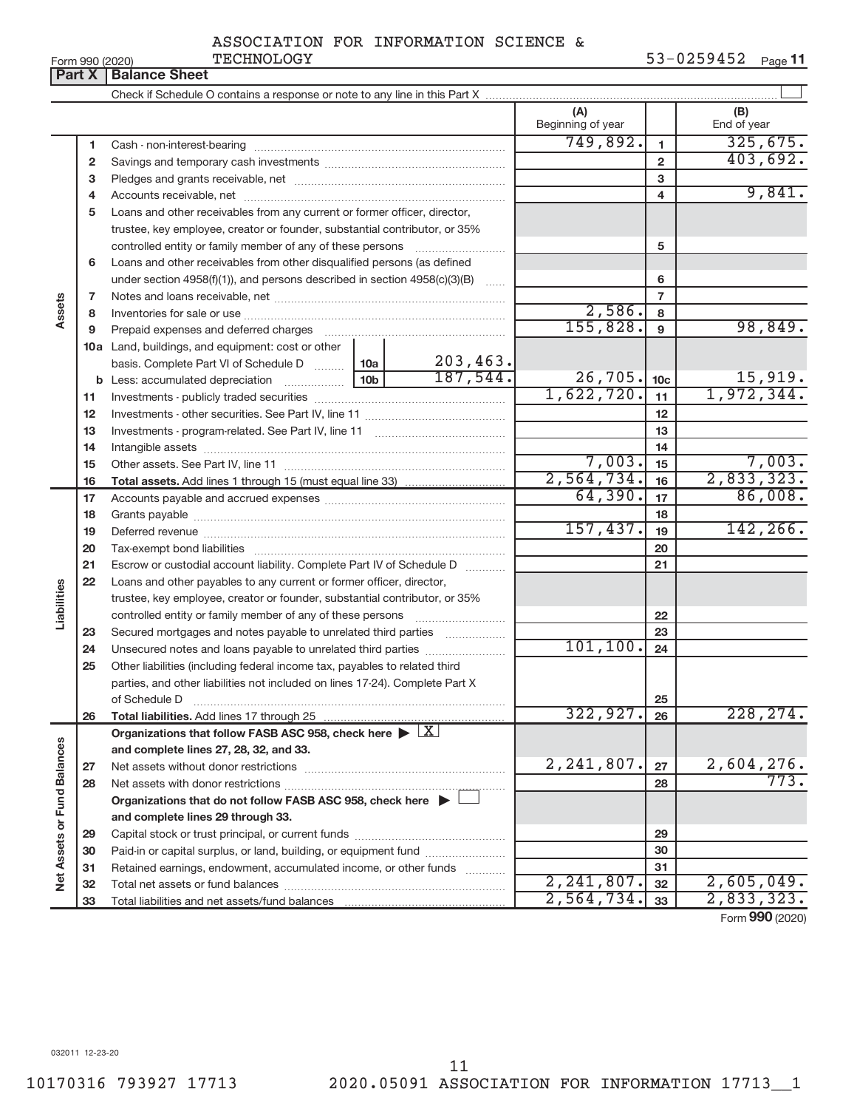| Form 990 (2020) |               |
|-----------------|---------------|
|                 | Dow V Dolongs |

Form 990 (2020) Page **11** TECHNOLOGY 53-0259452

|                             | <b>Fail A</b> | <b>Dalafice Stief</b>                                                                      |  |          |                          |                 |                    |
|-----------------------------|---------------|--------------------------------------------------------------------------------------------|--|----------|--------------------------|-----------------|--------------------|
|                             |               |                                                                                            |  |          |                          |                 |                    |
|                             |               |                                                                                            |  |          | (A)<br>Beginning of year |                 | (B)<br>End of year |
|                             | 1             |                                                                                            |  |          | 749,892.                 | 1               | 325,675.           |
|                             | 2             |                                                                                            |  |          |                          | $\mathbf{2}$    | 403,692.           |
|                             | 3             |                                                                                            |  |          |                          | з               |                    |
|                             | 4             |                                                                                            |  |          | 4                        | 9,841.          |                    |
|                             | 5             | Loans and other receivables from any current or former officer, director,                  |  |          |                          |                 |                    |
|                             |               | trustee, key employee, creator or founder, substantial contributor, or 35%                 |  |          |                          |                 |                    |
|                             |               | controlled entity or family member of any of these persons                                 |  |          |                          | 5               |                    |
|                             | 6             | Loans and other receivables from other disqualified persons (as defined                    |  |          |                          |                 |                    |
|                             |               | under section 4958(f)(1)), and persons described in section 4958(c)(3)(B)                  |  |          |                          | 6               |                    |
|                             | 7             |                                                                                            |  |          |                          | $\overline{7}$  |                    |
| Assets                      | 8             |                                                                                            |  |          | 2,586.                   | 8               |                    |
|                             | 9             |                                                                                            |  |          | 155,828.                 | 9               | 98,849.            |
|                             |               | <b>10a</b> Land, buildings, and equipment: cost or other                                   |  |          |                          |                 |                    |
|                             |               | basis. Complete Part VI of Schedule D  10a   203, 463.                                     |  |          |                          |                 |                    |
|                             |               |                                                                                            |  | 187,544. | 26, 705.                 | 10 <sub>c</sub> | 15,919.            |
|                             | 11            |                                                                                            |  |          | 1,622,720.               | 11              | 1,972,344.         |
|                             | 12            |                                                                                            |  |          | 12                       |                 |                    |
|                             | 13            |                                                                                            |  |          | 13                       |                 |                    |
|                             | 14            |                                                                                            |  |          |                          | 14              |                    |
|                             | 15            |                                                                                            |  |          | 7,003.                   | 15              | 7,003.             |
|                             | 16            |                                                                                            |  |          | 2,564,734.               | 16              | 2,833,323.         |
|                             | 17            |                                                                                            |  |          | 64,390.                  | 17              | 86,008.            |
|                             | 18            |                                                                                            |  | 18       |                          |                 |                    |
|                             | 19            |                                                                                            |  | 157,437. | 19                       | 142, 266.       |                    |
|                             | 20            |                                                                                            |  |          |                          | 20              |                    |
|                             | 21            | Escrow or custodial account liability. Complete Part IV of Schedule D                      |  |          |                          | 21              |                    |
|                             | 22            | Loans and other payables to any current or former officer, director,                       |  |          |                          |                 |                    |
|                             |               | trustee, key employee, creator or founder, substantial contributor, or 35%                 |  |          |                          |                 |                    |
| Liabilities                 |               | controlled entity or family member of any of these persons                                 |  |          |                          | 22              |                    |
|                             | 23            | Secured mortgages and notes payable to unrelated third parties                             |  |          |                          | 23              |                    |
|                             | 24            | Unsecured notes and loans payable to unrelated third parties                               |  |          | 101, 100.                | 24              |                    |
|                             | 25            | Other liabilities (including federal income tax, payables to related third                 |  |          |                          |                 |                    |
|                             |               | parties, and other liabilities not included on lines 17-24). Complete Part X               |  |          |                          |                 |                    |
|                             |               | of Schedule D                                                                              |  |          |                          | 25              |                    |
|                             | 26            | Total liabilities. Add lines 17 through 25                                                 |  |          | 322, 927.                | 26              | 228, 274.          |
|                             |               | Organizations that follow FASB ASC 958, check here $\blacktriangleright \lfloor X \rfloor$ |  |          |                          |                 |                    |
|                             |               | and complete lines 27, 28, 32, and 33.                                                     |  |          |                          |                 |                    |
|                             | 27            |                                                                                            |  |          | 2, 241, 807.             | 27              | 2,604,276.         |
|                             | 28            |                                                                                            |  |          |                          | 28              | 773.               |
|                             |               | Organizations that do not follow FASB ASC 958, check here $\blacktriangleright \Box$       |  |          |                          |                 |                    |
| Net Assets or Fund Balances |               | and complete lines 29 through 33.                                                          |  |          |                          |                 |                    |
|                             | 29            |                                                                                            |  |          |                          | 29              |                    |
|                             | 30            | Paid-in or capital surplus, or land, building, or equipment fund                           |  |          |                          | 30              |                    |
|                             | 31            | Retained earnings, endowment, accumulated income, or other funds                           |  |          |                          | 31              |                    |
|                             | 32            |                                                                                            |  |          | 2, 241, 807.             | 32              | 2,605,049.         |
|                             | 33            |                                                                                            |  |          | 2,564,734.               | 33              | 2,833,323.         |

Form (2020) **990**

032011 12-23-20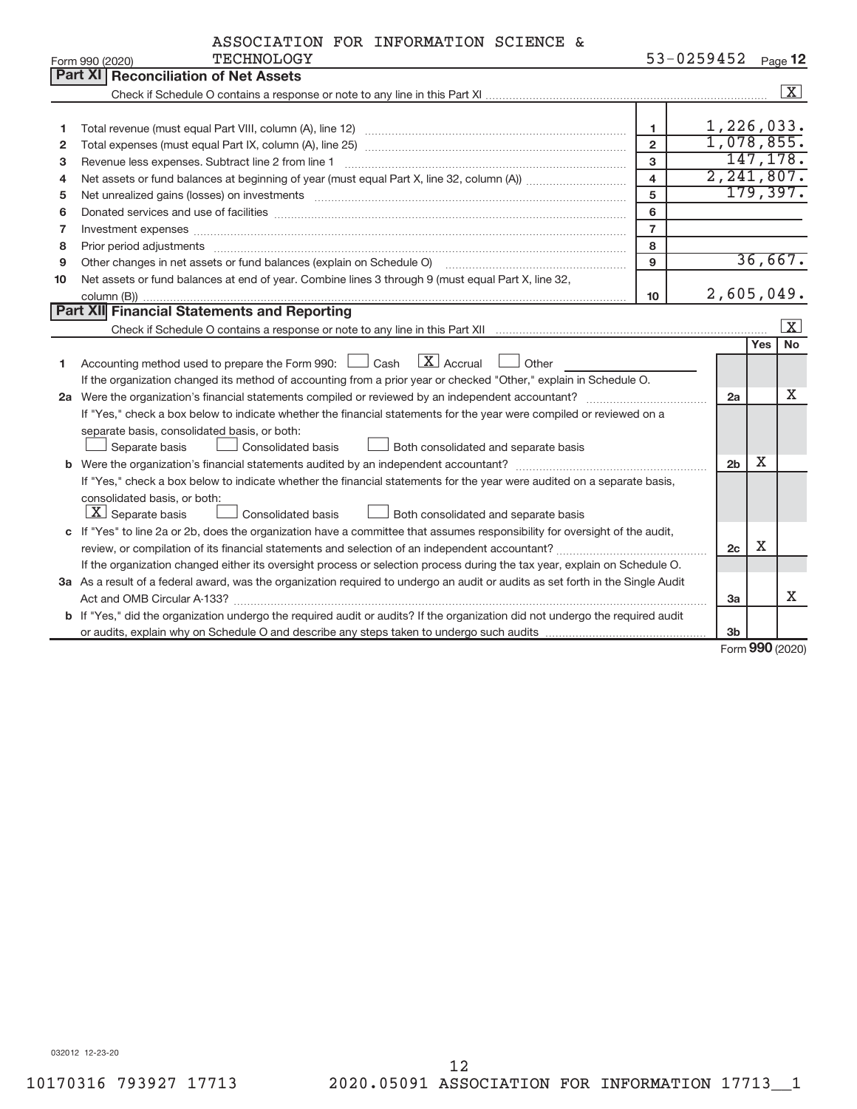| ASSOCIATION FOR INFORMATION SCIENCE & |  |  |  |  |  |
|---------------------------------------|--|--|--|--|--|
|---------------------------------------|--|--|--|--|--|

|    | <b>TECHNOLOGY</b><br>Form 990 (2020)                                                                                                 |                         | 53-0259452     |     | Page 12            |  |  |
|----|--------------------------------------------------------------------------------------------------------------------------------------|-------------------------|----------------|-----|--------------------|--|--|
|    | <b>Part XI Reconciliation of Net Assets</b>                                                                                          |                         |                |     |                    |  |  |
|    |                                                                                                                                      |                         |                |     | $\boxed{\text{X}}$ |  |  |
|    |                                                                                                                                      |                         |                |     |                    |  |  |
| 1  |                                                                                                                                      | 1.                      | 1,226,033.     |     |                    |  |  |
| 2  |                                                                                                                                      | $\overline{2}$          | 1,078,855.     |     | 147, 178.          |  |  |
| 3  | 3<br>Revenue less expenses. Subtract line 2 from line 1                                                                              |                         |                |     |                    |  |  |
| 4  |                                                                                                                                      | $\overline{\mathbf{4}}$ | 2, 241, 807.   |     |                    |  |  |
| 5  | Net unrealized gains (losses) on investments [111] www.martime.com/marting.com/marting.com/marting.com/marting.                      | 5                       |                |     | 179,397.           |  |  |
| 6  |                                                                                                                                      | 6                       |                |     |                    |  |  |
| 7  | Investment expenses www.communication.com/multiple/expenses/communications/communications/communications/                            | $\overline{7}$          |                |     |                    |  |  |
| 8  | Prior period adjustments www.communication.communication.com/news/communication.com/news/communication.com/news/                     | 8                       |                |     |                    |  |  |
| 9  | Other changes in net assets or fund balances (explain on Schedule O)                                                                 | 9                       |                |     | 36,667.            |  |  |
| 10 | Net assets or fund balances at end of year. Combine lines 3 through 9 (must equal Part X, line 32,                                   |                         |                |     |                    |  |  |
|    |                                                                                                                                      | 10                      | 2,605,049.     |     |                    |  |  |
|    | Part XII Financial Statements and Reporting                                                                                          |                         |                |     |                    |  |  |
|    |                                                                                                                                      |                         |                |     | X                  |  |  |
|    |                                                                                                                                      |                         |                | Yes | No                 |  |  |
| 1  | Accounting method used to prepare the Form 990: $\Box$ Cash $\Box$ Accrual $\Box$ Other                                              |                         |                |     |                    |  |  |
|    | If the organization changed its method of accounting from a prior year or checked "Other," explain in Schedule O.                    |                         |                |     |                    |  |  |
|    | 2a Were the organization's financial statements compiled or reviewed by an independent accountant?                                   |                         | 2a             |     | x                  |  |  |
|    | If "Yes," check a box below to indicate whether the financial statements for the year were compiled or reviewed on a                 |                         |                |     |                    |  |  |
|    | separate basis, consolidated basis, or both:                                                                                         |                         |                |     |                    |  |  |
|    | Both consolidated and separate basis<br>Separate basis<br>Consolidated basis                                                         |                         |                |     |                    |  |  |
|    |                                                                                                                                      |                         | 2 <sub>b</sub> | x   |                    |  |  |
|    | If "Yes," check a box below to indicate whether the financial statements for the year were audited on a separate basis,              |                         |                |     |                    |  |  |
|    | consolidated basis, or both:                                                                                                         |                         |                |     |                    |  |  |
|    | $ \mathbf{X} $ Separate basis<br>Consolidated basis<br>Both consolidated and separate basis                                          |                         |                |     |                    |  |  |
|    | c If "Yes" to line 2a or 2b, does the organization have a committee that assumes responsibility for oversight of the audit,          |                         |                |     |                    |  |  |
|    | review, or compilation of its financial statements and selection of an independent accountant?                                       |                         | 2c             | X   |                    |  |  |
|    | If the organization changed either its oversight process or selection process during the tax year, explain on Schedule O.            |                         |                |     |                    |  |  |
|    | 3a As a result of a federal award, was the organization required to undergo an audit or audits as set forth in the Single Audit      |                         |                |     |                    |  |  |
|    |                                                                                                                                      |                         | 3a             |     | Χ                  |  |  |
|    | <b>b</b> If "Yes," did the organization undergo the required audit or audits? If the organization did not undergo the required audit |                         |                |     |                    |  |  |
|    |                                                                                                                                      |                         | 3 <sub>b</sub> |     |                    |  |  |

Form (2020) **990**

032012 12-23-20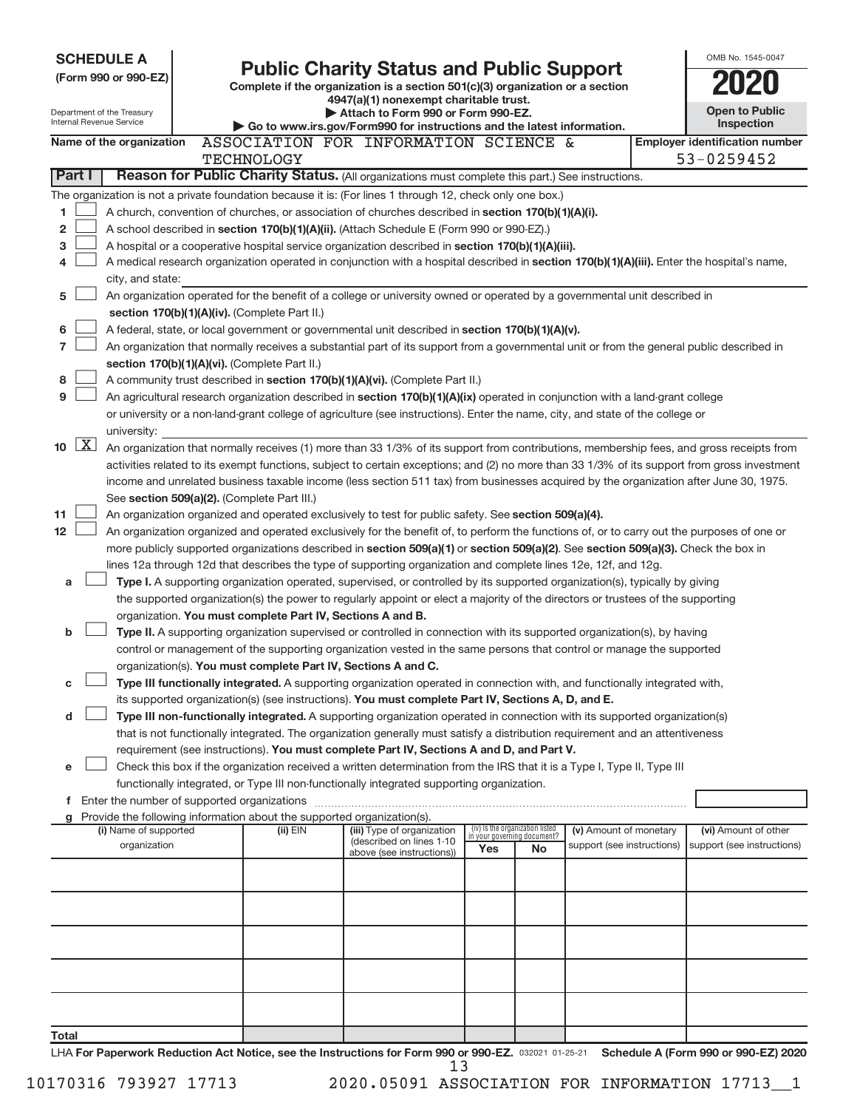| <b>SCHEDULE A</b>                                                                                                                                                     |                                                                                                                                               |                                                                                                                                 |                                 |    |                                                      |  | OMB No. 1545-0047                                  |  |
|-----------------------------------------------------------------------------------------------------------------------------------------------------------------------|-----------------------------------------------------------------------------------------------------------------------------------------------|---------------------------------------------------------------------------------------------------------------------------------|---------------------------------|----|------------------------------------------------------|--|----------------------------------------------------|--|
| (Form 990 or 990-EZ)                                                                                                                                                  |                                                                                                                                               | <b>Public Charity Status and Public Support</b>                                                                                 |                                 |    |                                                      |  |                                                    |  |
|                                                                                                                                                                       |                                                                                                                                               | Complete if the organization is a section 501(c)(3) organization or a section<br>4947(a)(1) nonexempt charitable trust.         |                                 |    |                                                      |  |                                                    |  |
| Department of the Treasury                                                                                                                                            |                                                                                                                                               | Attach to Form 990 or Form 990-EZ.                                                                                              |                                 |    |                                                      |  | <b>Open to Public</b>                              |  |
| Internal Revenue Service                                                                                                                                              |                                                                                                                                               | Go to www.irs.gov/Form990 for instructions and the latest information.                                                          |                                 |    |                                                      |  | <b>Inspection</b>                                  |  |
| Name of the organization                                                                                                                                              |                                                                                                                                               | ASSOCIATION FOR INFORMATION SCIENCE &                                                                                           |                                 |    |                                                      |  | <b>Employer identification number</b>              |  |
|                                                                                                                                                                       | <b>TECHNOLOGY</b>                                                                                                                             |                                                                                                                                 |                                 |    |                                                      |  | 53-0259452                                         |  |
| Part I                                                                                                                                                                |                                                                                                                                               | Reason for Public Charity Status. (All organizations must complete this part.) See instructions.                                |                                 |    |                                                      |  |                                                    |  |
| The organization is not a private foundation because it is: (For lines 1 through 12, check only one box.)                                                             |                                                                                                                                               |                                                                                                                                 |                                 |    |                                                      |  |                                                    |  |
| A church, convention of churches, or association of churches described in section 170(b)(1)(A)(i).<br>1                                                               |                                                                                                                                               |                                                                                                                                 |                                 |    |                                                      |  |                                                    |  |
| $\mathbf{2}$<br>A school described in section 170(b)(1)(A)(ii). (Attach Schedule E (Form 990 or 990-EZ).)                                                             |                                                                                                                                               |                                                                                                                                 |                                 |    |                                                      |  |                                                    |  |
| 3<br>A hospital or a cooperative hospital service organization described in section 170(b)(1)(A)(iii).                                                                |                                                                                                                                               |                                                                                                                                 |                                 |    |                                                      |  |                                                    |  |
| A medical research organization operated in conjunction with a hospital described in section 170(b)(1)(A)(iii). Enter the hospital's name,<br>4                       |                                                                                                                                               |                                                                                                                                 |                                 |    |                                                      |  |                                                    |  |
| 5                                                                                                                                                                     | city, and state:<br>An organization operated for the benefit of a college or university owned or operated by a governmental unit described in |                                                                                                                                 |                                 |    |                                                      |  |                                                    |  |
| section 170(b)(1)(A)(iv). (Complete Part II.)                                                                                                                         |                                                                                                                                               |                                                                                                                                 |                                 |    |                                                      |  |                                                    |  |
| 6<br>A federal, state, or local government or governmental unit described in section 170(b)(1)(A)(v).                                                                 |                                                                                                                                               |                                                                                                                                 |                                 |    |                                                      |  |                                                    |  |
| $\overline{7}$<br>An organization that normally receives a substantial part of its support from a governmental unit or from the general public described in           |                                                                                                                                               |                                                                                                                                 |                                 |    |                                                      |  |                                                    |  |
| section 170(b)(1)(A)(vi). (Complete Part II.)                                                                                                                         |                                                                                                                                               |                                                                                                                                 |                                 |    |                                                      |  |                                                    |  |
| 8<br>A community trust described in section 170(b)(1)(A)(vi). (Complete Part II.)                                                                                     |                                                                                                                                               |                                                                                                                                 |                                 |    |                                                      |  |                                                    |  |
| 9<br>An agricultural research organization described in section 170(b)(1)(A)(ix) operated in conjunction with a land-grant college                                    |                                                                                                                                               |                                                                                                                                 |                                 |    |                                                      |  |                                                    |  |
| or university or a non-land-grant college of agriculture (see instructions). Enter the name, city, and state of the college or                                        |                                                                                                                                               |                                                                                                                                 |                                 |    |                                                      |  |                                                    |  |
| university:                                                                                                                                                           |                                                                                                                                               |                                                                                                                                 |                                 |    |                                                      |  |                                                    |  |
| $\lfloor x \rfloor$<br>10<br>An organization that normally receives (1) more than 33 1/3% of its support from contributions, membership fees, and gross receipts from |                                                                                                                                               |                                                                                                                                 |                                 |    |                                                      |  |                                                    |  |
| activities related to its exempt functions, subject to certain exceptions; and (2) no more than 33 1/3% of its support from gross investment                          |                                                                                                                                               |                                                                                                                                 |                                 |    |                                                      |  |                                                    |  |
| income and unrelated business taxable income (less section 511 tax) from businesses acquired by the organization after June 30, 1975.                                 |                                                                                                                                               |                                                                                                                                 |                                 |    |                                                      |  |                                                    |  |
| See section 509(a)(2). (Complete Part III.)                                                                                                                           |                                                                                                                                               |                                                                                                                                 |                                 |    |                                                      |  |                                                    |  |
| 11<br>An organization organized and operated exclusively to test for public safety. See section 509(a)(4).                                                            |                                                                                                                                               |                                                                                                                                 |                                 |    |                                                      |  |                                                    |  |
| 12<br>An organization organized and operated exclusively for the benefit of, to perform the functions of, or to carry out the purposes of one or                      |                                                                                                                                               |                                                                                                                                 |                                 |    |                                                      |  |                                                    |  |
| more publicly supported organizations described in section 509(a)(1) or section 509(a)(2). See section 509(a)(3). Check the box in                                    |                                                                                                                                               |                                                                                                                                 |                                 |    |                                                      |  |                                                    |  |
| lines 12a through 12d that describes the type of supporting organization and complete lines 12e, 12f, and 12g.                                                        |                                                                                                                                               |                                                                                                                                 |                                 |    |                                                      |  |                                                    |  |
| a                                                                                                                                                                     |                                                                                                                                               | Type I. A supporting organization operated, supervised, or controlled by its supported organization(s), typically by giving     |                                 |    |                                                      |  |                                                    |  |
| organization. You must complete Part IV, Sections A and B.                                                                                                            |                                                                                                                                               | the supported organization(s) the power to regularly appoint or elect a majority of the directors or trustees of the supporting |                                 |    |                                                      |  |                                                    |  |
| b                                                                                                                                                                     |                                                                                                                                               | Type II. A supporting organization supervised or controlled in connection with its supported organization(s), by having         |                                 |    |                                                      |  |                                                    |  |
|                                                                                                                                                                       |                                                                                                                                               | control or management of the supporting organization vested in the same persons that control or manage the supported            |                                 |    |                                                      |  |                                                    |  |
| organization(s). You must complete Part IV, Sections A and C.                                                                                                         |                                                                                                                                               |                                                                                                                                 |                                 |    |                                                      |  |                                                    |  |
| С                                                                                                                                                                     |                                                                                                                                               | Type III functionally integrated. A supporting organization operated in connection with, and functionally integrated with,      |                                 |    |                                                      |  |                                                    |  |
|                                                                                                                                                                       |                                                                                                                                               | its supported organization(s) (see instructions). You must complete Part IV, Sections A, D, and E.                              |                                 |    |                                                      |  |                                                    |  |
| d                                                                                                                                                                     |                                                                                                                                               | Type III non-functionally integrated. A supporting organization operated in connection with its supported organization(s)       |                                 |    |                                                      |  |                                                    |  |
|                                                                                                                                                                       |                                                                                                                                               | that is not functionally integrated. The organization generally must satisfy a distribution requirement and an attentiveness    |                                 |    |                                                      |  |                                                    |  |
|                                                                                                                                                                       |                                                                                                                                               | requirement (see instructions). You must complete Part IV, Sections A and D, and Part V.                                        |                                 |    |                                                      |  |                                                    |  |
| e                                                                                                                                                                     |                                                                                                                                               | Check this box if the organization received a written determination from the IRS that it is a Type I, Type II, Type III         |                                 |    |                                                      |  |                                                    |  |
|                                                                                                                                                                       |                                                                                                                                               | functionally integrated, or Type III non-functionally integrated supporting organization.                                       |                                 |    |                                                      |  |                                                    |  |
|                                                                                                                                                                       |                                                                                                                                               |                                                                                                                                 |                                 |    |                                                      |  |                                                    |  |
| Provide the following information about the supported organization(s).<br>g                                                                                           |                                                                                                                                               |                                                                                                                                 | (iv) Is the organization listed |    |                                                      |  |                                                    |  |
| (i) Name of supported<br>organization                                                                                                                                 | (ii) EIN                                                                                                                                      | (iii) Type of organization<br>(described on lines 1-10                                                                          | in your governing document?     |    | (v) Amount of monetary<br>support (see instructions) |  | (vi) Amount of other<br>support (see instructions) |  |
|                                                                                                                                                                       |                                                                                                                                               | above (see instructions))                                                                                                       | Yes                             | No |                                                      |  |                                                    |  |
|                                                                                                                                                                       |                                                                                                                                               |                                                                                                                                 |                                 |    |                                                      |  |                                                    |  |
|                                                                                                                                                                       |                                                                                                                                               |                                                                                                                                 |                                 |    |                                                      |  |                                                    |  |
|                                                                                                                                                                       |                                                                                                                                               |                                                                                                                                 |                                 |    |                                                      |  |                                                    |  |
|                                                                                                                                                                       |                                                                                                                                               |                                                                                                                                 |                                 |    |                                                      |  |                                                    |  |
|                                                                                                                                                                       |                                                                                                                                               |                                                                                                                                 |                                 |    |                                                      |  |                                                    |  |
|                                                                                                                                                                       |                                                                                                                                               |                                                                                                                                 |                                 |    |                                                      |  |                                                    |  |
|                                                                                                                                                                       |                                                                                                                                               |                                                                                                                                 |                                 |    |                                                      |  |                                                    |  |
|                                                                                                                                                                       |                                                                                                                                               |                                                                                                                                 |                                 |    |                                                      |  |                                                    |  |
|                                                                                                                                                                       |                                                                                                                                               |                                                                                                                                 |                                 |    |                                                      |  |                                                    |  |
| Total                                                                                                                                                                 |                                                                                                                                               |                                                                                                                                 |                                 |    |                                                      |  |                                                    |  |
| UA For Department Poduction Act Notice, and the Instructions for Form 000 or 000 FZ, seems at as at Rephadule A (Form 000 or 000 FZ) 2020                             |                                                                                                                                               |                                                                                                                                 |                                 |    |                                                      |  |                                                    |  |

LHA For Paperwork Reduction Act Notice, see the Instructions for Form 990 or 990-EZ. 032021 01-25-21 Schedule A (Form 990 or 990-EZ) 2020 13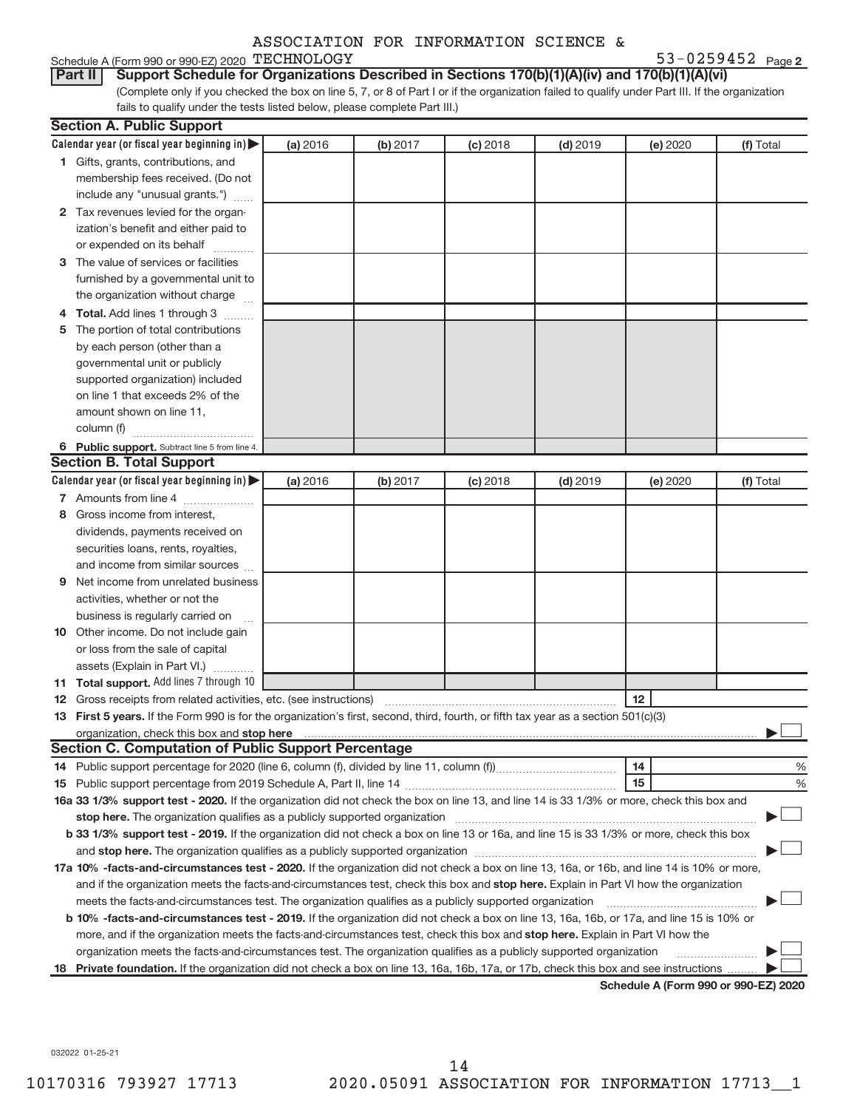| 53-0259452 $_{Page2}$ |  |
|-----------------------|--|
|-----------------------|--|

#### Schedule A (Form 990 or 990-EZ) 2020  $\tt TECHNOLOGY$   $\tt 53-0259452$   $\tt Page$

(Complete only if you checked the box on line 5, 7, or 8 of Part I or if the organization failed to qualify under Part III. If the organization **Part II** Support Schedule for Organizations Described in Sections 170(b)(1)(A)(iv) and 170(b)(1)(A)(vi)

fails to qualify under the tests listed below, please complete Part III.)

|     | <b>Section A. Public Support</b>                                                                                                                                                                                                                                                                  |          |          |            |            |                                      |           |
|-----|---------------------------------------------------------------------------------------------------------------------------------------------------------------------------------------------------------------------------------------------------------------------------------------------------|----------|----------|------------|------------|--------------------------------------|-----------|
|     | Calendar year (or fiscal year beginning in)                                                                                                                                                                                                                                                       | (a) 2016 | (b) 2017 | $(c)$ 2018 | $(d)$ 2019 | (e) 2020                             | (f) Total |
|     | 1 Gifts, grants, contributions, and                                                                                                                                                                                                                                                               |          |          |            |            |                                      |           |
|     | membership fees received. (Do not                                                                                                                                                                                                                                                                 |          |          |            |            |                                      |           |
|     | include any "unusual grants.")                                                                                                                                                                                                                                                                    |          |          |            |            |                                      |           |
|     | 2 Tax revenues levied for the organ-                                                                                                                                                                                                                                                              |          |          |            |            |                                      |           |
|     | ization's benefit and either paid to                                                                                                                                                                                                                                                              |          |          |            |            |                                      |           |
|     | or expended on its behalf                                                                                                                                                                                                                                                                         |          |          |            |            |                                      |           |
|     | 3 The value of services or facilities                                                                                                                                                                                                                                                             |          |          |            |            |                                      |           |
|     | furnished by a governmental unit to                                                                                                                                                                                                                                                               |          |          |            |            |                                      |           |
|     | the organization without charge                                                                                                                                                                                                                                                                   |          |          |            |            |                                      |           |
| 4   | Total. Add lines 1 through 3                                                                                                                                                                                                                                                                      |          |          |            |            |                                      |           |
| 5   | The portion of total contributions                                                                                                                                                                                                                                                                |          |          |            |            |                                      |           |
|     | by each person (other than a                                                                                                                                                                                                                                                                      |          |          |            |            |                                      |           |
|     | governmental unit or publicly                                                                                                                                                                                                                                                                     |          |          |            |            |                                      |           |
|     | supported organization) included                                                                                                                                                                                                                                                                  |          |          |            |            |                                      |           |
|     | on line 1 that exceeds 2% of the                                                                                                                                                                                                                                                                  |          |          |            |            |                                      |           |
|     | amount shown on line 11,                                                                                                                                                                                                                                                                          |          |          |            |            |                                      |           |
|     | column (f)                                                                                                                                                                                                                                                                                        |          |          |            |            |                                      |           |
|     | 6 Public support. Subtract line 5 from line 4.                                                                                                                                                                                                                                                    |          |          |            |            |                                      |           |
|     | <b>Section B. Total Support</b>                                                                                                                                                                                                                                                                   |          |          |            |            |                                      |           |
|     | Calendar year (or fiscal year beginning in)                                                                                                                                                                                                                                                       | (a) 2016 | (b) 2017 | $(c)$ 2018 | $(d)$ 2019 | (e) 2020                             | (f) Total |
|     | 7 Amounts from line 4                                                                                                                                                                                                                                                                             |          |          |            |            |                                      |           |
| 8   | Gross income from interest.                                                                                                                                                                                                                                                                       |          |          |            |            |                                      |           |
|     | dividends, payments received on                                                                                                                                                                                                                                                                   |          |          |            |            |                                      |           |
|     | securities loans, rents, royalties,                                                                                                                                                                                                                                                               |          |          |            |            |                                      |           |
|     | and income from similar sources                                                                                                                                                                                                                                                                   |          |          |            |            |                                      |           |
| 9   | Net income from unrelated business                                                                                                                                                                                                                                                                |          |          |            |            |                                      |           |
|     | activities, whether or not the                                                                                                                                                                                                                                                                    |          |          |            |            |                                      |           |
|     | business is regularly carried on                                                                                                                                                                                                                                                                  |          |          |            |            |                                      |           |
|     | 10 Other income. Do not include gain                                                                                                                                                                                                                                                              |          |          |            |            |                                      |           |
|     | or loss from the sale of capital                                                                                                                                                                                                                                                                  |          |          |            |            |                                      |           |
|     | assets (Explain in Part VI.)                                                                                                                                                                                                                                                                      |          |          |            |            |                                      |           |
| 11  | <b>Total support.</b> Add lines 7 through 10                                                                                                                                                                                                                                                      |          |          |            |            |                                      |           |
| 12  | Gross receipts from related activities, etc. (see instructions)                                                                                                                                                                                                                                   |          |          |            |            | 12                                   |           |
|     | 13 First 5 years. If the Form 990 is for the organization's first, second, third, fourth, or fifth tax year as a section 501(c)(3)                                                                                                                                                                |          |          |            |            |                                      |           |
|     | organization, check this box and stop here <b>construction and construction</b> control and construction of the construction of the construction of the construction of the construction of the construction of the construction of<br><b>Section C. Computation of Public Support Percentage</b> |          |          |            |            |                                      |           |
|     |                                                                                                                                                                                                                                                                                                   |          |          |            |            | 14                                   | %         |
|     |                                                                                                                                                                                                                                                                                                   |          |          |            |            | 15                                   | %         |
|     | 16a 33 1/3% support test - 2020. If the organization did not check the box on line 13, and line 14 is 33 1/3% or more, check this box and                                                                                                                                                         |          |          |            |            |                                      |           |
|     |                                                                                                                                                                                                                                                                                                   |          |          |            |            |                                      |           |
|     | b 33 1/3% support test - 2019. If the organization did not check a box on line 13 or 16a, and line 15 is 33 1/3% or more, check this box                                                                                                                                                          |          |          |            |            |                                      |           |
|     | and stop here. The organization qualifies as a publicly supported organization [11] manuscription [11] and stop here. The organization [11] and stop here. The organization [11] and stop here. The organization [11] and stop                                                                    |          |          |            |            |                                      |           |
|     | 17a 10% -facts-and-circumstances test - 2020. If the organization did not check a box on line 13, 16a, or 16b, and line 14 is 10% or more,                                                                                                                                                        |          |          |            |            |                                      |           |
|     | and if the organization meets the facts-and-circumstances test, check this box and stop here. Explain in Part VI how the organization                                                                                                                                                             |          |          |            |            |                                      |           |
|     | meets the facts-and-circumstances test. The organization qualifies as a publicly supported organization                                                                                                                                                                                           |          |          |            |            |                                      |           |
|     | b 10% -facts-and-circumstances test - 2019. If the organization did not check a box on line 13, 16a, 16b, or 17a, and line 15 is 10% or                                                                                                                                                           |          |          |            |            |                                      |           |
|     | more, and if the organization meets the facts-and-circumstances test, check this box and stop here. Explain in Part VI how the                                                                                                                                                                    |          |          |            |            |                                      |           |
|     | organization meets the facts-and-circumstances test. The organization qualifies as a publicly supported organization                                                                                                                                                                              |          |          |            |            |                                      |           |
| 18. | Private foundation. If the organization did not check a box on line 13, 16a, 16b, 17a, or 17b, check this box and see instructions.                                                                                                                                                               |          |          |            |            |                                      |           |
|     |                                                                                                                                                                                                                                                                                                   |          |          |            |            | Schedule A (Form 990 or 990-EZ) 2020 |           |

032022 01-25-21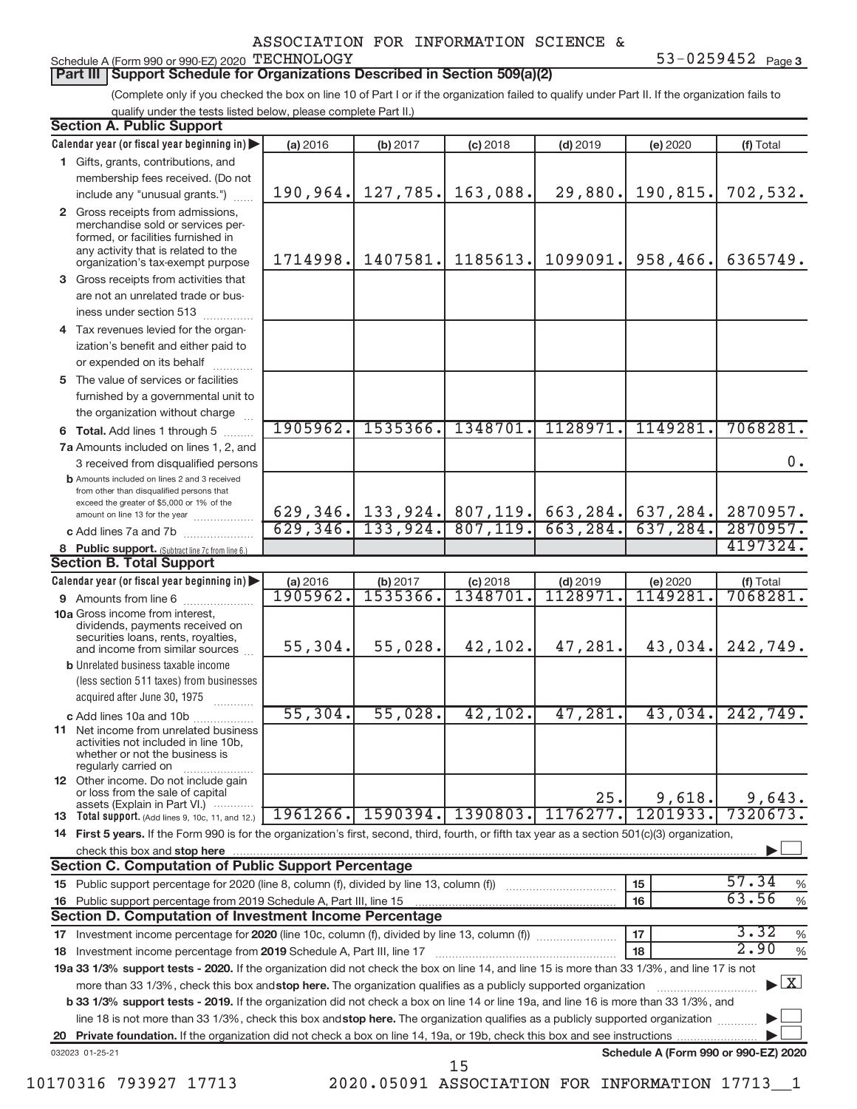#### Schedule A (Form 990 or 990-EZ) 2020  $\tt TECHNOLOGY$   $\tt 53-0259452$   $\tt Page$

**Part III | Support Schedule for Organizations Described in Section 509(a)(2)** 

(Complete only if you checked the box on line 10 of Part I or if the organization failed to qualify under Part II. If the organization fails to qualify under the tests listed below, please complete Part II.)

| <b>Section A. Public Support</b>                                                                                                                                                         |           |                        |            |                       |                                      |                                   |  |  |  |
|------------------------------------------------------------------------------------------------------------------------------------------------------------------------------------------|-----------|------------------------|------------|-----------------------|--------------------------------------|-----------------------------------|--|--|--|
| Calendar year (or fiscal year beginning in)                                                                                                                                              | (a) 2016  | (b) 2017               | $(c)$ 2018 | $(d)$ 2019            | (e) 2020                             | (f) Total                         |  |  |  |
| 1 Gifts, grants, contributions, and                                                                                                                                                      |           |                        |            |                       |                                      |                                   |  |  |  |
| membership fees received. (Do not                                                                                                                                                        |           |                        |            |                       |                                      |                                   |  |  |  |
| include any "unusual grants.")                                                                                                                                                           | 190,964.  | 127,785.               | 163,088.   | 29,880.               | 190,815.                             | 702,532.                          |  |  |  |
| 2 Gross receipts from admissions,<br>merchandise sold or services per-<br>formed, or facilities furnished in<br>any activity that is related to the<br>organization's tax-exempt purpose | 1714998.  | 1407581.               | 1185613.   | 1099091.              | 958,466.                             | 6365749.                          |  |  |  |
| 3 Gross receipts from activities that                                                                                                                                                    |           |                        |            |                       |                                      |                                   |  |  |  |
| are not an unrelated trade or bus-                                                                                                                                                       |           |                        |            |                       |                                      |                                   |  |  |  |
| iness under section 513                                                                                                                                                                  |           |                        |            |                       |                                      |                                   |  |  |  |
| 4 Tax revenues levied for the organ-                                                                                                                                                     |           |                        |            |                       |                                      |                                   |  |  |  |
| ization's benefit and either paid to                                                                                                                                                     |           |                        |            |                       |                                      |                                   |  |  |  |
| or expended on its behalf                                                                                                                                                                |           |                        |            |                       |                                      |                                   |  |  |  |
| 5 The value of services or facilities                                                                                                                                                    |           |                        |            |                       |                                      |                                   |  |  |  |
| furnished by a governmental unit to                                                                                                                                                      |           |                        |            |                       |                                      |                                   |  |  |  |
| the organization without charge                                                                                                                                                          |           |                        |            |                       |                                      |                                   |  |  |  |
| 6 Total. Add lines 1 through 5                                                                                                                                                           | 1905962.  | 1535366.               | 1348701    | 1128971               | 1149281                              | 7068281.                          |  |  |  |
| 7a Amounts included on lines 1, 2, and<br>3 received from disqualified persons                                                                                                           |           |                        |            |                       |                                      | 0.                                |  |  |  |
| <b>b</b> Amounts included on lines 2 and 3 received                                                                                                                                      |           |                        |            |                       |                                      |                                   |  |  |  |
| from other than disqualified persons that                                                                                                                                                |           |                        |            |                       |                                      |                                   |  |  |  |
| exceed the greater of \$5,000 or 1% of the<br>amount on line 13 for the year                                                                                                             |           | $629, 346$ . 133, 924. |            | 807, 119.   663, 284. | 637,284.                             | 2870957.                          |  |  |  |
| c Add lines 7a and 7b                                                                                                                                                                    | 629, 346. | 133,924.               | 807, 119.  | 663, 284.             | 637, 284.                            | 2870957.                          |  |  |  |
| 8 Public support. (Subtract line 7c from line 6.)                                                                                                                                        |           |                        |            |                       |                                      | 4197324.                          |  |  |  |
| <b>Section B. Total Support</b>                                                                                                                                                          |           |                        |            |                       |                                      |                                   |  |  |  |
| Calendar year (or fiscal year beginning in)                                                                                                                                              | (a) 2016  | (b) 2017               | $(c)$ 2018 | $(d)$ 2019            | (e) 2020                             | (f) Total                         |  |  |  |
| 9 Amounts from line 6                                                                                                                                                                    | 1905962.  | 1535366                | 1348701    | 1128971               | 1149281                              | 7068281.                          |  |  |  |
| <b>10a</b> Gross income from interest,<br>dividends, payments received on<br>securities loans, rents, royalties,                                                                         | 55,304.   | 55,028.                | 42,102.    | 47,281.               | 43,034.                              | 242,749.                          |  |  |  |
| and income from similar sources                                                                                                                                                          |           |                        |            |                       |                                      |                                   |  |  |  |
| <b>b</b> Unrelated business taxable income<br>(less section 511 taxes) from businesses                                                                                                   |           |                        |            |                       |                                      |                                   |  |  |  |
| acquired after June 30, 1975                                                                                                                                                             |           |                        |            |                       |                                      |                                   |  |  |  |
| c Add lines 10a and 10b                                                                                                                                                                  | 55,304.   | 55,028.                | 42, 102.   | 47,281.               | 43,034.                              | 242,749.                          |  |  |  |
| 11 Net income from unrelated business<br>activities not included in line 10b,<br>whether or not the business is<br>regularly carried on                                                  |           |                        |            |                       |                                      |                                   |  |  |  |
| 12 Other income. Do not include gain<br>or loss from the sale of capital                                                                                                                 |           |                        |            | 25.                   | 9,618.                               | 9,643.                            |  |  |  |
| assets (Explain in Part VI.)<br><b>13</b> Total support. (Add lines 9, 10c, 11, and 12.)                                                                                                 | 1961266.  | 1590394.               | 1390803.   | 1176277.              | 1201933.                             | 7320673.                          |  |  |  |
| 14 First 5 years. If the Form 990 is for the organization's first, second, third, fourth, or fifth tax year as a section 501(c)(3) organization,                                         |           |                        |            |                       |                                      |                                   |  |  |  |
| check this box and stop here                                                                                                                                                             |           |                        |            |                       |                                      |                                   |  |  |  |
| <b>Section C. Computation of Public Support Percentage</b>                                                                                                                               |           |                        |            |                       |                                      |                                   |  |  |  |
| 15 Public support percentage for 2020 (line 8, column (f), divided by line 13, column (f) <i></i>                                                                                        |           |                        |            |                       | 15                                   | 57.34<br>%                        |  |  |  |
|                                                                                                                                                                                          |           |                        |            |                       | 16                                   | 63.56<br>$\%$                     |  |  |  |
| <b>Section D. Computation of Investment Income Percentage</b>                                                                                                                            |           |                        |            |                       |                                      |                                   |  |  |  |
|                                                                                                                                                                                          |           |                        |            |                       | 17                                   | 3.32<br>$\%$                      |  |  |  |
| 18 Investment income percentage from 2019 Schedule A, Part III, line 17                                                                                                                  |           |                        |            |                       | 18                                   | 2.90<br>$\%$                      |  |  |  |
| 19a 33 1/3% support tests - 2020. If the organization did not check the box on line 14, and line 15 is more than 33 1/3%, and line 17 is not                                             |           |                        |            |                       |                                      |                                   |  |  |  |
| more than 33 1/3%, check this box and stop here. The organization qualifies as a publicly supported organization                                                                         |           |                        |            |                       |                                      | $\blacktriangleright$ $\lfloor$ X |  |  |  |
| b 33 1/3% support tests - 2019. If the organization did not check a box on line 14 or line 19a, and line 16 is more than 33 1/3%, and                                                    |           |                        |            |                       |                                      |                                   |  |  |  |
| line 18 is not more than 33 1/3%, check this box andstop here. The organization qualifies as a publicly supported organization                                                           |           |                        |            |                       |                                      |                                   |  |  |  |
|                                                                                                                                                                                          |           |                        |            |                       |                                      |                                   |  |  |  |
| 032023 01-25-21                                                                                                                                                                          |           |                        | 15         |                       | Schedule A (Form 990 or 990-EZ) 2020 |                                   |  |  |  |

10170316 793927 17713 2020.05091 ASSOCIATION FOR INFORMATION 17713\_\_1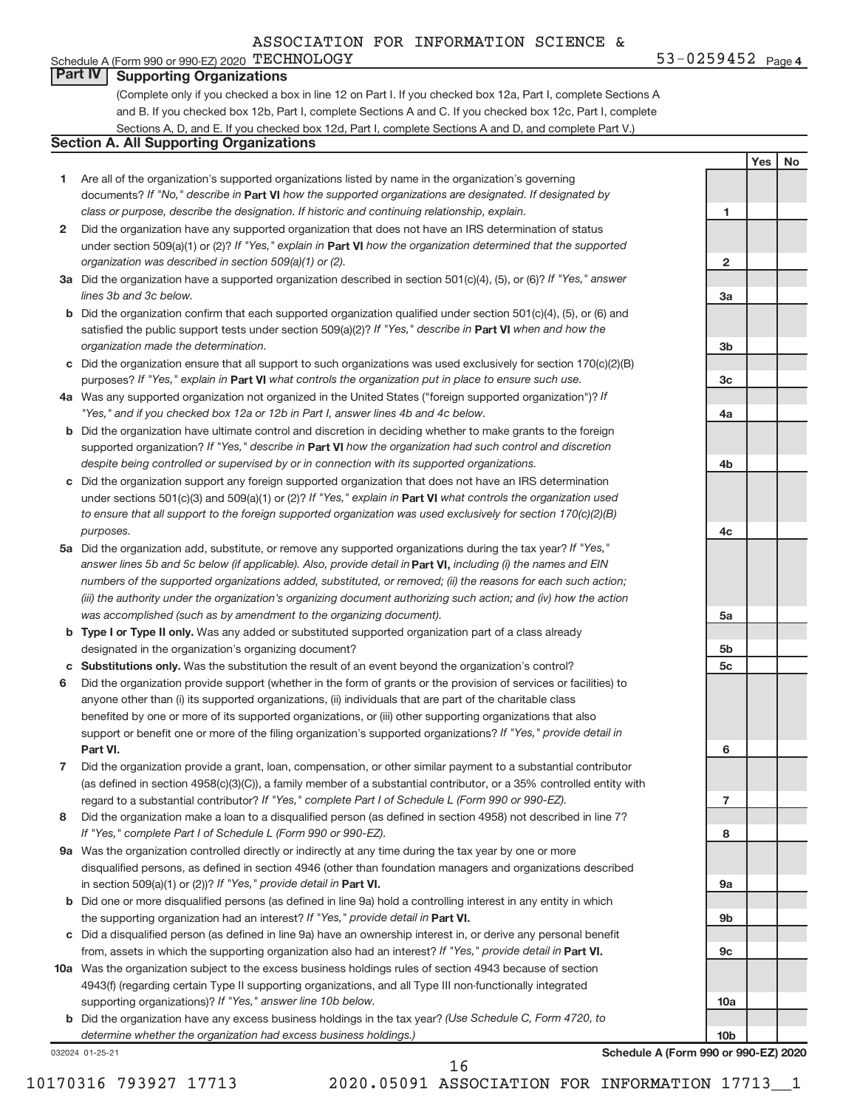#### Schedule A (Form 990 or 990-EZ) 2020  $\tt TECHNOLOGY$   $\tt 53-0259452$   $\tt Page$ **Part IV Supporting Organizations**

(Complete only if you checked a box in line 12 on Part I. If you checked box 12a, Part I, complete Sections A and B. If you checked box 12b, Part I, complete Sections A and C. If you checked box 12c, Part I, complete Sections A, D, and E. If you checked box 12d, Part I, complete Sections A and D, and complete Part V.)

### **Section A. All Supporting Organizations**

- **1** Are all of the organization's supported organizations listed by name in the organization's governing documents? If "No," describe in Part VI how the supported organizations are designated. If designated by *class or purpose, describe the designation. If historic and continuing relationship, explain.*
- **2** Did the organization have any supported organization that does not have an IRS determination of status under section 509(a)(1) or (2)? If "Yes," explain in Part VI how the organization determined that the supported *organization was described in section 509(a)(1) or (2).*
- **3a** Did the organization have a supported organization described in section 501(c)(4), (5), or (6)? If "Yes," answer *lines 3b and 3c below.*
- **b** Did the organization confirm that each supported organization qualified under section 501(c)(4), (5), or (6) and satisfied the public support tests under section 509(a)(2)? If "Yes," describe in Part VI when and how the *organization made the determination.*
- **c** Did the organization ensure that all support to such organizations was used exclusively for section 170(c)(2)(B) purposes? If "Yes," explain in Part VI what controls the organization put in place to ensure such use.
- **4 a** *If* Was any supported organization not organized in the United States ("foreign supported organization")? *"Yes," and if you checked box 12a or 12b in Part I, answer lines 4b and 4c below.*
- **b** Did the organization have ultimate control and discretion in deciding whether to make grants to the foreign supported organization? If "Yes," describe in Part VI how the organization had such control and discretion *despite being controlled or supervised by or in connection with its supported organizations.*
- **c** Did the organization support any foreign supported organization that does not have an IRS determination under sections 501(c)(3) and 509(a)(1) or (2)? If "Yes," explain in Part VI what controls the organization used *to ensure that all support to the foreign supported organization was used exclusively for section 170(c)(2)(B) purposes.*
- **5a** Did the organization add, substitute, or remove any supported organizations during the tax year? If "Yes," answer lines 5b and 5c below (if applicable). Also, provide detail in **Part VI,** including (i) the names and EIN *numbers of the supported organizations added, substituted, or removed; (ii) the reasons for each such action; (iii) the authority under the organization's organizing document authorizing such action; and (iv) how the action was accomplished (such as by amendment to the organizing document).*
- **b** Type I or Type II only. Was any added or substituted supported organization part of a class already designated in the organization's organizing document?
- **c Substitutions only.**  Was the substitution the result of an event beyond the organization's control?
- **6** Did the organization provide support (whether in the form of grants or the provision of services or facilities) to **Part VI.** support or benefit one or more of the filing organization's supported organizations? If "Yes," provide detail in anyone other than (i) its supported organizations, (ii) individuals that are part of the charitable class benefited by one or more of its supported organizations, or (iii) other supporting organizations that also
- **7** Did the organization provide a grant, loan, compensation, or other similar payment to a substantial contributor regard to a substantial contributor? If "Yes," complete Part I of Schedule L (Form 990 or 990-EZ). (as defined in section 4958(c)(3)(C)), a family member of a substantial contributor, or a 35% controlled entity with
- **8** Did the organization make a loan to a disqualified person (as defined in section 4958) not described in line 7? *If "Yes," complete Part I of Schedule L (Form 990 or 990-EZ).*
- **9 a** Was the organization controlled directly or indirectly at any time during the tax year by one or more in section 509(a)(1) or (2))? If "Yes," provide detail in **Part VI.** disqualified persons, as defined in section 4946 (other than foundation managers and organizations described
- **b** Did one or more disqualified persons (as defined in line 9a) hold a controlling interest in any entity in which the supporting organization had an interest? If "Yes," provide detail in Part VI.
- **c** Did a disqualified person (as defined in line 9a) have an ownership interest in, or derive any personal benefit from, assets in which the supporting organization also had an interest? If "Yes," provide detail in Part VI.
- **10 a** Was the organization subject to the excess business holdings rules of section 4943 because of section supporting organizations)? If "Yes," answer line 10b below. 4943(f) (regarding certain Type II supporting organizations, and all Type III non-functionally integrated
	- **b** Did the organization have any excess business holdings in the tax year? (Use Schedule C, Form 4720, to *determine whether the organization had excess business holdings.)*

032024 01-25-21

**1 2 3a 3b 3c 4a 4b 4c 5a 5b 5c 6 7 8 9a 9b 9c**

**Schedule A (Form 990 or 990-EZ) 2020**

**10a**

**10b**

10170316 793927 17713 2020.05091 ASSOCIATION FOR INFORMATION 17713\_\_1 16

**Yes No**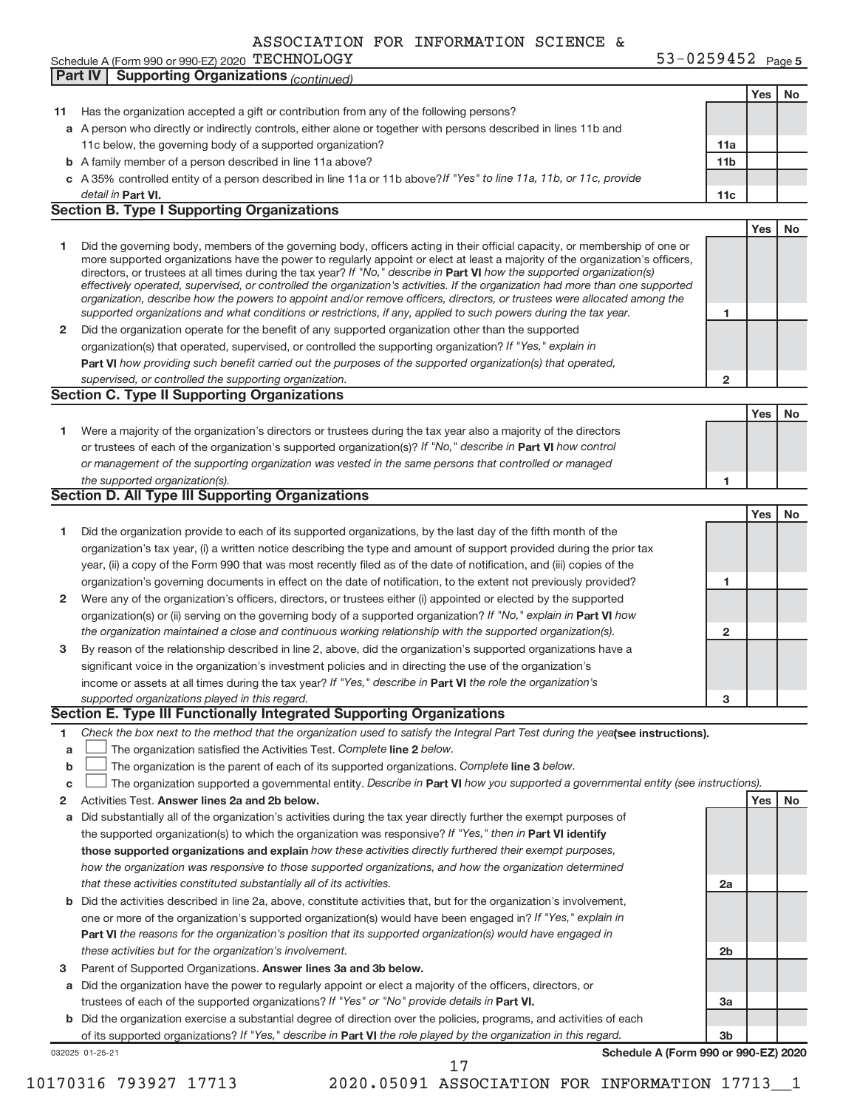Schedule A (Form 990 or 990-EZ) 2020 「I L'UHNOLIOG Y LAND RESOLUTION RESOLUTION RANGER AND SAFE DISPONDENT RAGE

**5** TECHNOLOGY 53-0259452

|              | Part IV   Supporting Organizations (continued)                                                                                                                                                                                                           |                 |     |    |
|--------------|----------------------------------------------------------------------------------------------------------------------------------------------------------------------------------------------------------------------------------------------------------|-----------------|-----|----|
|              |                                                                                                                                                                                                                                                          |                 | Yes | No |
| 11           | Has the organization accepted a gift or contribution from any of the following persons?                                                                                                                                                                  |                 |     |    |
|              | a A person who directly or indirectly controls, either alone or together with persons described in lines 11b and                                                                                                                                         |                 |     |    |
|              | 11c below, the governing body of a supported organization?                                                                                                                                                                                               | 11a             |     |    |
|              | <b>b</b> A family member of a person described in line 11a above?                                                                                                                                                                                        | 11 <sub>b</sub> |     |    |
|              | c A 35% controlled entity of a person described in line 11a or 11b above? If "Yes" to line 11a, 11b, or 11c, provide                                                                                                                                     |                 |     |    |
|              | detail in Part VI.                                                                                                                                                                                                                                       |                 |     |    |
|              | <b>Section B. Type I Supporting Organizations</b>                                                                                                                                                                                                        | 11c             |     |    |
|              |                                                                                                                                                                                                                                                          |                 |     |    |
|              |                                                                                                                                                                                                                                                          |                 | Yes | No |
| 1            | Did the governing body, members of the governing body, officers acting in their official capacity, or membership of one or                                                                                                                               |                 |     |    |
|              | more supported organizations have the power to regularly appoint or elect at least a majority of the organization's officers,<br>directors, or trustees at all times during the tax year? If "No," describe in Part VI how the supported organization(s) |                 |     |    |
|              | effectively operated, supervised, or controlled the organization's activities. If the organization had more than one supported                                                                                                                           |                 |     |    |
|              | organization, describe how the powers to appoint and/or remove officers, directors, or trustees were allocated among the                                                                                                                                 |                 |     |    |
|              | supported organizations and what conditions or restrictions, if any, applied to such powers during the tax year.                                                                                                                                         | 1               |     |    |
| $\mathbf{2}$ | Did the organization operate for the benefit of any supported organization other than the supported                                                                                                                                                      |                 |     |    |
|              | organization(s) that operated, supervised, or controlled the supporting organization? If "Yes," explain in                                                                                                                                               |                 |     |    |
|              | Part VI how providing such benefit carried out the purposes of the supported organization(s) that operated,                                                                                                                                              |                 |     |    |
|              | supervised, or controlled the supporting organization.                                                                                                                                                                                                   | $\overline{2}$  |     |    |
|              | <b>Section C. Type II Supporting Organizations</b>                                                                                                                                                                                                       |                 |     |    |
|              |                                                                                                                                                                                                                                                          |                 | Yes | No |
| 1.           | Were a majority of the organization's directors or trustees during the tax year also a majority of the directors                                                                                                                                         |                 |     |    |
|              |                                                                                                                                                                                                                                                          |                 |     |    |
|              | or trustees of each of the organization's supported organization(s)? If "No," describe in Part VI how control                                                                                                                                            |                 |     |    |
|              | or management of the supporting organization was vested in the same persons that controlled or managed                                                                                                                                                   |                 |     |    |
|              | the supported organization(s).                                                                                                                                                                                                                           | 1               |     |    |
|              | <b>Section D. All Type III Supporting Organizations</b>                                                                                                                                                                                                  |                 |     |    |
|              |                                                                                                                                                                                                                                                          |                 | Yes | No |
| 1            | Did the organization provide to each of its supported organizations, by the last day of the fifth month of the                                                                                                                                           |                 |     |    |
|              | organization's tax year, (i) a written notice describing the type and amount of support provided during the prior tax                                                                                                                                    |                 |     |    |
|              | year, (ii) a copy of the Form 990 that was most recently filed as of the date of notification, and (iii) copies of the                                                                                                                                   |                 |     |    |
|              | organization's governing documents in effect on the date of notification, to the extent not previously provided?                                                                                                                                         | 1               |     |    |
| $\mathbf{2}$ | Were any of the organization's officers, directors, or trustees either (i) appointed or elected by the supported                                                                                                                                         |                 |     |    |
|              | organization(s) or (ii) serving on the governing body of a supported organization? If "No," explain in Part VI how                                                                                                                                       |                 |     |    |
|              | the organization maintained a close and continuous working relationship with the supported organization(s).                                                                                                                                              | $\mathbf{2}$    |     |    |
| 3            | By reason of the relationship described in line 2, above, did the organization's supported organizations have a                                                                                                                                          |                 |     |    |
|              | significant voice in the organization's investment policies and in directing the use of the organization's                                                                                                                                               |                 |     |    |
|              | income or assets at all times during the tax year? If "Yes," describe in Part VI the role the organization's                                                                                                                                             |                 |     |    |
|              | supported organizations played in this regard.                                                                                                                                                                                                           | 3               |     |    |
|              | Section E. Type III Functionally Integrated Supporting Organizations                                                                                                                                                                                     |                 |     |    |
| 1            | Check the box next to the method that the organization used to satisfy the Integral Part Test during the yealsee instructions).                                                                                                                          |                 |     |    |
|              | The organization satisfied the Activities Test. Complete line 2 below.                                                                                                                                                                                   |                 |     |    |
| a            |                                                                                                                                                                                                                                                          |                 |     |    |
| b            | The organization is the parent of each of its supported organizations. Complete line 3 below.                                                                                                                                                            |                 |     |    |
| c            | The organization supported a governmental entity. Describe in Part VI how you supported a governmental entity (see instructions).                                                                                                                        |                 |     |    |
| 2            | Activities Test. Answer lines 2a and 2b below.                                                                                                                                                                                                           |                 | Yes | No |
| a            | Did substantially all of the organization's activities during the tax year directly further the exempt purposes of                                                                                                                                       |                 |     |    |
|              | the supported organization(s) to which the organization was responsive? If "Yes," then in <b>Part VI identify</b>                                                                                                                                        |                 |     |    |
|              | those supported organizations and explain how these activities directly furthered their exempt purposes,                                                                                                                                                 |                 |     |    |
|              | how the organization was responsive to those supported organizations, and how the organization determined                                                                                                                                                |                 |     |    |
|              | that these activities constituted substantially all of its activities.                                                                                                                                                                                   | 2a              |     |    |
| b            | Did the activities described in line 2a, above, constitute activities that, but for the organization's involvement,                                                                                                                                      |                 |     |    |
|              | one or more of the organization's supported organization(s) would have been engaged in? If "Yes," explain in                                                                                                                                             |                 |     |    |
|              | Part VI the reasons for the organization's position that its supported organization(s) would have engaged in                                                                                                                                             |                 |     |    |
|              | these activities but for the organization's involvement.                                                                                                                                                                                                 | 2b              |     |    |
| 3            | Parent of Supported Organizations. Answer lines 3a and 3b below.                                                                                                                                                                                         |                 |     |    |
| а            | Did the organization have the power to regularly appoint or elect a majority of the officers, directors, or                                                                                                                                              |                 |     |    |
|              | trustees of each of the supported organizations? If "Yes" or "No" provide details in Part VI.                                                                                                                                                            |                 |     |    |
|              |                                                                                                                                                                                                                                                          | За              |     |    |
|              | b Did the organization exercise a substantial degree of direction over the policies, programs, and activities of each                                                                                                                                    |                 |     |    |
|              | of its supported organizations? If "Yes," describe in Part VI the role played by the organization in this regard.                                                                                                                                        | 3b              |     |    |
|              | Schedule A (Form 990 or 990-EZ) 2020<br>032025 01-25-21<br>17                                                                                                                                                                                            |                 |     |    |
|              |                                                                                                                                                                                                                                                          |                 |     |    |

10170316 793927 17713 2020.05091 ASSOCIATION FOR INFORMATION 17713\_\_1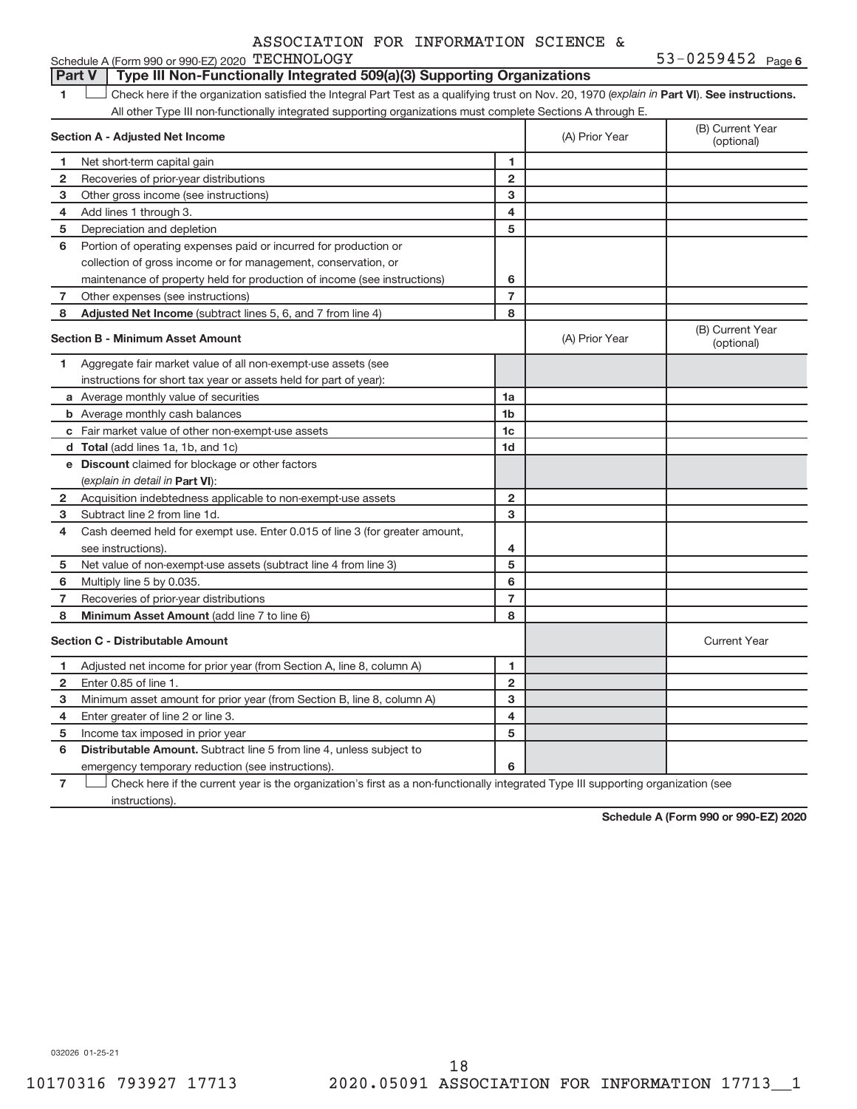#### 1 **Luding Check here if the organization satisfied the Integral Part Test as a qualifying trust on Nov. 20, 1970 (explain in Part <b>VI**). See instructions. **Section A - Adjusted Net Income 1 2 3 4 5 6 7 8 1 2 3 4 5 6 7 Adjusted Net Income** (subtract lines 5, 6, and 7 from line 4) **8 8 Section B - Minimum Asset Amount 1 2 3 4 5 6 7 8 a** Average monthly value of securities **b** Average monthly cash balances **c** Fair market value of other non-exempt-use assets **d Total**  (add lines 1a, 1b, and 1c) **e Discount** claimed for blockage or other factors **1a 1b 1c 1d 2 3 4 5 6 7 8** (explain in detail in Part VI): **Minimum Asset Amount**  (add line 7 to line 6) **Section C - Distributable Amount 1 2 3 4 5 6 1 2 3 4 5 6** Distributable Amount. Subtract line 5 from line 4, unless subject to Schedule A (Form 990 or 990-EZ) 2020 TECHNOLOGY All other Type III non-functionally integrated supporting organizations must complete Sections A through E. (B) Current Year (A) Prior Year Net short-term capital gain Recoveries of prior-year distributions Other gross income (see instructions) Add lines 1 through 3. Depreciation and depletion Portion of operating expenses paid or incurred for production or collection of gross income or for management, conservation, or maintenance of property held for production of income (see instructions) Other expenses (see instructions) (B) Current Year  $(A)$  Prior Year  $\left\{\n\begin{array}{ccc}\n\downarrow & \downarrow \\
\downarrow & \downarrow\n\end{array}\n\right.$  (optional) Aggregate fair market value of all non-exempt-use assets (see instructions for short tax year or assets held for part of year): Acquisition indebtedness applicable to non-exempt-use assets Subtract line 2 from line 1d. Cash deemed held for exempt use. Enter 0.015 of line 3 (for greater amount, see instructions). Net value of non-exempt-use assets (subtract line 4 from line 3) Multiply line 5 by 0.035. Recoveries of prior-year distributions Current Year Adjusted net income for prior year (from Section A, line 8, column A) Enter 0.85 of line 1. Minimum asset amount for prior year (from Section B, line 8, column A) Enter greater of line 2 or line 3. Income tax imposed in prior year emergency temporary reduction (see instructions). **Part V** Type III Non-Functionally Integrated 509(a)(3) Supporting Organizations  $\begin{array}{c} \hline \end{array}$

**7** Check here if the current year is the organization's first as a non-functionally integrated Type III supporting organization (see instructions).

**Schedule A (Form 990 or 990-EZ) 2020**

032026 01-25-21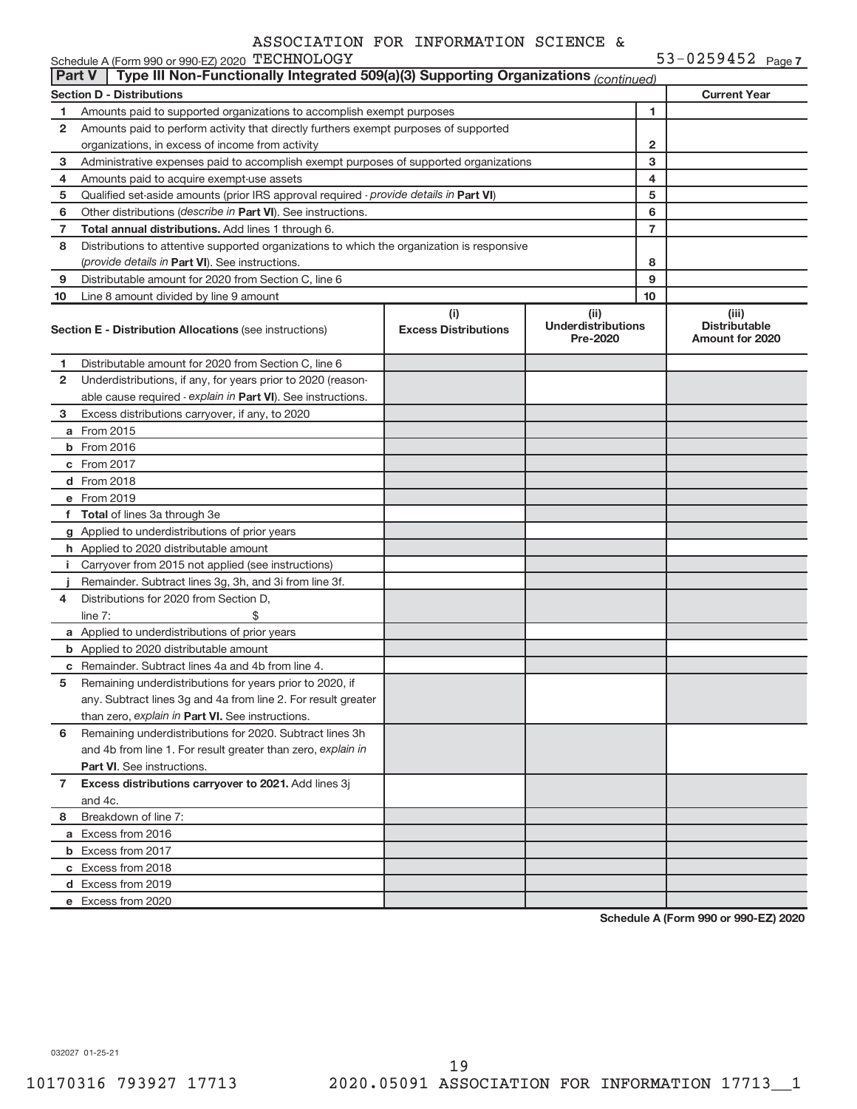53-0259452 Page 7 Schedule A (Form 990 or 990-EZ) 2020  $\tt TECHNOLOGY$   $\tt 53-0259452$   $\tt Page$ 

|              | Type III Non-Functionally Integrated 509(a)(3) Supporting Organizations (continued)<br><b>Part V</b>                      |                                    |                                               |    |                                                  |  |  |  |
|--------------|---------------------------------------------------------------------------------------------------------------------------|------------------------------------|-----------------------------------------------|----|--------------------------------------------------|--|--|--|
|              | <b>Section D - Distributions</b>                                                                                          |                                    |                                               |    | <b>Current Year</b>                              |  |  |  |
| 1            | Amounts paid to supported organizations to accomplish exempt purposes                                                     |                                    | 1                                             |    |                                                  |  |  |  |
| 2            | Amounts paid to perform activity that directly furthers exempt purposes of supported                                      |                                    |                                               |    |                                                  |  |  |  |
|              | organizations, in excess of income from activity                                                                          |                                    |                                               | 2  |                                                  |  |  |  |
| 3            | Administrative expenses paid to accomplish exempt purposes of supported organizations                                     |                                    |                                               | 3  |                                                  |  |  |  |
| 4            | Amounts paid to acquire exempt-use assets                                                                                 |                                    |                                               | 4  |                                                  |  |  |  |
| 5            | Qualified set-aside amounts (prior IRS approval required - provide details in Part VI)                                    |                                    |                                               | 5  |                                                  |  |  |  |
| 6            | Other distributions (describe in Part VI). See instructions.                                                              |                                    |                                               | 6  |                                                  |  |  |  |
| 7            | Total annual distributions. Add lines 1 through 6.                                                                        |                                    |                                               | 7  |                                                  |  |  |  |
| 8            | Distributions to attentive supported organizations to which the organization is responsive                                |                                    |                                               |    |                                                  |  |  |  |
|              | (provide details in Part VI). See instructions.                                                                           |                                    |                                               | 8  |                                                  |  |  |  |
| 9            | Distributable amount for 2020 from Section C, line 6                                                                      |                                    |                                               | 9  |                                                  |  |  |  |
| 10           | Line 8 amount divided by line 9 amount                                                                                    |                                    |                                               | 10 |                                                  |  |  |  |
|              | Section E - Distribution Allocations (see instructions)                                                                   | (i)<br><b>Excess Distributions</b> | (ii)<br><b>Underdistributions</b><br>Pre-2020 |    | (iii)<br><b>Distributable</b><br>Amount for 2020 |  |  |  |
| 1            | Distributable amount for 2020 from Section C, line 6                                                                      |                                    |                                               |    |                                                  |  |  |  |
| 2            | Underdistributions, if any, for years prior to 2020 (reason-                                                              |                                    |                                               |    |                                                  |  |  |  |
|              | able cause required - explain in Part VI). See instructions.                                                              |                                    |                                               |    |                                                  |  |  |  |
| 3            | Excess distributions carryover, if any, to 2020                                                                           |                                    |                                               |    |                                                  |  |  |  |
|              | a From 2015                                                                                                               |                                    |                                               |    |                                                  |  |  |  |
|              | <b>b</b> From 2016                                                                                                        |                                    |                                               |    |                                                  |  |  |  |
|              | c From 2017                                                                                                               |                                    |                                               |    |                                                  |  |  |  |
|              | d From 2018                                                                                                               |                                    |                                               |    |                                                  |  |  |  |
|              | e From 2019                                                                                                               |                                    |                                               |    |                                                  |  |  |  |
|              | f Total of lines 3a through 3e                                                                                            |                                    |                                               |    |                                                  |  |  |  |
|              | g Applied to underdistributions of prior years                                                                            |                                    |                                               |    |                                                  |  |  |  |
|              | h Applied to 2020 distributable amount                                                                                    |                                    |                                               |    |                                                  |  |  |  |
|              | i Carryover from 2015 not applied (see instructions)                                                                      |                                    |                                               |    |                                                  |  |  |  |
|              | Remainder. Subtract lines 3g, 3h, and 3i from line 3f.                                                                    |                                    |                                               |    |                                                  |  |  |  |
| 4            | Distributions for 2020 from Section D,                                                                                    |                                    |                                               |    |                                                  |  |  |  |
|              | \$<br>line $7:$                                                                                                           |                                    |                                               |    |                                                  |  |  |  |
|              | a Applied to underdistributions of prior years                                                                            |                                    |                                               |    |                                                  |  |  |  |
|              | <b>b</b> Applied to 2020 distributable amount                                                                             |                                    |                                               |    |                                                  |  |  |  |
|              | <b>c</b> Remainder. Subtract lines 4a and 4b from line 4.                                                                 |                                    |                                               |    |                                                  |  |  |  |
| 5            | Remaining underdistributions for years prior to 2020, if<br>any. Subtract lines 3g and 4a from line 2. For result greater |                                    |                                               |    |                                                  |  |  |  |
|              | than zero, explain in Part VI. See instructions.                                                                          |                                    |                                               |    |                                                  |  |  |  |
| 6            | Remaining underdistributions for 2020. Subtract lines 3h                                                                  |                                    |                                               |    |                                                  |  |  |  |
|              | and 4b from line 1. For result greater than zero, explain in                                                              |                                    |                                               |    |                                                  |  |  |  |
|              | <b>Part VI.</b> See instructions.                                                                                         |                                    |                                               |    |                                                  |  |  |  |
| $\mathbf{7}$ | Excess distributions carryover to 2021. Add lines 3j                                                                      |                                    |                                               |    |                                                  |  |  |  |
|              | and 4c.                                                                                                                   |                                    |                                               |    |                                                  |  |  |  |
| 8            | Breakdown of line 7:                                                                                                      |                                    |                                               |    |                                                  |  |  |  |
|              | a Excess from 2016                                                                                                        |                                    |                                               |    |                                                  |  |  |  |
|              | <b>b</b> Excess from 2017                                                                                                 |                                    |                                               |    |                                                  |  |  |  |
|              | c Excess from 2018                                                                                                        |                                    |                                               |    |                                                  |  |  |  |
|              | d Excess from 2019                                                                                                        |                                    |                                               |    |                                                  |  |  |  |
|              | e Excess from 2020                                                                                                        |                                    |                                               |    |                                                  |  |  |  |
|              |                                                                                                                           |                                    |                                               |    |                                                  |  |  |  |

**Schedule A (Form 990 or 990-EZ) 2020**

032027 01-25-21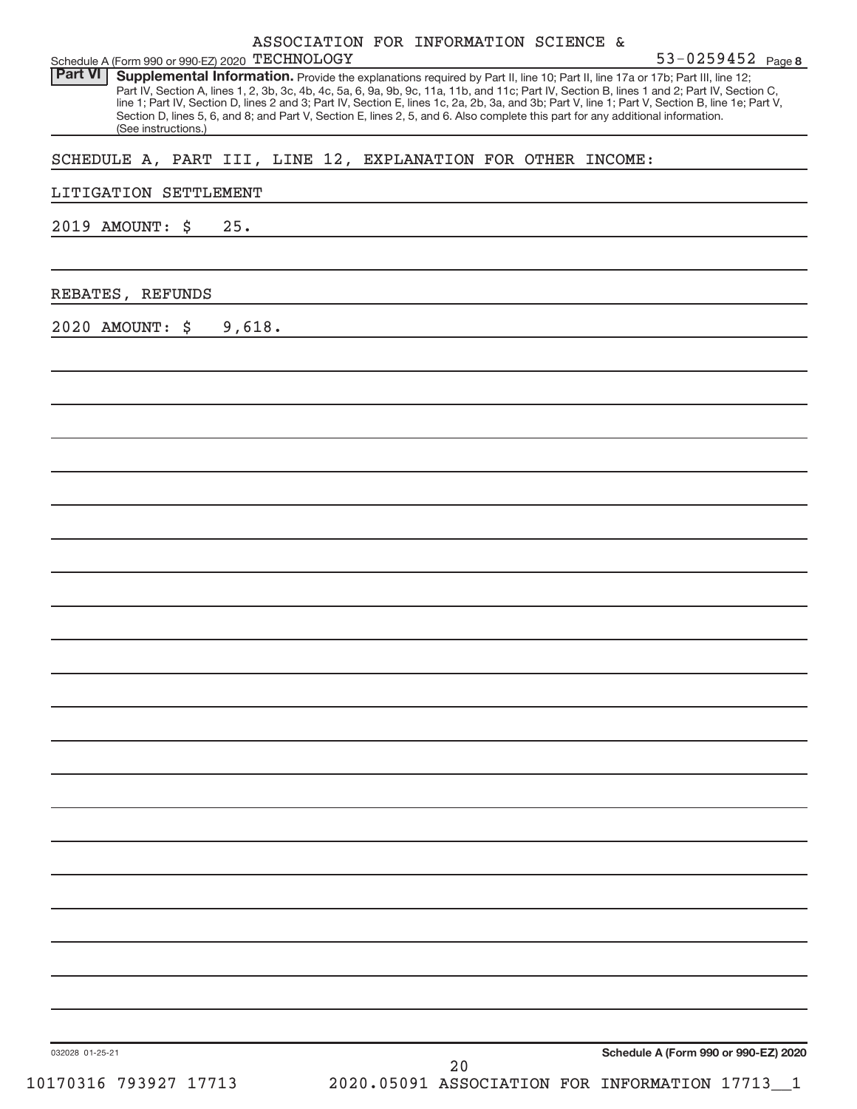| Schedule A (Form 990 or 990-EZ) 2020 TECHNOLOGY                                                                                                                                                                                                                                                                                                                                                                                                                                                                                                                                                               | ASSOCIATION FOR INFORMATION SCIENCE & |    | 53-0259452 Page 8                                  |
|---------------------------------------------------------------------------------------------------------------------------------------------------------------------------------------------------------------------------------------------------------------------------------------------------------------------------------------------------------------------------------------------------------------------------------------------------------------------------------------------------------------------------------------------------------------------------------------------------------------|---------------------------------------|----|----------------------------------------------------|
| <b>Part VI</b><br>Supplemental Information. Provide the explanations required by Part II, line 10; Part II, line 17a or 17b; Part III, line 12;<br>Part IV, Section A, lines 1, 2, 3b, 3c, 4b, 4c, 5a, 6, 9a, 9b, 9c, 11a, 11b, and 11c; Part IV, Section B, lines 1 and 2; Part IV, Section C,<br>line 1; Part IV, Section D, lines 2 and 3; Part IV, Section E, lines 1c, 2a, 2b, 3a, and 3b; Part V, line 1; Part V, Section B, line 1e; Part V,<br>Section D, lines 5, 6, and 8; and Part V, Section E, lines 2, 5, and 6. Also complete this part for any additional information.<br>(See instructions.) |                                       |    |                                                    |
| SCHEDULE A, PART III, LINE 12, EXPLANATION FOR OTHER INCOME:                                                                                                                                                                                                                                                                                                                                                                                                                                                                                                                                                  |                                       |    |                                                    |
| LITIGATION SETTLEMENT                                                                                                                                                                                                                                                                                                                                                                                                                                                                                                                                                                                         |                                       |    |                                                    |
| 2019 AMOUNT: \$<br>25.                                                                                                                                                                                                                                                                                                                                                                                                                                                                                                                                                                                        |                                       |    |                                                    |
| REBATES, REFUNDS                                                                                                                                                                                                                                                                                                                                                                                                                                                                                                                                                                                              |                                       |    |                                                    |
| 9,618.<br>2020 AMOUNT: \$                                                                                                                                                                                                                                                                                                                                                                                                                                                                                                                                                                                     |                                       |    |                                                    |
|                                                                                                                                                                                                                                                                                                                                                                                                                                                                                                                                                                                                               |                                       |    |                                                    |
|                                                                                                                                                                                                                                                                                                                                                                                                                                                                                                                                                                                                               |                                       |    |                                                    |
|                                                                                                                                                                                                                                                                                                                                                                                                                                                                                                                                                                                                               |                                       |    |                                                    |
|                                                                                                                                                                                                                                                                                                                                                                                                                                                                                                                                                                                                               |                                       |    |                                                    |
|                                                                                                                                                                                                                                                                                                                                                                                                                                                                                                                                                                                                               |                                       |    |                                                    |
|                                                                                                                                                                                                                                                                                                                                                                                                                                                                                                                                                                                                               |                                       |    |                                                    |
|                                                                                                                                                                                                                                                                                                                                                                                                                                                                                                                                                                                                               |                                       |    |                                                    |
|                                                                                                                                                                                                                                                                                                                                                                                                                                                                                                                                                                                                               |                                       |    |                                                    |
|                                                                                                                                                                                                                                                                                                                                                                                                                                                                                                                                                                                                               |                                       |    |                                                    |
|                                                                                                                                                                                                                                                                                                                                                                                                                                                                                                                                                                                                               |                                       |    |                                                    |
|                                                                                                                                                                                                                                                                                                                                                                                                                                                                                                                                                                                                               |                                       |    |                                                    |
|                                                                                                                                                                                                                                                                                                                                                                                                                                                                                                                                                                                                               |                                       |    |                                                    |
|                                                                                                                                                                                                                                                                                                                                                                                                                                                                                                                                                                                                               |                                       |    |                                                    |
|                                                                                                                                                                                                                                                                                                                                                                                                                                                                                                                                                                                                               |                                       |    |                                                    |
|                                                                                                                                                                                                                                                                                                                                                                                                                                                                                                                                                                                                               |                                       |    |                                                    |
| 032028 01-25-21                                                                                                                                                                                                                                                                                                                                                                                                                                                                                                                                                                                               |                                       |    | Schedule A (Form 990 or 990-EZ) 2020               |
| 10170316 793927 17713                                                                                                                                                                                                                                                                                                                                                                                                                                                                                                                                                                                         |                                       | 20 | 2020.05091 ASSOCIATION FOR INFORMATION 17713<br>-1 |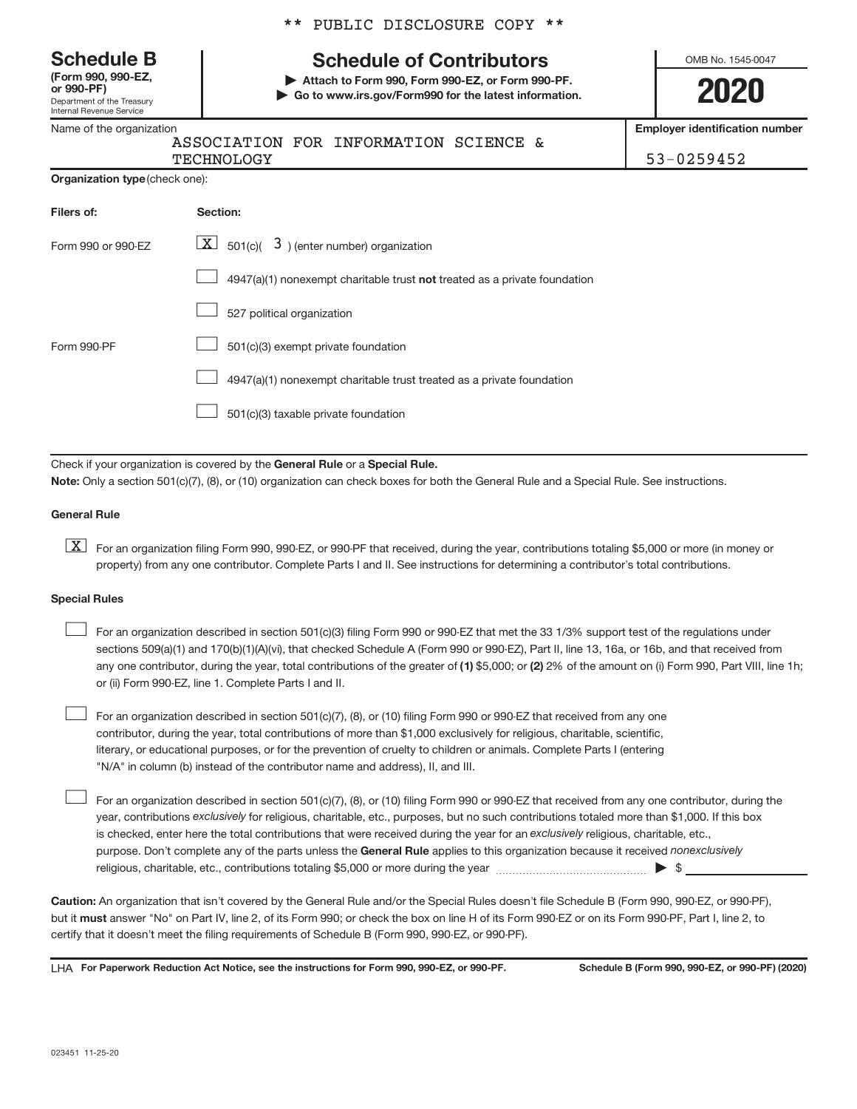Department of the Treasury Internal Revenue Service **(Form 990, 990-EZ,**

Name of the organization

\*\* PUBLIC DISCLOSURE COPY \*\*

## **Schedule B Schedule of Contributors**

**or 990-PF) | Attach to Form 990, Form 990-EZ, or Form 990-PF. | Go to www.irs.gov/Form990 for the latest information.** OMB No. 1545-0047

**2020**

**Employer identification number**

| ASSOCIATI    |
|--------------|
| $m = \wedge$ |

ON FOR INFORMATION SCIENCE &

TECHNOLOGY 53-0259452

| Filers of:         | Section:                                                                           |
|--------------------|------------------------------------------------------------------------------------|
| Form 990 or 990-EZ | $ \underline{X} $ 501(c)( 3) (enter number) organization                           |
|                    | $4947(a)(1)$ nonexempt charitable trust <b>not</b> treated as a private foundation |
|                    | 527 political organization                                                         |
| Form 990-PF        | 501(c)(3) exempt private foundation                                                |
|                    | 4947(a)(1) nonexempt charitable trust treated as a private foundation              |
|                    | 501(c)(3) taxable private foundation                                               |

Check if your organization is covered by the General Rule or a Special Rule. **Note:**  Only a section 501(c)(7), (8), or (10) organization can check boxes for both the General Rule and a Special Rule. See instructions.

#### **General Rule**

**K** For an organization filing Form 990, 990-EZ, or 990-PF that received, during the year, contributions totaling \$5,000 or more (in money or property) from any one contributor. Complete Parts I and II. See instructions for determining a contributor's total contributions.

#### **Special Rules**

 $\begin{array}{c} \hline \end{array}$ 

any one contributor, during the year, total contributions of the greater of (1) \$5,000; or (2) 2% of the amount on (i) Form 990, Part VIII, line 1h; For an organization described in section 501(c)(3) filing Form 990 or 990-EZ that met the 33 1/3% support test of the regulations under sections 509(a)(1) and 170(b)(1)(A)(vi), that checked Schedule A (Form 990 or 990-EZ), Part II, line 13, 16a, or 16b, and that received from or (ii) Form 990-EZ, line 1. Complete Parts I and II.  $\begin{array}{c} \hline \end{array}$ 

For an organization described in section 501(c)(7), (8), or (10) filing Form 990 or 990-EZ that received from any one contributor, during the year, total contributions of more than \$1,000 exclusively for religious, charitable, scientific, literary, or educational purposes, or for the prevention of cruelty to children or animals. Complete Parts I (entering "N/A" in column (b) instead of the contributor name and address), II, and III.  $\begin{array}{c} \hline \end{array}$ 

purpose. Don't complete any of the parts unless the General Rule applies to this organization because it received nonexclusively year, contributions exclusively for religious, charitable, etc., purposes, but no such contributions totaled more than \$1,000. If this box is checked, enter here the total contributions that were received during the year for an exclusively religious, charitable, etc., For an organization described in section 501(c)(7), (8), or (10) filing Form 990 or 990-EZ that received from any one contributor, during the religious, charitable, etc., contributions totaling \$5,000 or more during the year  $~\ldots\ldots\ldots\ldots\ldots\ldots\ldots\ldots\blacktriangleright~$ \$

**Caution:**  An organization that isn't covered by the General Rule and/or the Special Rules doesn't file Schedule B (Form 990, 990-EZ, or 990-PF),  **must** but it answer "No" on Part IV, line 2, of its Form 990; or check the box on line H of its Form 990-EZ or on its Form 990-PF, Part I, line 2, to certify that it doesn't meet the filing requirements of Schedule B (Form 990, 990-EZ, or 990-PF).

LHA For Paperwork Reduction Act Notice, see the instructions for Form 990, 990-EZ, or 990-PF. Schedule B (Form 990, 990-EZ, or 990-PF) (2020)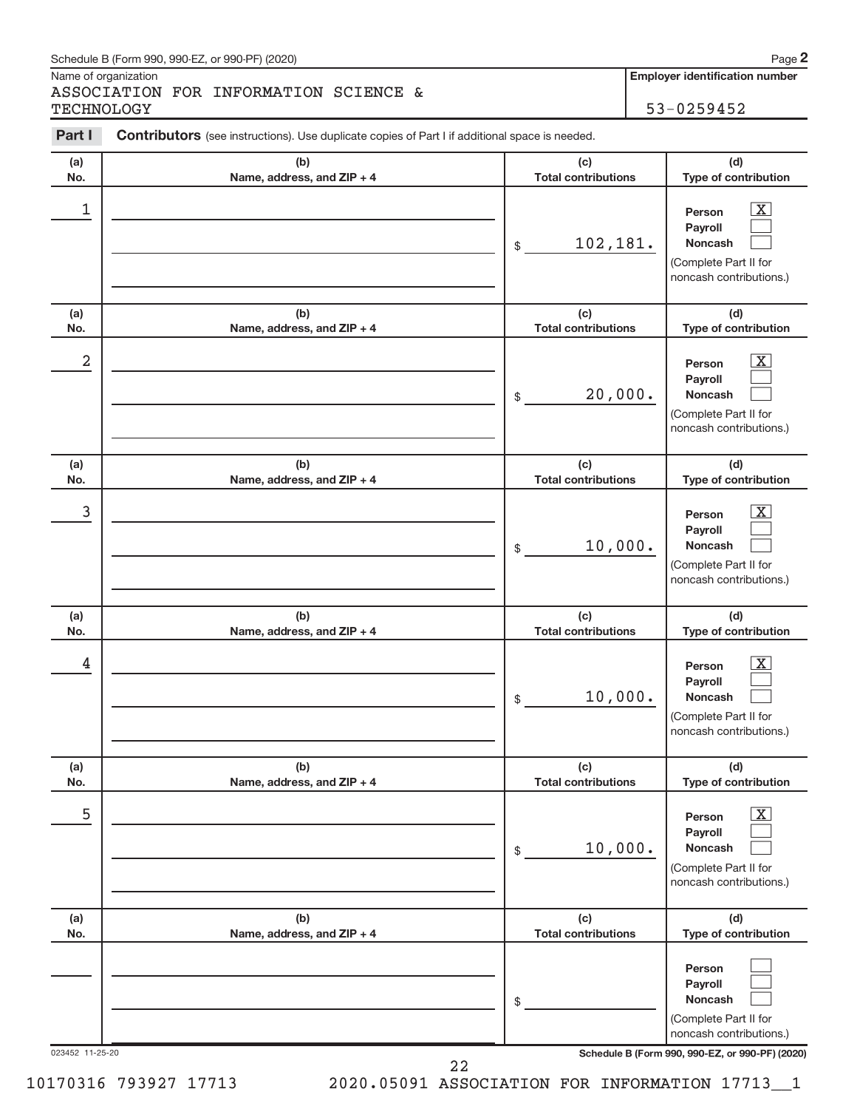#### Schedule B (Form 990, 990-EZ, or 990-PF) (2020)

Name of organization

ASSOCIATION FOR INFORMATION SCIENCE & TECHNOLOGY 53-0259452

**Employer identification number**

| <b>Contributors</b> (see instructions). Use duplicate copies of Part I if additional space is needed. |                                   |                                                                                                                                            |  |  |  |  |  |
|-------------------------------------------------------------------------------------------------------|-----------------------------------|--------------------------------------------------------------------------------------------------------------------------------------------|--|--|--|--|--|
| (b)<br>Name, address, and ZIP + 4                                                                     | (c)<br><b>Total contributions</b> | (d)<br>Type of contribution                                                                                                                |  |  |  |  |  |
|                                                                                                       | 102,181.<br>\$                    | $\mathbf{X}$<br>Person<br>Payroll<br><b>Noncash</b><br>(Complete Part II for<br>noncash contributions.)                                    |  |  |  |  |  |
| (b)<br>Name, address, and ZIP + 4                                                                     | (c)<br><b>Total contributions</b> | (d)<br>Type of contribution                                                                                                                |  |  |  |  |  |
|                                                                                                       | 20,000.<br>\$                     | $\mathbf{X}$<br>Person<br>Payroll<br><b>Noncash</b><br>(Complete Part II for<br>noncash contributions.)                                    |  |  |  |  |  |
| (b)<br>Name, address, and ZIP + 4                                                                     | (c)<br><b>Total contributions</b> | (d)<br>Type of contribution                                                                                                                |  |  |  |  |  |
|                                                                                                       | 10,000.<br>\$                     | $\mathbf{X}$<br>Person<br>Payroll<br><b>Noncash</b><br>(Complete Part II for<br>noncash contributions.)                                    |  |  |  |  |  |
| (b)<br>Name, address, and ZIP + 4                                                                     | (c)<br><b>Total contributions</b> | (d)<br>Type of contribution                                                                                                                |  |  |  |  |  |
|                                                                                                       | 10,000.<br>\$                     | $\mathbf{X}$<br>Person<br>Payroll<br><b>Noncash</b><br>(Complete Part II for<br>noncash contributions.)                                    |  |  |  |  |  |
| (b)<br>Name, address, and ZIP + 4                                                                     | (c)<br><b>Total contributions</b> | (d)<br>Type of contribution                                                                                                                |  |  |  |  |  |
|                                                                                                       | 10,000.<br>\$                     | $\overline{\text{X}}$<br>Person<br>Payroll<br><b>Noncash</b><br>(Complete Part II for<br>noncash contributions.)                           |  |  |  |  |  |
| (b)<br>Name, address, and ZIP + 4                                                                     | (c)<br><b>Total contributions</b> | (d)<br>Type of contribution                                                                                                                |  |  |  |  |  |
| 023452 11-25-20                                                                                       | \$                                | Person<br>Payroll<br><b>Noncash</b><br>(Complete Part II for<br>noncash contributions.)<br>Schedule B (Form 990, 990-EZ, or 990-PF) (2020) |  |  |  |  |  |
|                                                                                                       |                                   |                                                                                                                                            |  |  |  |  |  |

10170316 793927 17713 2020.05091 ASSOCIATION FOR INFORMATION 17713\_\_1

22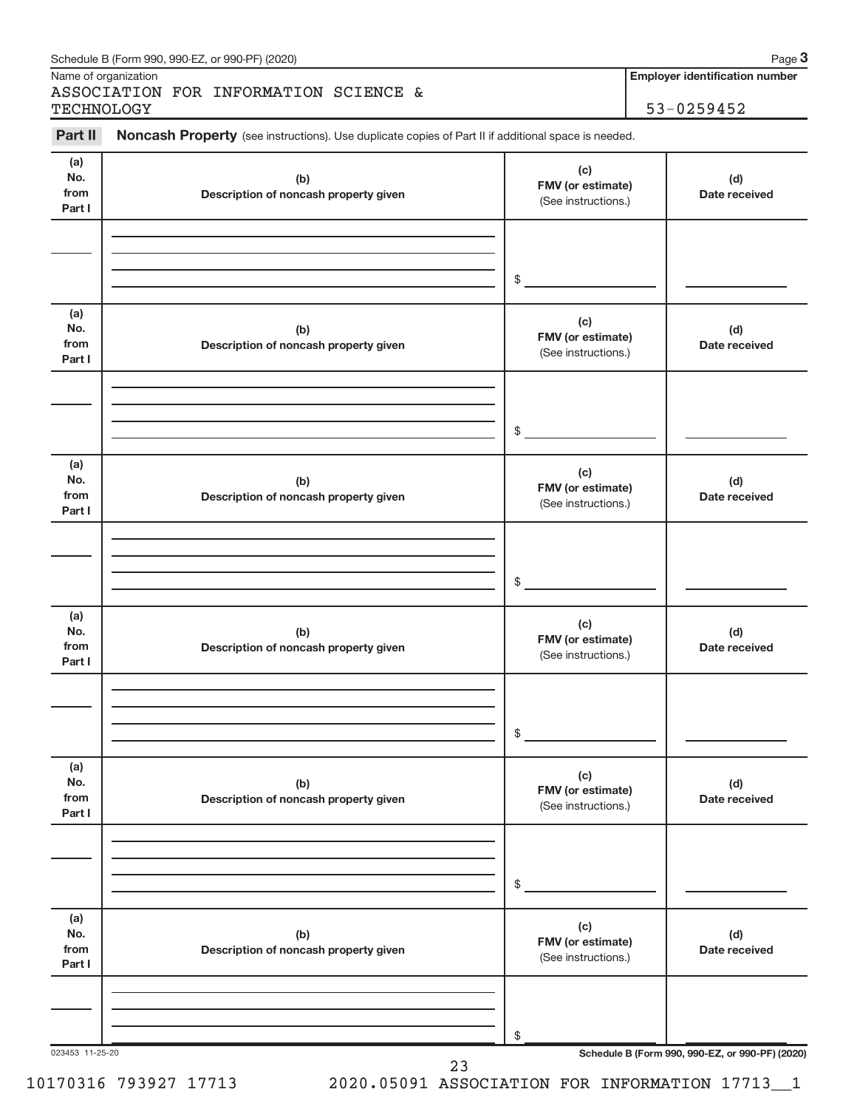| Part II        | Noncash Property (see instructions). Use duplicate copies of Part II if additional space is needed.                     |                     |                                                 |
|----------------|-------------------------------------------------------------------------------------------------------------------------|---------------------|-------------------------------------------------|
|                |                                                                                                                         |                     |                                                 |
| (a)<br>No.     | (b)                                                                                                                     | (c)                 | (d)                                             |
| from           | Description of noncash property given                                                                                   | FMV (or estimate)   | Date received                                   |
| Part I         |                                                                                                                         | (See instructions.) |                                                 |
|                |                                                                                                                         |                     |                                                 |
|                |                                                                                                                         | \$                  |                                                 |
|                | <u> 1989 - Johann Barn, fransk politik amerikansk politik (d. 1989)</u>                                                 |                     |                                                 |
| (a)<br>No.     | (b)                                                                                                                     | (c)                 | (d)                                             |
| from           | Description of noncash property given                                                                                   | FMV (or estimate)   | Date received                                   |
| Part I         |                                                                                                                         | (See instructions.) |                                                 |
|                |                                                                                                                         |                     |                                                 |
|                |                                                                                                                         | \$                  |                                                 |
|                | the control of the control of the control of the control of the control of the control of the control of the control of |                     |                                                 |
| (a)<br>No.     | (b)                                                                                                                     | (c)                 | (d)                                             |
| from           | Description of noncash property given                                                                                   | FMV (or estimate)   | Date received                                   |
| Part I         |                                                                                                                         | (See instructions.) |                                                 |
|                |                                                                                                                         |                     |                                                 |
|                |                                                                                                                         |                     |                                                 |
|                |                                                                                                                         | \$                  |                                                 |
| (a)            |                                                                                                                         | (c)                 |                                                 |
| No.<br>from    | (b)                                                                                                                     | FMV (or estimate)   | (d)                                             |
| Part I         | Description of noncash property given                                                                                   | (See instructions.) | Date received                                   |
|                |                                                                                                                         |                     |                                                 |
|                |                                                                                                                         |                     |                                                 |
|                |                                                                                                                         | \$                  |                                                 |
| (a)<br>No.     | (b)                                                                                                                     | (c)                 | (d)                                             |
| from           | Description of noncash property given                                                                                   | FMV (or estimate)   | Date received                                   |
| Part I         |                                                                                                                         | (See instructions.) |                                                 |
|                |                                                                                                                         |                     |                                                 |
|                |                                                                                                                         |                     |                                                 |
|                |                                                                                                                         | \$                  |                                                 |
| (a)            |                                                                                                                         | (c)                 |                                                 |
| No.            | (b)                                                                                                                     | FMV (or estimate)   | (d)                                             |
| from<br>Part I | Description of noncash property given                                                                                   | (See instructions.) | Date received                                   |
|                |                                                                                                                         |                     |                                                 |
|                |                                                                                                                         |                     |                                                 |
|                |                                                                                                                         | \$                  | Schedule B (Form 990, 990-EZ, or 990-PF) (2020) |

Schedule B (Form 990, 990-EZ, or 990-PF) (2020)

Name of organization

**Employer identification number**

**3**

10170316 793927 17713 2020.05091 ASSOCIATION FOR INFORMATION 17713\_\_1

23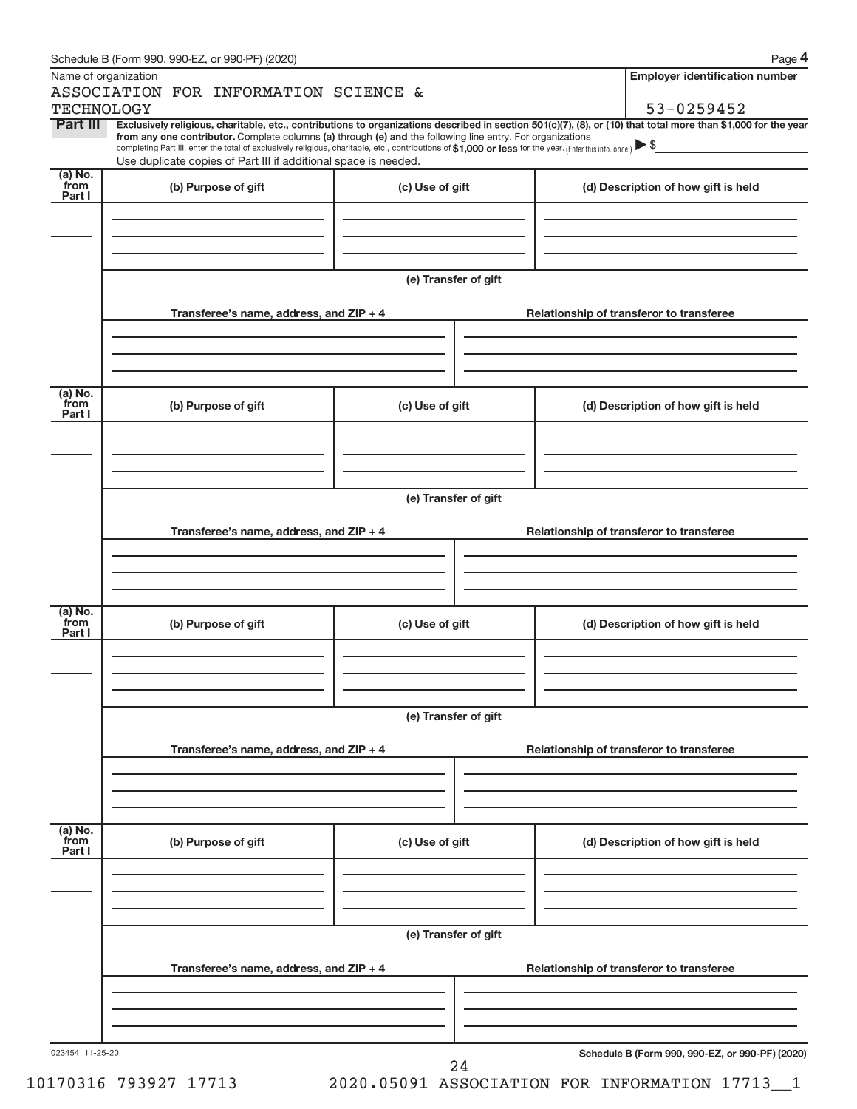| Name of organization          |                                                                                                                                                                                                                                                                                                                                           |                      |  |                                     | <b>Employer identification number</b>           |  |  |
|-------------------------------|-------------------------------------------------------------------------------------------------------------------------------------------------------------------------------------------------------------------------------------------------------------------------------------------------------------------------------------------|----------------------|--|-------------------------------------|-------------------------------------------------|--|--|
|                               | ASSOCIATION FOR INFORMATION SCIENCE &                                                                                                                                                                                                                                                                                                     |                      |  |                                     |                                                 |  |  |
| <b>TECHNOLOGY</b><br>Part III | Exclusively religious, charitable, etc., contributions to organizations described in section 501(c)(7), (8), or (10) that total more than \$1,000 for the year                                                                                                                                                                            |                      |  |                                     | 53-0259452                                      |  |  |
|                               | from any one contributor. Complete columns (a) through (e) and the following line entry. For organizations<br>completing Part III, enter the total of exclusively religious, charitable, etc., contributions of \$1,000 or less for the year. (Enter this info. once.)<br>Use duplicate copies of Part III if additional space is needed. |                      |  |                                     |                                                 |  |  |
| (a) No.<br>from<br>Part I     | (b) Purpose of gift                                                                                                                                                                                                                                                                                                                       | (c) Use of gift      |  | (d) Description of how gift is held |                                                 |  |  |
|                               |                                                                                                                                                                                                                                                                                                                                           |                      |  |                                     |                                                 |  |  |
|                               |                                                                                                                                                                                                                                                                                                                                           | (e) Transfer of gift |  |                                     |                                                 |  |  |
|                               | Transferee's name, address, and ZIP + 4                                                                                                                                                                                                                                                                                                   |                      |  |                                     | Relationship of transferor to transferee        |  |  |
|                               |                                                                                                                                                                                                                                                                                                                                           |                      |  |                                     |                                                 |  |  |
| $(a)$ No.<br>from             |                                                                                                                                                                                                                                                                                                                                           |                      |  |                                     |                                                 |  |  |
| Part I                        | (b) Purpose of gift                                                                                                                                                                                                                                                                                                                       | (c) Use of gift      |  |                                     | (d) Description of how gift is held             |  |  |
|                               |                                                                                                                                                                                                                                                                                                                                           |                      |  |                                     |                                                 |  |  |
|                               |                                                                                                                                                                                                                                                                                                                                           | (e) Transfer of gift |  |                                     |                                                 |  |  |
|                               | Transferee's name, address, and ZIP + 4                                                                                                                                                                                                                                                                                                   |                      |  |                                     | Relationship of transferor to transferee        |  |  |
|                               |                                                                                                                                                                                                                                                                                                                                           |                      |  |                                     |                                                 |  |  |
| $(a)$ No.<br>from<br>Part I   | (b) Purpose of gift                                                                                                                                                                                                                                                                                                                       | (c) Use of gift      |  |                                     | (d) Description of how gift is held             |  |  |
|                               |                                                                                                                                                                                                                                                                                                                                           |                      |  |                                     |                                                 |  |  |
|                               |                                                                                                                                                                                                                                                                                                                                           | (e) Transfer of gift |  |                                     |                                                 |  |  |
|                               | Transferee's name, address, and ZIP + 4                                                                                                                                                                                                                                                                                                   |                      |  |                                     | Relationship of transferor to transferee        |  |  |
| $(a)$ No.<br>from             |                                                                                                                                                                                                                                                                                                                                           |                      |  |                                     |                                                 |  |  |
| Part I                        | (b) Purpose of gift                                                                                                                                                                                                                                                                                                                       | (c) Use of gift      |  |                                     | (d) Description of how gift is held             |  |  |
|                               |                                                                                                                                                                                                                                                                                                                                           |                      |  |                                     |                                                 |  |  |
|                               |                                                                                                                                                                                                                                                                                                                                           | (e) Transfer of gift |  |                                     |                                                 |  |  |
|                               | Transferee's name, address, and ZIP + 4                                                                                                                                                                                                                                                                                                   |                      |  |                                     | Relationship of transferor to transferee        |  |  |
|                               |                                                                                                                                                                                                                                                                                                                                           |                      |  |                                     |                                                 |  |  |
| 023454 11-25-20               |                                                                                                                                                                                                                                                                                                                                           | 24                   |  |                                     | Schedule B (Form 990, 990-EZ, or 990-PF) (2020) |  |  |

10170316 793927 17713 2020.05091 ASSOCIATION FOR INFORMATION 17713\_\_1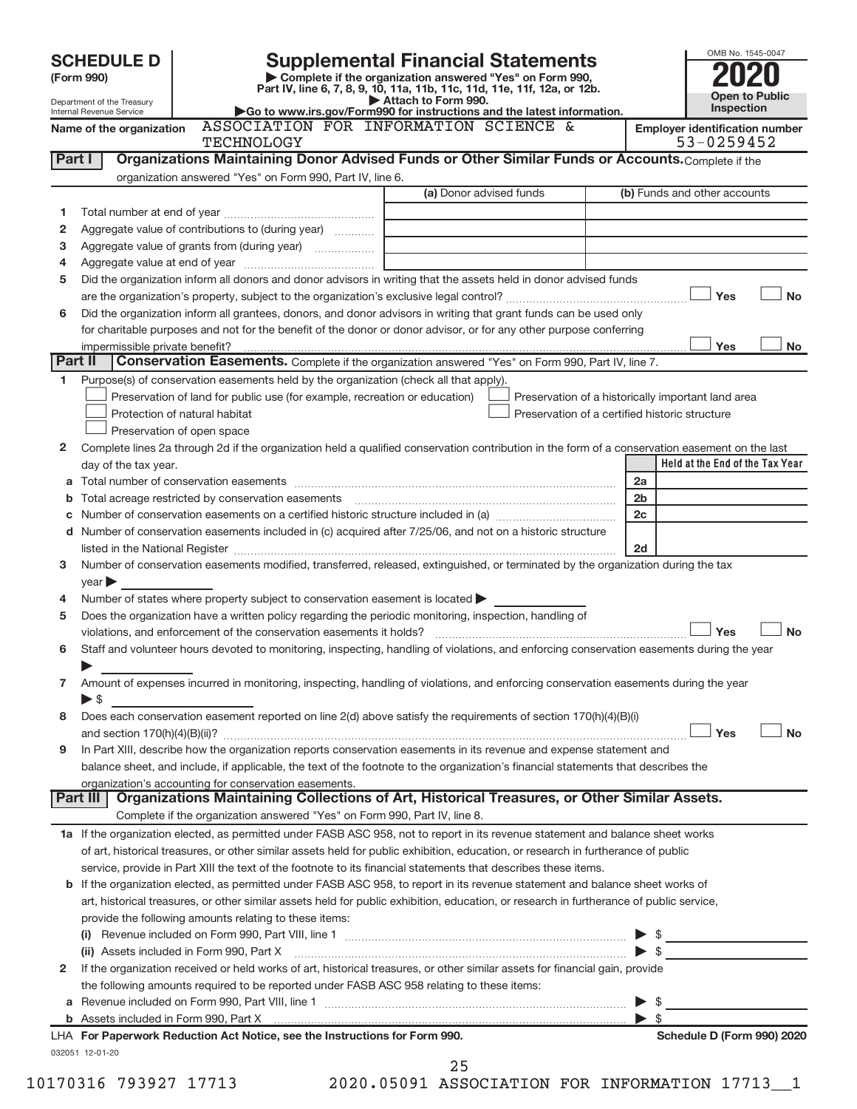|         | <b>SCHEDULE D</b>                                                                                                                                                                                                                                      |                                                                                                                 |                                                                                                                                                                                  |                | OMB No. 1545-0047                                   |  |  |  |  |
|---------|--------------------------------------------------------------------------------------------------------------------------------------------------------------------------------------------------------------------------------------------------------|-----------------------------------------------------------------------------------------------------------------|----------------------------------------------------------------------------------------------------------------------------------------------------------------------------------|----------------|-----------------------------------------------------|--|--|--|--|
|         | (Form 990)                                                                                                                                                                                                                                             |                                                                                                                 | <b>Supplemental Financial Statements</b><br>Complete if the organization answered "Yes" on Form 990,<br>Part IV, line 6, 7, 8, 9, 10, 11a, 11b, 11c, 11d, 11e, 11f, 12a, or 12b. |                |                                                     |  |  |  |  |
|         | Department of the Treasury                                                                                                                                                                                                                             |                                                                                                                 | Attach to Form 990.                                                                                                                                                              |                | <b>Open to Public</b>                               |  |  |  |  |
|         | Internal Revenue Service                                                                                                                                                                                                                               |                                                                                                                 | Go to www.irs.gov/Form990 for instructions and the latest information.                                                                                                           |                | Inspection                                          |  |  |  |  |
|         | Name of the organization                                                                                                                                                                                                                               | <b>TECHNOLOGY</b>                                                                                               | ASSOCIATION FOR INFORMATION SCIENCE &                                                                                                                                            |                | <b>Employer identification number</b><br>53-0259452 |  |  |  |  |
| Part I  |                                                                                                                                                                                                                                                        |                                                                                                                 | Organizations Maintaining Donor Advised Funds or Other Similar Funds or Accounts. Complete if the                                                                                |                |                                                     |  |  |  |  |
|         |                                                                                                                                                                                                                                                        | organization answered "Yes" on Form 990, Part IV, line 6.                                                       |                                                                                                                                                                                  |                |                                                     |  |  |  |  |
|         |                                                                                                                                                                                                                                                        |                                                                                                                 | (a) Donor advised funds                                                                                                                                                          |                | (b) Funds and other accounts                        |  |  |  |  |
| 1       |                                                                                                                                                                                                                                                        |                                                                                                                 |                                                                                                                                                                                  |                |                                                     |  |  |  |  |
| 2       |                                                                                                                                                                                                                                                        | Aggregate value of contributions to (during year)                                                               |                                                                                                                                                                                  |                |                                                     |  |  |  |  |
| з       |                                                                                                                                                                                                                                                        | Aggregate value of grants from (during year)                                                                    |                                                                                                                                                                                  |                |                                                     |  |  |  |  |
| 4       |                                                                                                                                                                                                                                                        |                                                                                                                 |                                                                                                                                                                                  |                |                                                     |  |  |  |  |
| 5       |                                                                                                                                                                                                                                                        |                                                                                                                 | Did the organization inform all donors and donor advisors in writing that the assets held in donor advised funds                                                                 |                |                                                     |  |  |  |  |
|         |                                                                                                                                                                                                                                                        |                                                                                                                 |                                                                                                                                                                                  |                | Yes<br><b>No</b>                                    |  |  |  |  |
| 6       |                                                                                                                                                                                                                                                        |                                                                                                                 | Did the organization inform all grantees, donors, and donor advisors in writing that grant funds can be used only                                                                |                |                                                     |  |  |  |  |
|         |                                                                                                                                                                                                                                                        |                                                                                                                 | for charitable purposes and not for the benefit of the donor or donor advisor, or for any other purpose conferring                                                               |                |                                                     |  |  |  |  |
|         | impermissible private benefit?                                                                                                                                                                                                                         |                                                                                                                 |                                                                                                                                                                                  |                | No<br>Yes                                           |  |  |  |  |
| Part II |                                                                                                                                                                                                                                                        |                                                                                                                 | Conservation Easements. Complete if the organization answered "Yes" on Form 990, Part IV, line 7.                                                                                |                |                                                     |  |  |  |  |
| 1.      |                                                                                                                                                                                                                                                        | Purpose(s) of conservation easements held by the organization (check all that apply).                           |                                                                                                                                                                                  |                |                                                     |  |  |  |  |
|         |                                                                                                                                                                                                                                                        | Preservation of land for public use (for example, recreation or education)                                      | Preservation of a historically important land area                                                                                                                               |                |                                                     |  |  |  |  |
|         |                                                                                                                                                                                                                                                        | Protection of natural habitat                                                                                   | Preservation of a certified historic structure                                                                                                                                   |                |                                                     |  |  |  |  |
|         |                                                                                                                                                                                                                                                        | Preservation of open space                                                                                      |                                                                                                                                                                                  |                |                                                     |  |  |  |  |
| 2       |                                                                                                                                                                                                                                                        |                                                                                                                 | Complete lines 2a through 2d if the organization held a qualified conservation contribution in the form of a conservation easement on the last                                   |                |                                                     |  |  |  |  |
|         | day of the tax year.                                                                                                                                                                                                                                   |                                                                                                                 |                                                                                                                                                                                  |                | Held at the End of the Tax Year                     |  |  |  |  |
|         |                                                                                                                                                                                                                                                        |                                                                                                                 |                                                                                                                                                                                  | 2a             |                                                     |  |  |  |  |
|         |                                                                                                                                                                                                                                                        | Total acreage restricted by conservation easements                                                              |                                                                                                                                                                                  | 2 <sub>b</sub> |                                                     |  |  |  |  |
|         |                                                                                                                                                                                                                                                        |                                                                                                                 |                                                                                                                                                                                  | 2c             |                                                     |  |  |  |  |
|         |                                                                                                                                                                                                                                                        |                                                                                                                 | d Number of conservation easements included in (c) acquired after 7/25/06, and not on a historic structure                                                                       |                |                                                     |  |  |  |  |
|         |                                                                                                                                                                                                                                                        | listed in the National Register [11, 2003] March 2014 12: 12: 13: 14: 14: 15: 15: 15: 15: 15: 15: 15: 15: 15: 1 |                                                                                                                                                                                  | 2d             |                                                     |  |  |  |  |
| 3       |                                                                                                                                                                                                                                                        |                                                                                                                 | Number of conservation easements modified, transferred, released, extinguished, or terminated by the organization during the tax                                                 |                |                                                     |  |  |  |  |
|         | $\vee$ ear                                                                                                                                                                                                                                             |                                                                                                                 |                                                                                                                                                                                  |                |                                                     |  |  |  |  |
| 4       |                                                                                                                                                                                                                                                        | Number of states where property subject to conservation easement is located >                                   |                                                                                                                                                                                  |                |                                                     |  |  |  |  |
| 5       |                                                                                                                                                                                                                                                        | Does the organization have a written policy regarding the periodic monitoring, inspection, handling of          |                                                                                                                                                                                  |                |                                                     |  |  |  |  |
|         |                                                                                                                                                                                                                                                        | violations, and enforcement of the conservation easements it holds?                                             |                                                                                                                                                                                  |                | <b>No</b><br>Yes                                    |  |  |  |  |
| 6       |                                                                                                                                                                                                                                                        |                                                                                                                 | Staff and volunteer hours devoted to monitoring, inspecting, handling of violations, and enforcing conservation easements during the year                                        |                |                                                     |  |  |  |  |
|         |                                                                                                                                                                                                                                                        |                                                                                                                 |                                                                                                                                                                                  |                |                                                     |  |  |  |  |
| 7       |                                                                                                                                                                                                                                                        |                                                                                                                 | Amount of expenses incurred in monitoring, inspecting, handling of violations, and enforcing conservation easements during the year                                              |                |                                                     |  |  |  |  |
|         | $\triangleright$ \$                                                                                                                                                                                                                                    |                                                                                                                 |                                                                                                                                                                                  |                |                                                     |  |  |  |  |
| 8       |                                                                                                                                                                                                                                                        |                                                                                                                 | Does each conservation easement reported on line 2(d) above satisfy the requirements of section 170(h)(4)(B)(i)                                                                  |                |                                                     |  |  |  |  |
|         |                                                                                                                                                                                                                                                        |                                                                                                                 |                                                                                                                                                                                  |                | Yes<br><b>No</b>                                    |  |  |  |  |
| 9       |                                                                                                                                                                                                                                                        |                                                                                                                 | In Part XIII, describe how the organization reports conservation easements in its revenue and expense statement and                                                              |                |                                                     |  |  |  |  |
|         |                                                                                                                                                                                                                                                        |                                                                                                                 | balance sheet, and include, if applicable, the text of the footnote to the organization's financial statements that describes the                                                |                |                                                     |  |  |  |  |
|         |                                                                                                                                                                                                                                                        | organization's accounting for conservation easements.                                                           |                                                                                                                                                                                  |                |                                                     |  |  |  |  |
|         | Part III                                                                                                                                                                                                                                               |                                                                                                                 | Organizations Maintaining Collections of Art, Historical Treasures, or Other Similar Assets.                                                                                     |                |                                                     |  |  |  |  |
|         |                                                                                                                                                                                                                                                        | Complete if the organization answered "Yes" on Form 990, Part IV, line 8.                                       |                                                                                                                                                                                  |                |                                                     |  |  |  |  |
|         |                                                                                                                                                                                                                                                        |                                                                                                                 | 1a If the organization elected, as permitted under FASB ASC 958, not to report in its revenue statement and balance sheet works                                                  |                |                                                     |  |  |  |  |
|         |                                                                                                                                                                                                                                                        |                                                                                                                 | of art, historical treasures, or other similar assets held for public exhibition, education, or research in furtherance of public                                                |                |                                                     |  |  |  |  |
|         |                                                                                                                                                                                                                                                        |                                                                                                                 |                                                                                                                                                                                  |                |                                                     |  |  |  |  |
|         | service, provide in Part XIII the text of the footnote to its financial statements that describes these items.<br><b>b</b> If the organization elected, as permitted under FASB ASC 958, to report in its revenue statement and balance sheet works of |                                                                                                                 |                                                                                                                                                                                  |                |                                                     |  |  |  |  |
|         |                                                                                                                                                                                                                                                        |                                                                                                                 | art, historical treasures, or other similar assets held for public exhibition, education, or research in furtherance of public service,                                          |                |                                                     |  |  |  |  |
|         |                                                                                                                                                                                                                                                        | provide the following amounts relating to these items:                                                          |                                                                                                                                                                                  |                |                                                     |  |  |  |  |
|         |                                                                                                                                                                                                                                                        |                                                                                                                 | Revenue included on Form 990, Part VIII, line 1 [2000] [2000] [2000] [2000] [2000] [2000] [2000] [2000] [2000                                                                    |                |                                                     |  |  |  |  |
|         |                                                                                                                                                                                                                                                        | (ii) Assets included in Form 990, Part X                                                                        |                                                                                                                                                                                  |                | $\triangleright$ s                                  |  |  |  |  |
| 2       |                                                                                                                                                                                                                                                        |                                                                                                                 | If the organization received or held works of art, historical treasures, or other similar assets for financial gain, provide                                                     |                |                                                     |  |  |  |  |
|         |                                                                                                                                                                                                                                                        | the following amounts required to be reported under FASB ASC 958 relating to these items:                       |                                                                                                                                                                                  |                |                                                     |  |  |  |  |
|         |                                                                                                                                                                                                                                                        |                                                                                                                 |                                                                                                                                                                                  |                | \$                                                  |  |  |  |  |
|         |                                                                                                                                                                                                                                                        |                                                                                                                 |                                                                                                                                                                                  |                | - \$                                                |  |  |  |  |
|         |                                                                                                                                                                                                                                                        | LHA For Paperwork Reduction Act Notice, see the Instructions for Form 990.                                      |                                                                                                                                                                                  |                | Schedule D (Form 990) 2020                          |  |  |  |  |
|         | 032051 12-01-20                                                                                                                                                                                                                                        |                                                                                                                 |                                                                                                                                                                                  |                |                                                     |  |  |  |  |

<sup>10170316 793927 17713 2020.05091</sup> ASSOCIATION FOR INFORMATION 17713\_\_1 25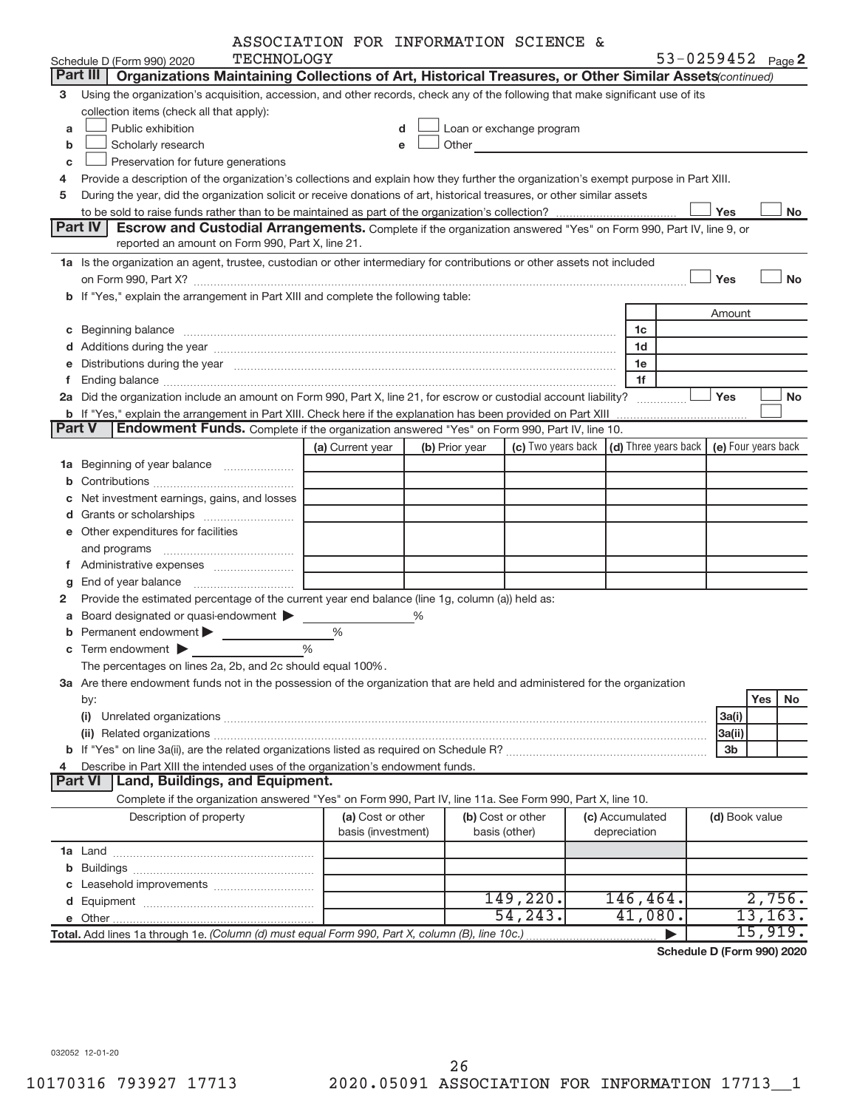|  | ASSOCIATION FOR INFORMATION SCIENCE & |  |
|--|---------------------------------------|--|
|  |                                       |  |

|               |                                                                                                                                                                                                                                | ASSOCIATION FOR INFORMATION SCIENCE & |   |                |                                                                                                                                                                                                                                |                                                         |        |                |                     |
|---------------|--------------------------------------------------------------------------------------------------------------------------------------------------------------------------------------------------------------------------------|---------------------------------------|---|----------------|--------------------------------------------------------------------------------------------------------------------------------------------------------------------------------------------------------------------------------|---------------------------------------------------------|--------|----------------|---------------------|
|               | <b>TECHNOLOGY</b><br>Schedule D (Form 990) 2020                                                                                                                                                                                |                                       |   |                |                                                                                                                                                                                                                                |                                                         |        |                | 53-0259452 Page 2   |
|               | Part III<br>Organizations Maintaining Collections of Art, Historical Treasures, or Other Similar Assets (continued)                                                                                                            |                                       |   |                |                                                                                                                                                                                                                                |                                                         |        |                |                     |
| 3             | Using the organization's acquisition, accession, and other records, check any of the following that make significant use of its                                                                                                |                                       |   |                |                                                                                                                                                                                                                                |                                                         |        |                |                     |
|               | collection items (check all that apply):                                                                                                                                                                                       |                                       |   |                |                                                                                                                                                                                                                                |                                                         |        |                |                     |
| a             | Public exhibition                                                                                                                                                                                                              | d                                     |   |                | $\perp$ Loan or exchange program                                                                                                                                                                                               |                                                         |        |                |                     |
| b             | Scholarly research                                                                                                                                                                                                             | e                                     |   |                | Other the contract of the contract of the contract of the contract of the contract of the contract of the contract of the contract of the contract of the contract of the contract of the contract of the contract of the cont |                                                         |        |                |                     |
| с             | Preservation for future generations                                                                                                                                                                                            |                                       |   |                |                                                                                                                                                                                                                                |                                                         |        |                |                     |
| 4             | Provide a description of the organization's collections and explain how they further the organization's exempt purpose in Part XIII.                                                                                           |                                       |   |                |                                                                                                                                                                                                                                |                                                         |        |                |                     |
| 5             | During the year, did the organization solicit or receive donations of art, historical treasures, or other similar assets                                                                                                       |                                       |   |                |                                                                                                                                                                                                                                |                                                         |        |                |                     |
|               |                                                                                                                                                                                                                                |                                       |   |                |                                                                                                                                                                                                                                |                                                         | Yes    |                | No                  |
|               | Part IV<br>Escrow and Custodial Arrangements. Complete if the organization answered "Yes" on Form 990, Part IV, line 9, or                                                                                                     |                                       |   |                |                                                                                                                                                                                                                                |                                                         |        |                |                     |
|               | reported an amount on Form 990, Part X, line 21.                                                                                                                                                                               |                                       |   |                |                                                                                                                                                                                                                                |                                                         |        |                |                     |
|               | 1a Is the organization an agent, trustee, custodian or other intermediary for contributions or other assets not included                                                                                                       |                                       |   |                |                                                                                                                                                                                                                                |                                                         |        |                |                     |
|               |                                                                                                                                                                                                                                |                                       |   |                |                                                                                                                                                                                                                                |                                                         | Yes    |                | <b>No</b>           |
|               |                                                                                                                                                                                                                                |                                       |   |                |                                                                                                                                                                                                                                |                                                         |        |                |                     |
|               | b If "Yes," explain the arrangement in Part XIII and complete the following table:                                                                                                                                             |                                       |   |                |                                                                                                                                                                                                                                |                                                         |        |                |                     |
|               |                                                                                                                                                                                                                                |                                       |   |                |                                                                                                                                                                                                                                |                                                         | Amount |                |                     |
|               | c Beginning balance measurements and the contract of Beginning balance measurements are all the contract of the contract of the contract of the contract of the contract of the contract of the contract of the contract of th |                                       |   |                |                                                                                                                                                                                                                                | 1c                                                      |        |                |                     |
|               |                                                                                                                                                                                                                                |                                       |   |                |                                                                                                                                                                                                                                | 1d                                                      |        |                |                     |
|               | e Distributions during the year manufactured and continuum and contact the control of the control of the control of the control of the control of the control of the control of the control of the control of the control of t |                                       |   |                |                                                                                                                                                                                                                                | 1e                                                      |        |                |                     |
|               |                                                                                                                                                                                                                                |                                       |   |                |                                                                                                                                                                                                                                | 1f                                                      |        |                |                     |
|               | 2a Did the organization include an amount on Form 990, Part X, line 21, for escrow or custodial account liability?                                                                                                             |                                       |   |                |                                                                                                                                                                                                                                | .                                                       | Yes    |                | No                  |
|               | b If "Yes," explain the arrangement in Part XIII. Check here if the explanation has been provided on Part XIII                                                                                                                 |                                       |   |                |                                                                                                                                                                                                                                |                                                         |        |                |                     |
| <b>Part V</b> | <b>Endowment Funds.</b> Complete if the organization answered "Yes" on Form 990, Part IV, line 10.                                                                                                                             |                                       |   |                |                                                                                                                                                                                                                                |                                                         |        |                |                     |
|               |                                                                                                                                                                                                                                | (a) Current year                      |   | (b) Prior year |                                                                                                                                                                                                                                | (c) Two years back $\vert$ (d) Three years back $\vert$ |        |                | (e) Four years back |
|               | 1a Beginning of year balance                                                                                                                                                                                                   |                                       |   |                |                                                                                                                                                                                                                                |                                                         |        |                |                     |
|               |                                                                                                                                                                                                                                |                                       |   |                |                                                                                                                                                                                                                                |                                                         |        |                |                     |
| c             | Net investment earnings, gains, and losses                                                                                                                                                                                     |                                       |   |                |                                                                                                                                                                                                                                |                                                         |        |                |                     |
|               |                                                                                                                                                                                                                                |                                       |   |                |                                                                                                                                                                                                                                |                                                         |        |                |                     |
|               | e Other expenditures for facilities                                                                                                                                                                                            |                                       |   |                |                                                                                                                                                                                                                                |                                                         |        |                |                     |
|               |                                                                                                                                                                                                                                |                                       |   |                |                                                                                                                                                                                                                                |                                                         |        |                |                     |
|               |                                                                                                                                                                                                                                |                                       |   |                |                                                                                                                                                                                                                                |                                                         |        |                |                     |
|               |                                                                                                                                                                                                                                |                                       |   |                |                                                                                                                                                                                                                                |                                                         |        |                |                     |
| g             |                                                                                                                                                                                                                                |                                       |   |                |                                                                                                                                                                                                                                |                                                         |        |                |                     |
| 2             | Provide the estimated percentage of the current year end balance (line 1g, column (a)) held as:                                                                                                                                |                                       |   |                |                                                                                                                                                                                                                                |                                                         |        |                |                     |
|               | <b>a</b> Board designated or quasi-endowment $\blacktriangleright$                                                                                                                                                             |                                       | % |                |                                                                                                                                                                                                                                |                                                         |        |                |                     |
| b             | Permanent endowment >                                                                                                                                                                                                          | %                                     |   |                |                                                                                                                                                                                                                                |                                                         |        |                |                     |
|               | $\mathbf c$ Term endowment $\blacktriangleright$                                                                                                                                                                               | $\%$                                  |   |                |                                                                                                                                                                                                                                |                                                         |        |                |                     |
|               | The percentages on lines 2a, 2b, and 2c should equal 100%                                                                                                                                                                      |                                       |   |                |                                                                                                                                                                                                                                |                                                         |        |                |                     |
|               | 3a Are there endowment funds not in the possession of the organization that are held and administered for the organization                                                                                                     |                                       |   |                |                                                                                                                                                                                                                                |                                                         |        |                |                     |
|               | by:                                                                                                                                                                                                                            |                                       |   |                |                                                                                                                                                                                                                                |                                                         |        |                | Yes<br>No           |
|               |                                                                                                                                                                                                                                |                                       |   |                |                                                                                                                                                                                                                                |                                                         | 3a(i)  |                |                     |
|               |                                                                                                                                                                                                                                |                                       |   |                |                                                                                                                                                                                                                                |                                                         | 3a(ii) |                |                     |
|               |                                                                                                                                                                                                                                |                                       |   |                |                                                                                                                                                                                                                                |                                                         |        | 3 <sub>b</sub> |                     |
| 4             | Describe in Part XIII the intended uses of the organization's endowment funds.                                                                                                                                                 |                                       |   |                |                                                                                                                                                                                                                                |                                                         |        |                |                     |
|               | <b>Land, Buildings, and Equipment.</b><br><b>Part VI</b>                                                                                                                                                                       |                                       |   |                |                                                                                                                                                                                                                                |                                                         |        |                |                     |
|               | Complete if the organization answered "Yes" on Form 990, Part IV, line 11a. See Form 990, Part X, line 10.                                                                                                                     |                                       |   |                |                                                                                                                                                                                                                                |                                                         |        |                |                     |
|               | Description of property                                                                                                                                                                                                        | (a) Cost or other                     |   |                | (b) Cost or other                                                                                                                                                                                                              | (c) Accumulated                                         |        | (d) Book value |                     |
|               |                                                                                                                                                                                                                                | basis (investment)                    |   |                | basis (other)                                                                                                                                                                                                                  | depreciation                                            |        |                |                     |
|               |                                                                                                                                                                                                                                |                                       |   |                |                                                                                                                                                                                                                                |                                                         |        |                |                     |
|               |                                                                                                                                                                                                                                |                                       |   |                |                                                                                                                                                                                                                                |                                                         |        |                |                     |
|               |                                                                                                                                                                                                                                |                                       |   |                |                                                                                                                                                                                                                                |                                                         |        |                |                     |
|               |                                                                                                                                                                                                                                |                                       |   |                | 149,220.                                                                                                                                                                                                                       | 146,464.                                                |        |                | 2,756.              |
|               |                                                                                                                                                                                                                                |                                       |   |                | 54, 243.                                                                                                                                                                                                                       | 41,080.                                                 |        |                | 13, 163.            |
|               |                                                                                                                                                                                                                                |                                       |   |                |                                                                                                                                                                                                                                |                                                         |        |                | 15,919.             |
|               | Total. Add lines 1a through 1e. (Column (d) must equal Form 990, Part X, column (B), line 10c.)                                                                                                                                |                                       |   |                |                                                                                                                                                                                                                                |                                                         |        |                |                     |

**Schedule D (Form 990) 2020**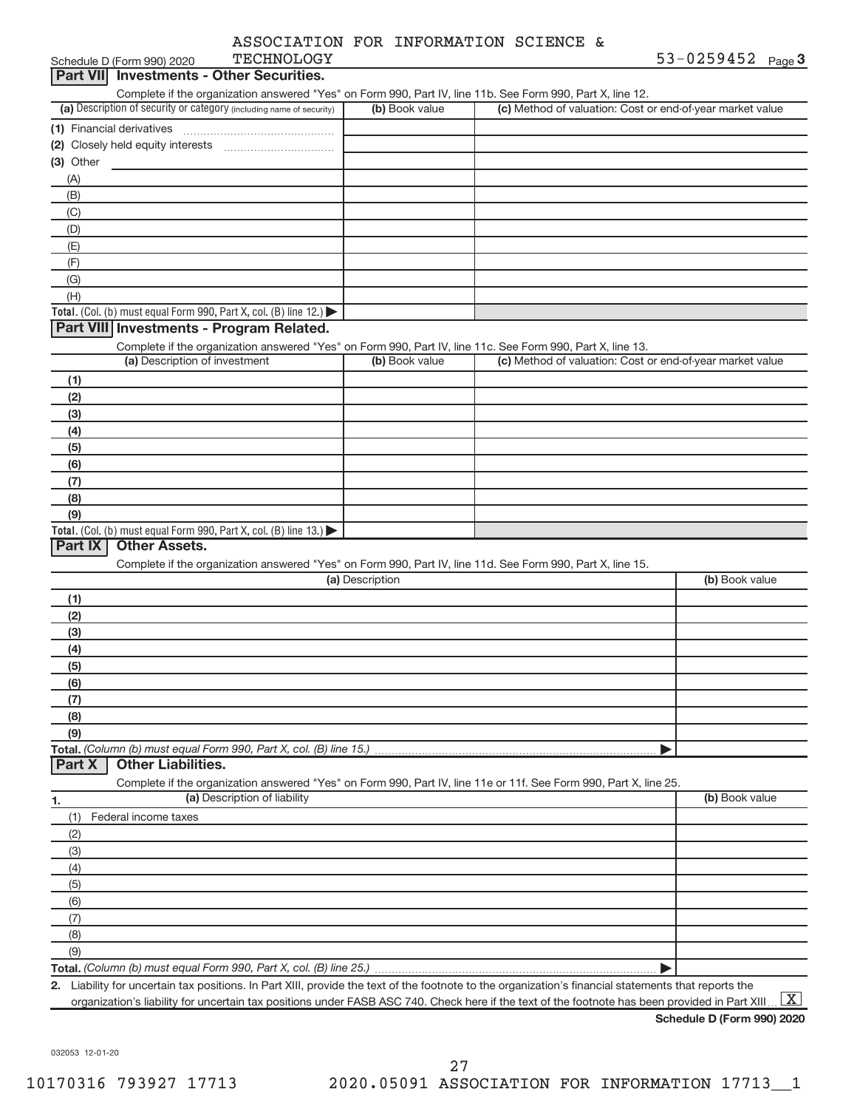|                                                                                                                                             | ASSOCIATION FOR INFORMATION SCIENCE &                                                                                                               |                                                           |                   |
|---------------------------------------------------------------------------------------------------------------------------------------------|-----------------------------------------------------------------------------------------------------------------------------------------------------|-----------------------------------------------------------|-------------------|
| <b>TECHNOLOGY</b><br>Schedule D (Form 990) 2020                                                                                             |                                                                                                                                                     |                                                           | 53-0259452 Page 3 |
| Part VII Investments - Other Securities.                                                                                                    |                                                                                                                                                     |                                                           |                   |
| Complete if the organization answered "Yes" on Form 990, Part IV, line 11b. See Form 990, Part X, line 12.                                  |                                                                                                                                                     |                                                           |                   |
| (a) Description of security or category (including name of security)                                                                        | (b) Book value                                                                                                                                      | (c) Method of valuation: Cost or end-of-year market value |                   |
| (1) Financial derivatives                                                                                                                   |                                                                                                                                                     |                                                           |                   |
|                                                                                                                                             |                                                                                                                                                     |                                                           |                   |
| (3) Other                                                                                                                                   |                                                                                                                                                     |                                                           |                   |
| (A)                                                                                                                                         |                                                                                                                                                     |                                                           |                   |
| (B)                                                                                                                                         |                                                                                                                                                     |                                                           |                   |
| (C)                                                                                                                                         |                                                                                                                                                     |                                                           |                   |
| (D)                                                                                                                                         |                                                                                                                                                     |                                                           |                   |
| (E)                                                                                                                                         |                                                                                                                                                     |                                                           |                   |
| (F)                                                                                                                                         |                                                                                                                                                     |                                                           |                   |
| (G)                                                                                                                                         |                                                                                                                                                     |                                                           |                   |
| (H)                                                                                                                                         |                                                                                                                                                     |                                                           |                   |
| Total. (Col. (b) must equal Form 990, Part X, col. (B) line 12.)                                                                            |                                                                                                                                                     |                                                           |                   |
| Part VIII Investments - Program Related.                                                                                                    |                                                                                                                                                     |                                                           |                   |
| Complete if the organization answered "Yes" on Form 990, Part IV, line 11c. See Form 990, Part X, line 13.<br>(a) Description of investment | (b) Book value                                                                                                                                      | (c) Method of valuation: Cost or end-of-year market value |                   |
|                                                                                                                                             |                                                                                                                                                     |                                                           |                   |
| (1)                                                                                                                                         |                                                                                                                                                     |                                                           |                   |
| (2)                                                                                                                                         |                                                                                                                                                     |                                                           |                   |
| (3)                                                                                                                                         |                                                                                                                                                     |                                                           |                   |
| (4)                                                                                                                                         |                                                                                                                                                     |                                                           |                   |
| (5)<br>(6)                                                                                                                                  |                                                                                                                                                     |                                                           |                   |
| (7)                                                                                                                                         |                                                                                                                                                     |                                                           |                   |
| (8)                                                                                                                                         |                                                                                                                                                     |                                                           |                   |
| (9)                                                                                                                                         |                                                                                                                                                     |                                                           |                   |
| Total. (Col. (b) must equal Form 990, Part X, col. (B) line 13.)                                                                            |                                                                                                                                                     |                                                           |                   |
| <b>Other Assets.</b><br>Part IX                                                                                                             |                                                                                                                                                     |                                                           |                   |
| Complete if the organization answered "Yes" on Form 990, Part IV, line 11d. See Form 990, Part X, line 15.                                  |                                                                                                                                                     |                                                           |                   |
|                                                                                                                                             | (a) Description                                                                                                                                     |                                                           | (b) Book value    |
| (1)                                                                                                                                         |                                                                                                                                                     |                                                           |                   |
| (2)                                                                                                                                         |                                                                                                                                                     |                                                           |                   |
| (3)                                                                                                                                         |                                                                                                                                                     |                                                           |                   |
| (4)                                                                                                                                         |                                                                                                                                                     |                                                           |                   |
| (ප)                                                                                                                                         |                                                                                                                                                     |                                                           |                   |
| (6)                                                                                                                                         |                                                                                                                                                     |                                                           |                   |
| (7)                                                                                                                                         |                                                                                                                                                     |                                                           |                   |
| (8)                                                                                                                                         |                                                                                                                                                     |                                                           |                   |
| (9)                                                                                                                                         |                                                                                                                                                     |                                                           |                   |
| Total. (Column (b) must equal Form 990, Part X, col. (B) line 15.)                                                                          |                                                                                                                                                     |                                                           |                   |
| <b>Other Liabilities.</b><br>Part X                                                                                                         |                                                                                                                                                     |                                                           |                   |
| Complete if the organization answered "Yes" on Form 990, Part IV, line 11e or 11f. See Form 990, Part X, line 25.                           |                                                                                                                                                     |                                                           |                   |
| (a) Description of liability<br>1.                                                                                                          |                                                                                                                                                     |                                                           | (b) Book value    |
| Federal income taxes<br>(1)                                                                                                                 |                                                                                                                                                     |                                                           |                   |
| (2)                                                                                                                                         |                                                                                                                                                     |                                                           |                   |
| (3)                                                                                                                                         |                                                                                                                                                     |                                                           |                   |
| (4)                                                                                                                                         |                                                                                                                                                     |                                                           |                   |
| (5)                                                                                                                                         |                                                                                                                                                     |                                                           |                   |
| (6)                                                                                                                                         |                                                                                                                                                     |                                                           |                   |
| (7)                                                                                                                                         |                                                                                                                                                     |                                                           |                   |
| (8)                                                                                                                                         |                                                                                                                                                     |                                                           |                   |
| (9)                                                                                                                                         |                                                                                                                                                     |                                                           |                   |
|                                                                                                                                             | 2 Liability for uncertain tax positions. In Part XIII, provide the text of the footpote to the organization's financial statements that reports the |                                                           |                   |

**2.** Liability for uncertain tax positions. In Part XIII, provide the text of the footnote to the organization's financial statements that reports the organization's liability for uncertain tax positions under FASB ASC 740. Check here if the text of the footnote has been provided in Part XIII ...  $\boxed{\mathrm{X}}$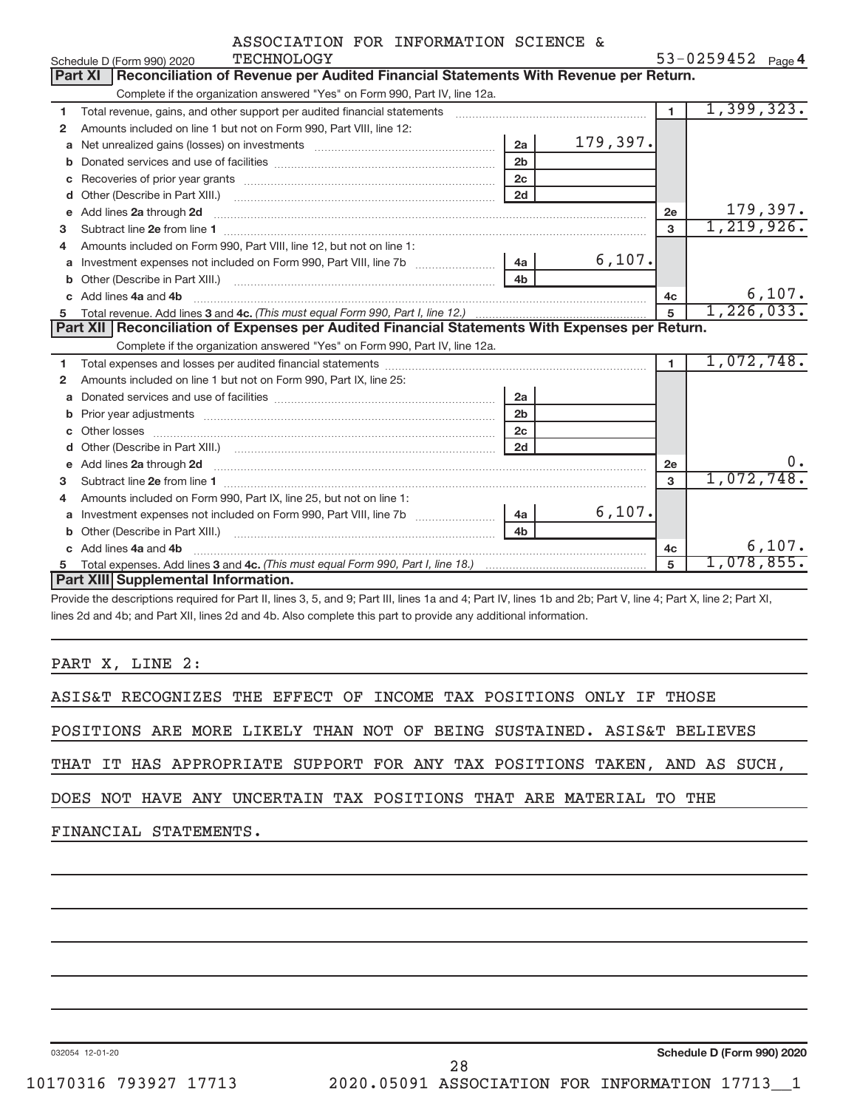|                | ASSOCIATION FOR INFORMATION SCIENCE & |  |
|----------------|---------------------------------------|--|
| MTATIATATATATI |                                       |  |

|              | Schedule D (Form 990) 2020<br>TECHNOLOGY                                                                                 |                |          |                | $53 - 0259452$ Page 4 |
|--------------|--------------------------------------------------------------------------------------------------------------------------|----------------|----------|----------------|-----------------------|
|              | Reconciliation of Revenue per Audited Financial Statements With Revenue per Return.<br><b>Part XI</b>                    |                |          |                |                       |
|              | Complete if the organization answered "Yes" on Form 990, Part IV, line 12a.                                              |                |          |                |                       |
| 1            | Total revenue, gains, and other support per audited financial statements                                                 |                |          | $\blacksquare$ | 1,399,323.            |
| $\mathbf{2}$ | Amounts included on line 1 but not on Form 990, Part VIII, line 12:                                                      |                |          |                |                       |
| a            |                                                                                                                          | 2a             | 179,397. |                |                       |
| b            |                                                                                                                          | 2 <sub>b</sub> |          |                |                       |
| С            |                                                                                                                          | 2 <sub>c</sub> |          |                |                       |
| d            |                                                                                                                          | 2d             |          |                |                       |
| e            | Add lines 2a through 2d                                                                                                  |                |          | 2e             | 179,397.              |
| 3            |                                                                                                                          |                |          | 3              | 1,219,926.            |
| 4            | Amounts included on Form 990, Part VIII, line 12, but not on line 1:                                                     |                |          |                |                       |
| a            |                                                                                                                          |                | 6,107.   |                |                       |
|              |                                                                                                                          | 4h             |          |                |                       |
|              | Add lines 4a and 4b                                                                                                      |                |          | 4c             | 6,107.                |
| c.           |                                                                                                                          |                |          |                |                       |
|              |                                                                                                                          |                |          | 5              | 1,226,033.            |
|              | Part XII   Reconciliation of Expenses per Audited Financial Statements With Expenses per Return.                         |                |          |                |                       |
|              | Complete if the organization answered "Yes" on Form 990, Part IV, line 12a.                                              |                |          |                |                       |
| 1            |                                                                                                                          |                |          | $\blacksquare$ | 1,072,748.            |
| 2            | Amounts included on line 1 but not on Form 990, Part IX, line 25:                                                        |                |          |                |                       |
| a            |                                                                                                                          | 2a             |          |                |                       |
| b            | Prior year adjustments [ www.communications of the contract of the contract of the contract of the contract of           | 2 <sub>b</sub> |          |                |                       |
| C            |                                                                                                                          | 2c             |          |                |                       |
| d            |                                                                                                                          | 2d             |          |                |                       |
| е            | Add lines 2a through 2d <b>must be a constructed as the constant of the constant of the constant of the construction</b> |                |          | 2e             | 0.                    |
| 3            |                                                                                                                          |                |          | $\mathbf{a}$   | 1,072,748.            |
| 4            | Amounts included on Form 990, Part IX, line 25, but not on line 1:                                                       |                |          |                |                       |
| a            |                                                                                                                          | 4a             | 6,107.   |                |                       |
|              |                                                                                                                          | 4 <sub>b</sub> |          |                |                       |
|              | Add lines 4a and 4b                                                                                                      |                |          | 4 <sub>c</sub> | 6,107.                |
| 5            | Part XIII Supplemental Information.                                                                                      |                |          | 5              | 1,078,855.            |

Provide the descriptions required for Part II, lines 3, 5, and 9; Part III, lines 1a and 4; Part IV, lines 1b and 2b; Part V, line 4; Part X, line 2; Part XI, lines 2d and 4b; and Part XII, lines 2d and 4b. Also complete this part to provide any additional information.

PART X, LINE 2:

ASIS&T RECOGNIZES THE EFFECT OF INCOME TAX POSITIONS ONLY IF THOSE

POSITIONS ARE MORE LIKELY THAN NOT OF BEING SUSTAINED. ASIS&T BELIEVES

THAT IT HAS APPROPRIATE SUPPORT FOR ANY TAX POSITIONS TAKEN, AND AS SUCH,

DOES NOT HAVE ANY UNCERTAIN TAX POSITIONS THAT ARE MATERIAL TO THE

FINANCIAL STATEMENTS.

032054 12-01-20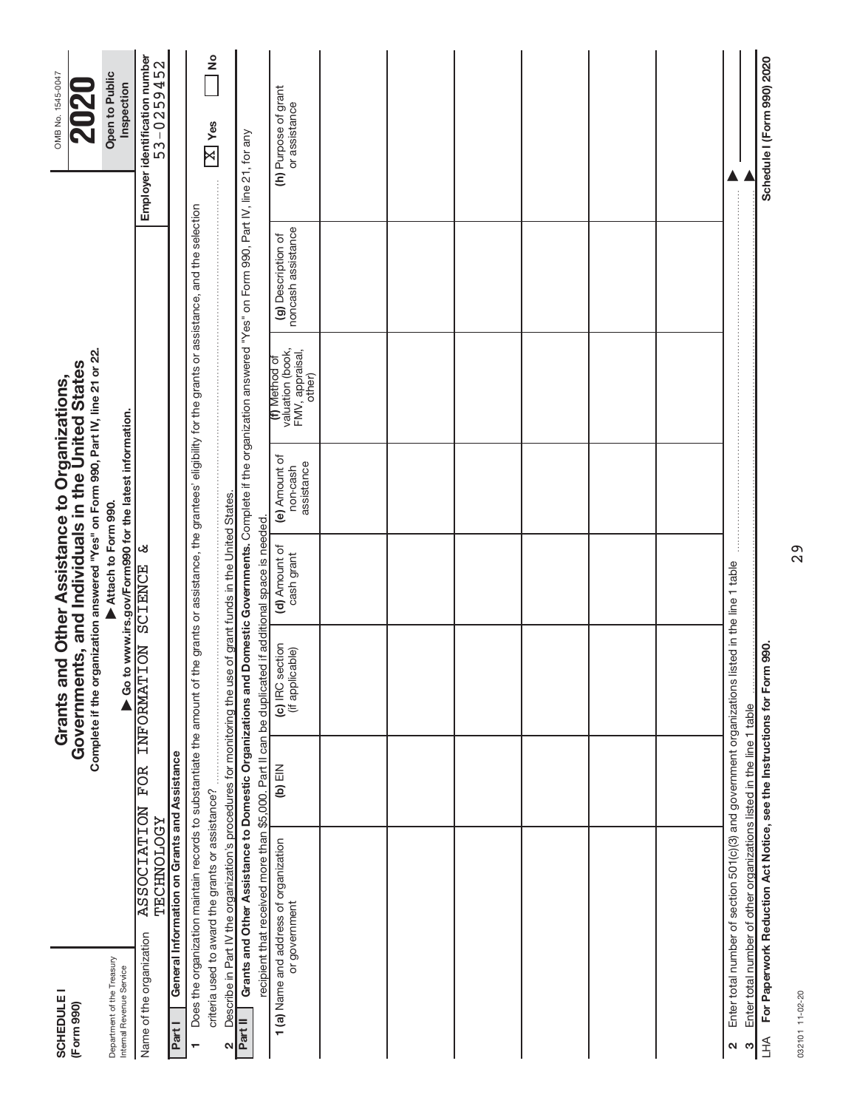| <b>SCHEDULE I</b><br>(Form 990)                        |                                                                                                                                                                          |           | Complete if the organization answered "Yes" on Form 990, Part IV, line 21 or 22.<br>Governments, and Individuals in the United States<br>Grants and Other Assistance to Organizations, |                                                                              |                                         |                                                                |                                          | OMB No. 1545-0047                            |
|--------------------------------------------------------|--------------------------------------------------------------------------------------------------------------------------------------------------------------------------|-----------|----------------------------------------------------------------------------------------------------------------------------------------------------------------------------------------|------------------------------------------------------------------------------|-----------------------------------------|----------------------------------------------------------------|------------------------------------------|----------------------------------------------|
| Department of the Treasury<br>Internal Revenue Service |                                                                                                                                                                          |           |                                                                                                                                                                                        | Go to www.irs.gov/Form990 for the latest information.<br>Attach to Form 990. |                                         |                                                                |                                          | Open to Public<br>Inspection                 |
| Name of the organization                               | <b>ASSOCIATION</b><br><b><i>ASCHONHOTORI</i></b>                                                                                                                         | FOR       | <b>INFORMATION</b>                                                                                                                                                                     | ಜ<br><b>SCIENCE</b>                                                          |                                         |                                                                |                                          | Employer identification number<br>53-0259452 |
| Part I                                                 | General Information on Grants and Assistance                                                                                                                             |           |                                                                                                                                                                                        |                                                                              |                                         |                                                                |                                          |                                              |
| $\blacksquare$                                         | Does the organization maintain records to substantiate the amount of the grants or assistance, the grantees' eligibility for the grants or assistance, and the selection |           |                                                                                                                                                                                        |                                                                              |                                         |                                                                |                                          |                                              |
|                                                        | criteria used to award the grants or assistance?                                                                                                                         |           |                                                                                                                                                                                        |                                                                              |                                         |                                                                |                                          | $\frac{1}{2}$<br>$\overline{X}$ Yes          |
| N                                                      | Describe in Part IV the organization's procedures for monitoring the use                                                                                                 |           |                                                                                                                                                                                        | of grant funds in the United States                                          |                                         |                                                                |                                          |                                              |
| Part II                                                | Grants and Other Assistance to Domestic Organizations and Domestic Governments. Complete if the organization answered "Yes" on Form 990, Part IV, line 21, for any       |           |                                                                                                                                                                                        |                                                                              |                                         |                                                                |                                          |                                              |
|                                                        | recipient that received more than \$5,000. Part II can be duplicated                                                                                                     |           |                                                                                                                                                                                        | if additional space is needed                                                |                                         |                                                                |                                          |                                              |
|                                                        | 1 (a) Name and address of organization<br>or government                                                                                                                  | $(b)$ EIN | (c) IRC section<br>(if applicable)                                                                                                                                                     | (d) Amount of<br>cash grant                                                  | (e) Amount of<br>assistance<br>non-cash | valuation (book,<br>FMV, appraisal,<br>(f) Method of<br>other) | noncash assistance<br>(g) Description of | (h) Purpose of grant<br>or assistance        |
|                                                        |                                                                                                                                                                          |           |                                                                                                                                                                                        |                                                                              |                                         |                                                                |                                          |                                              |
|                                                        |                                                                                                                                                                          |           |                                                                                                                                                                                        |                                                                              |                                         |                                                                |                                          |                                              |
|                                                        |                                                                                                                                                                          |           |                                                                                                                                                                                        |                                                                              |                                         |                                                                |                                          |                                              |
|                                                        |                                                                                                                                                                          |           |                                                                                                                                                                                        |                                                                              |                                         |                                                                |                                          |                                              |
|                                                        |                                                                                                                                                                          |           |                                                                                                                                                                                        |                                                                              |                                         |                                                                |                                          |                                              |
|                                                        |                                                                                                                                                                          |           |                                                                                                                                                                                        |                                                                              |                                         |                                                                |                                          |                                              |
| ⊲                                                      | Enter total number of section 501(c)(3) and government organizations listed in the line 1 table                                                                          |           |                                                                                                                                                                                        |                                                                              |                                         |                                                                |                                          |                                              |
| ო                                                      | Enter total number of other organizations listed in the line 1 table                                                                                                     |           |                                                                                                                                                                                        |                                                                              |                                         |                                                                |                                          |                                              |
| <b>AHT</b>                                             | For Paperwork Reduction Act Notice, see the Instructions for Form                                                                                                        |           | 990.                                                                                                                                                                                   |                                                                              |                                         |                                                                |                                          | Schedule I (Form 990) 2020                   |

032101 11-02-20 032101 11-02-20

29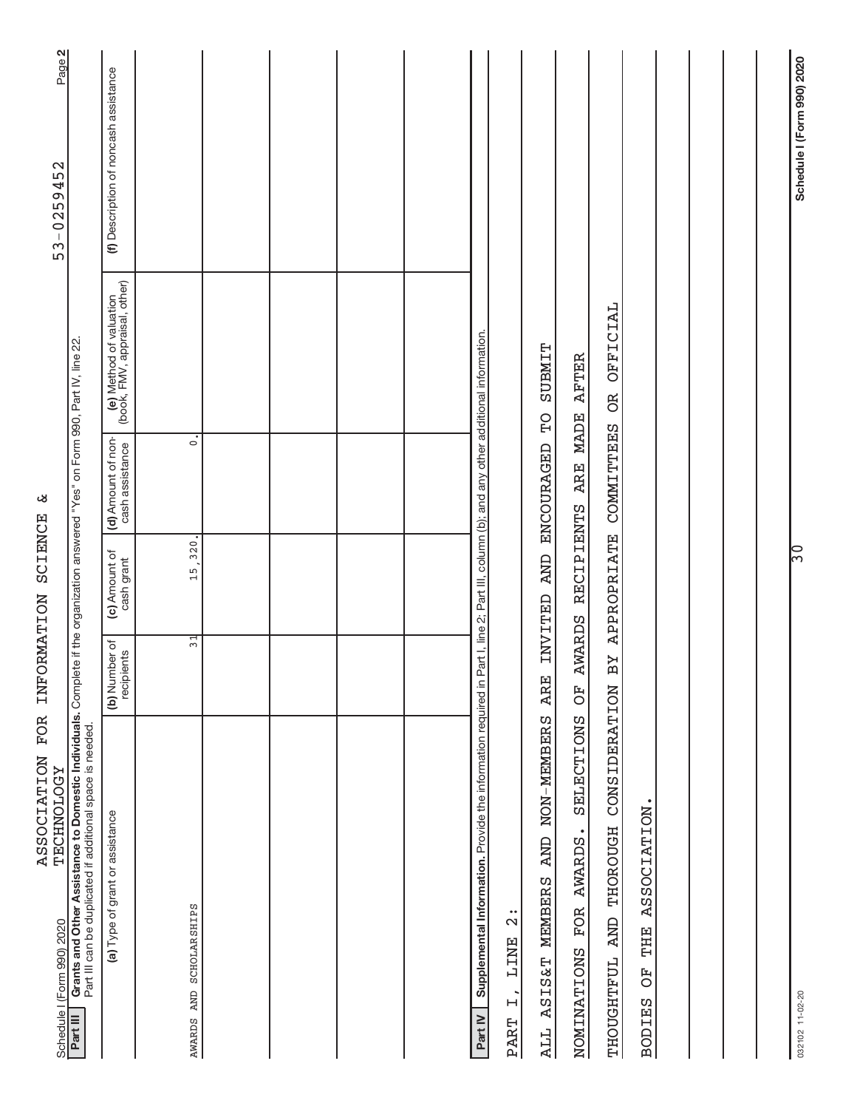| FOR<br><b>ASSOCIATION</b><br><b><i>LECHNOLOGY</i></b><br>Schedule I (Form 990) 2020                                                                                                                      | INFORMATION                 | SCIENCE                      | لا،                                                                        |                                                          | Page 2<br>53-0259452                  |
|----------------------------------------------------------------------------------------------------------------------------------------------------------------------------------------------------------|-----------------------------|------------------------------|----------------------------------------------------------------------------|----------------------------------------------------------|---------------------------------------|
| Grants and Other Assistance to Domestic Individuals. Complete if the organization answered "Yes" on Form 990, Part IV, line 22.<br>Part III can be duplicated if additional space is needed.<br>Part III |                             |                              |                                                                            |                                                          |                                       |
| (a) Type of grant or assistance                                                                                                                                                                          | (b) Number of<br>recipients | (c) Amount of<br>cash grant  | (d) Amount of non-<br>cash assistance                                      | (e) Method of valuation<br>(book, FMV, appraisal, other) | (f) Description of noncash assistance |
| SCHOLARSHIPS<br>AWARDS AND                                                                                                                                                                               | $\frac{1}{3}$               | 15,320.                      | $\overline{\cdot}$                                                         |                                                          |                                       |
|                                                                                                                                                                                                          |                             |                              |                                                                            |                                                          |                                       |
|                                                                                                                                                                                                          |                             |                              |                                                                            |                                                          |                                       |
|                                                                                                                                                                                                          |                             |                              |                                                                            |                                                          |                                       |
|                                                                                                                                                                                                          |                             |                              |                                                                            |                                                          |                                       |
| Supplemental Information. Provide the information required in<br>Part IV                                                                                                                                 |                             |                              | Part I, line 2; Part III, column (b); and any other additional information |                                                          |                                       |
| $\ddot{\Omega}$<br>LINE<br>$\overline{L}$<br><b>PART</b>                                                                                                                                                 |                             |                              |                                                                            |                                                          |                                       |
| NON-MEMBERS<br><b>AND</b><br>MEMBERS<br><b>ASIS&amp;T</b><br>ALL                                                                                                                                         | <b>ARE</b>                  | <b>AND</b><br><b>INVITED</b> | ENCOURAGED                                                                 | <b>SUBMIT</b><br>$\overline{C}$                          |                                       |
| SELECTIONS<br>AWARDS.<br>FOR<br>NOMINATIONS                                                                                                                                                              | <b>AWARDS</b><br>FO         | RECIPIENTS                   | MADE<br><b>ARE</b>                                                         | <b>AFTER</b>                                             |                                       |
| CONSIDERATION<br><b>THOROUGH</b><br><b>AND</b><br><b>THOUGHTFUL</b>                                                                                                                                      | ВY                          | <b>APPROPRIATE</b>           | COMMITTEES                                                                 | <b>OFFICIAL</b><br><b>BC</b>                             |                                       |
| ASSOCIATION.<br>THE<br>FO<br>O<br><b>BODIES</b>                                                                                                                                                          |                             |                              |                                                                            |                                                          |                                       |
|                                                                                                                                                                                                          |                             |                              |                                                                            |                                                          |                                       |
|                                                                                                                                                                                                          |                             |                              |                                                                            |                                                          |                                       |
|                                                                                                                                                                                                          |                             |                              |                                                                            |                                                          |                                       |
| 032102 11-02-20                                                                                                                                                                                          |                             | ြ္က                          |                                                                            |                                                          | Schedule I (Form 990) 2020            |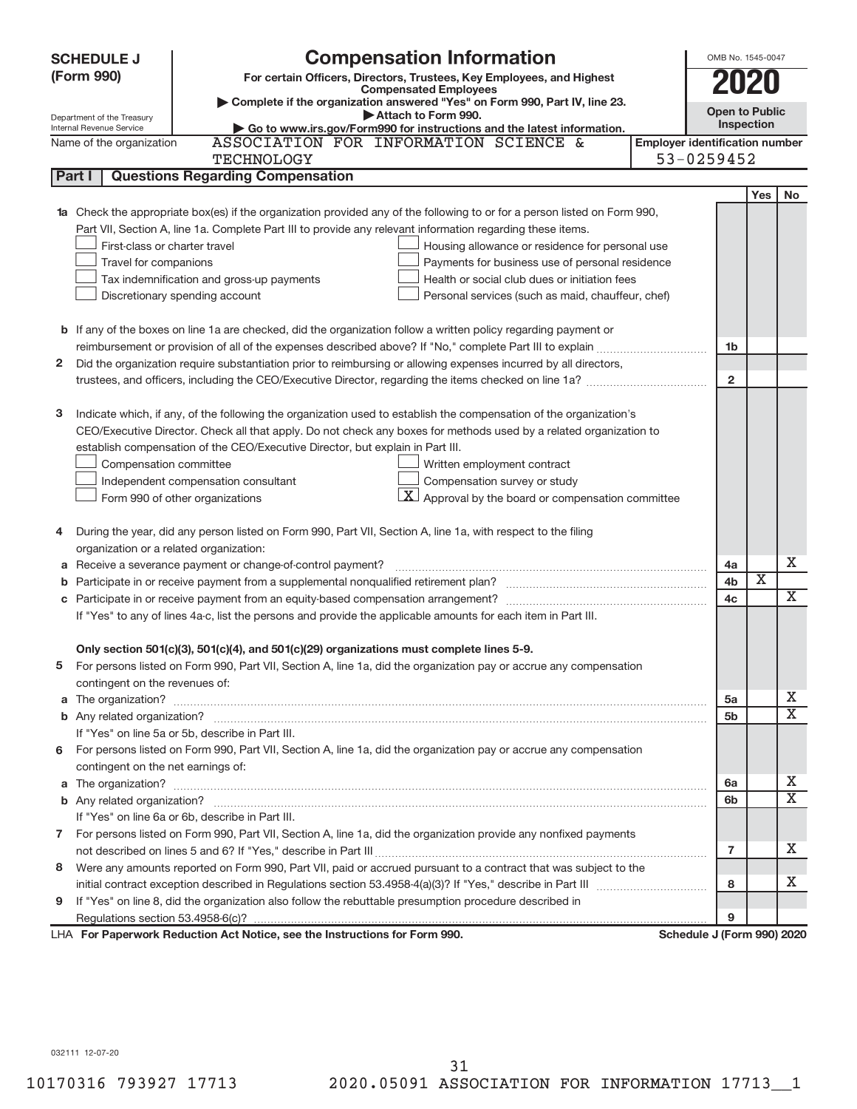| <b>SCHEDULE J</b>        | <b>Compensation Information</b>                                                                                                                           |                                       |              | OMB No. 1545-0047       |           |
|--------------------------|-----------------------------------------------------------------------------------------------------------------------------------------------------------|---------------------------------------|--------------|-------------------------|-----------|
| (Form 990)               | For certain Officers, Directors, Trustees, Key Employees, and Highest                                                                                     |                                       |              |                         |           |
|                          | <b>Compensated Employees</b>                                                                                                                              |                                       |              | 2020                    |           |
|                          | Complete if the organization answered "Yes" on Form 990, Part IV, line 23.<br>Attach to Form 990.                                                         |                                       |              | <b>Open to Public</b>   |           |
| Internal Revenue Service | Department of the Treasury<br>Go to www.irs.gov/Form990 for instructions and the latest information.                                                      |                                       | Inspection   |                         |           |
|                          | ASSOCIATION FOR INFORMATION SCIENCE &<br>Name of the organization                                                                                         | <b>Employer identification number</b> |              |                         |           |
|                          | <b>TECHNOLOGY</b>                                                                                                                                         | 53-0259452                            |              |                         |           |
| Part I                   | <b>Questions Regarding Compensation</b>                                                                                                                   |                                       |              |                         |           |
|                          |                                                                                                                                                           |                                       |              | Yes                     | <b>No</b> |
|                          | 1a Check the appropriate box(es) if the organization provided any of the following to or for a person listed on Form 990,                                 |                                       |              |                         |           |
|                          | Part VII, Section A, line 1a. Complete Part III to provide any relevant information regarding these items.                                                |                                       |              |                         |           |
|                          | First-class or charter travel<br>Housing allowance or residence for personal use                                                                          |                                       |              |                         |           |
|                          | Travel for companions<br>Payments for business use of personal residence                                                                                  |                                       |              |                         |           |
|                          | Tax indemnification and gross-up payments<br>Health or social club dues or initiation fees                                                                |                                       |              |                         |           |
|                          | Discretionary spending account<br>Personal services (such as maid, chauffeur, chef)                                                                       |                                       |              |                         |           |
|                          |                                                                                                                                                           |                                       |              |                         |           |
|                          | <b>b</b> If any of the boxes on line 1a are checked, did the organization follow a written policy regarding payment or                                    |                                       |              |                         |           |
|                          |                                                                                                                                                           |                                       | 1b           |                         |           |
| 2                        | Did the organization require substantiation prior to reimbursing or allowing expenses incurred by all directors,                                          |                                       |              |                         |           |
|                          |                                                                                                                                                           |                                       | $\mathbf{2}$ |                         |           |
|                          |                                                                                                                                                           |                                       |              |                         |           |
| з                        | Indicate which, if any, of the following the organization used to establish the compensation of the organization's                                        |                                       |              |                         |           |
|                          | CEO/Executive Director. Check all that apply. Do not check any boxes for methods used by a related organization to                                        |                                       |              |                         |           |
|                          | establish compensation of the CEO/Executive Director, but explain in Part III.                                                                            |                                       |              |                         |           |
|                          | Compensation committee<br>Written employment contract                                                                                                     |                                       |              |                         |           |
|                          | Compensation survey or study<br>Independent compensation consultant                                                                                       |                                       |              |                         |           |
|                          | $\lfloor \underline{X} \rfloor$ Approval by the board or compensation committee<br>Form 990 of other organizations                                        |                                       |              |                         |           |
|                          |                                                                                                                                                           |                                       |              |                         |           |
| 4                        | During the year, did any person listed on Form 990, Part VII, Section A, line 1a, with respect to the filing                                              |                                       |              |                         |           |
|                          | organization or a related organization:                                                                                                                   |                                       |              |                         |           |
| а                        | Receive a severance payment or change-of-control payment?                                                                                                 |                                       | 4a           |                         | x         |
| b                        |                                                                                                                                                           |                                       | 4b           | $\overline{\textbf{x}}$ | X         |
|                          |                                                                                                                                                           |                                       | 4c           |                         |           |
|                          | If "Yes" to any of lines 4a-c, list the persons and provide the applicable amounts for each item in Part III.                                             |                                       |              |                         |           |
|                          |                                                                                                                                                           |                                       |              |                         |           |
|                          | Only section 501(c)(3), 501(c)(4), and 501(c)(29) organizations must complete lines 5-9.                                                                  |                                       |              |                         |           |
|                          | For persons listed on Form 990, Part VII, Section A, line 1a, did the organization pay or accrue any compensation                                         |                                       |              |                         |           |
|                          | contingent on the revenues of:                                                                                                                            |                                       |              |                         | x         |
|                          |                                                                                                                                                           |                                       | 5a           |                         | X         |
|                          | If "Yes" on line 5a or 5b, describe in Part III.                                                                                                          |                                       | 5b           |                         |           |
|                          |                                                                                                                                                           |                                       |              |                         |           |
|                          | 6 For persons listed on Form 990, Part VII, Section A, line 1a, did the organization pay or accrue any compensation<br>contingent on the net earnings of: |                                       |              |                         |           |
|                          |                                                                                                                                                           |                                       |              |                         | x         |
|                          |                                                                                                                                                           |                                       | 6a<br>6b     |                         | x         |
|                          | If "Yes" on line 6a or 6b, describe in Part III.                                                                                                          |                                       |              |                         |           |
|                          | 7 For persons listed on Form 990, Part VII, Section A, line 1a, did the organization provide any nonfixed payments                                        |                                       |              |                         |           |
|                          |                                                                                                                                                           |                                       | 7            |                         | x         |
| 8                        | Were any amounts reported on Form 990, Part VII, paid or accrued pursuant to a contract that was subject to the                                           |                                       |              |                         |           |
|                          |                                                                                                                                                           |                                       | 8            |                         | x         |
| 9                        | If "Yes" on line 8, did the organization also follow the rebuttable presumption procedure described in                                                    |                                       |              |                         |           |
|                          |                                                                                                                                                           |                                       | 9            |                         |           |
|                          | LHA For Paperwork Reduction Act Notice, see the Instructions for Form 990.                                                                                | Schedule J (Form 990) 2020            |              |                         |           |

032111 12-07-20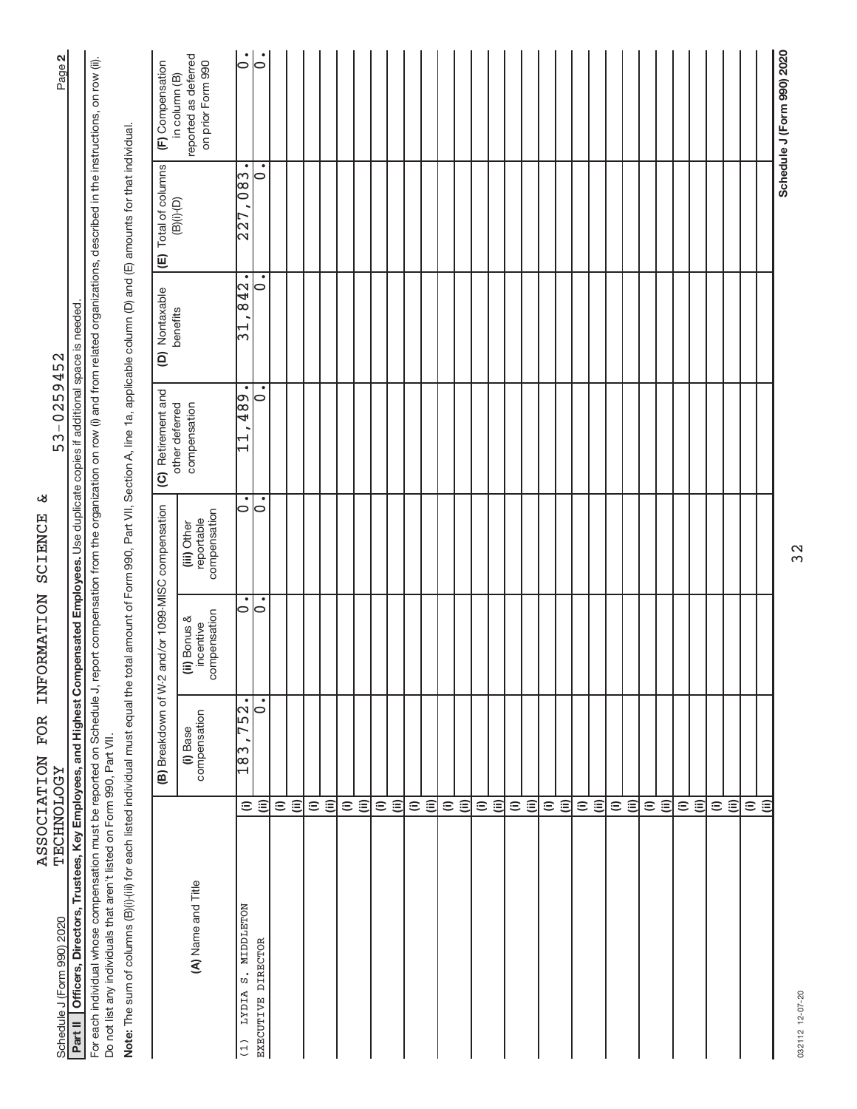| <b>LECHNOTORIA</b><br>Schedule J (Form 990) 2020                                                                                                                                                                                                                                 |                    |                          |                                           |                                           | 53-0259452                                        |                            |                                            | Page 2                                                     |
|----------------------------------------------------------------------------------------------------------------------------------------------------------------------------------------------------------------------------------------------------------------------------------|--------------------|--------------------------|-------------------------------------------|-------------------------------------------|---------------------------------------------------|----------------------------|--------------------------------------------|------------------------------------------------------------|
| Part II   Officers, Directors, Trustees, Key Employees, and Highest Compensated Employees. Use duplicate copies if additional space is needed                                                                                                                                    |                    |                          |                                           |                                           |                                                   |                            |                                            |                                                            |
| For each individual whose compensation must be reported on Schedule J, report compensation from the organization on row (i) and from related organizations, described in the instructions, on row (ii).<br>Do not list any individuals that aren't listed on Form 990, Part VII. |                    |                          |                                           |                                           |                                                   |                            |                                            |                                                            |
| Note: The sum of columns (B)(i)-(iii) for each listed individual must equal the total amount of Form 990, Part VII, Section A, line 1a, applicable column (D) and (E) amounts for that individual                                                                                |                    |                          |                                           |                                           |                                                   |                            |                                            |                                                            |
|                                                                                                                                                                                                                                                                                  |                    | (B) Breakdown of W-2     |                                           | and/or 1099-MISC compensation             | (C) Retirement and                                | (D) Nontaxable             | Total of columns<br>$\widehat{\mathbb{E}}$ | (F) Compensation                                           |
| (A) Name and Title                                                                                                                                                                                                                                                               |                    | compensation<br>(i) Base | compensation<br>(ii) Bonus &<br>incentive | compensation<br>reportable<br>(iii) Other | other deferred<br>compensation                    | benefits                   | $(B)(i)$ <sup>-</sup> $(D)$                | reported as deferred<br>on prior Form 990<br>in column (B) |
| S. MIDDLETON<br>LYDIA<br>(1)                                                                                                                                                                                                                                                     | $\widehat{=}$      | 752.<br>$\frac{183}{}$   | $\bullet$<br>$\circ$                      | $\bullet$<br>$\circ$                      | $\bullet$<br>489<br>⊣<br>$\overline{\phantom{0}}$ | $\bullet$<br>842<br>⊣<br>ω | $\bullet$<br>$\overline{083}$<br>227       | $\dot{\circ}$                                              |
| EXECUTIVE DIRECTOR                                                                                                                                                                                                                                                               | $\widehat{\equiv}$ | 0                        | 0                                         | 0                                         | $\circ$                                           | $\circ$                    | ٠<br>0                                     | $\bullet$<br>$\overline{\bullet}$                          |
|                                                                                                                                                                                                                                                                                  | $\widehat{=}$      |                          |                                           |                                           |                                                   |                            |                                            |                                                            |
|                                                                                                                                                                                                                                                                                  | $\widehat{\equiv}$ |                          |                                           |                                           |                                                   |                            |                                            |                                                            |
|                                                                                                                                                                                                                                                                                  | $\widehat{=}$      |                          |                                           |                                           |                                                   |                            |                                            |                                                            |
|                                                                                                                                                                                                                                                                                  | $\widehat{\equiv}$ |                          |                                           |                                           |                                                   |                            |                                            |                                                            |
|                                                                                                                                                                                                                                                                                  | $\widehat{=}$      |                          |                                           |                                           |                                                   |                            |                                            |                                                            |
|                                                                                                                                                                                                                                                                                  | $\widehat{\equiv}$ |                          |                                           |                                           |                                                   |                            |                                            |                                                            |
|                                                                                                                                                                                                                                                                                  | $\widehat{=}$      |                          |                                           |                                           |                                                   |                            |                                            |                                                            |
|                                                                                                                                                                                                                                                                                  | $\widehat{=}$      |                          |                                           |                                           |                                                   |                            |                                            |                                                            |
|                                                                                                                                                                                                                                                                                  | $\widehat{=}$      |                          |                                           |                                           |                                                   |                            |                                            |                                                            |
|                                                                                                                                                                                                                                                                                  | $\widehat{\equiv}$ |                          |                                           |                                           |                                                   |                            |                                            |                                                            |
|                                                                                                                                                                                                                                                                                  |                    |                          |                                           |                                           |                                                   |                            |                                            |                                                            |
|                                                                                                                                                                                                                                                                                  | $\widehat{\Xi}$    |                          |                                           |                                           |                                                   |                            |                                            |                                                            |
|                                                                                                                                                                                                                                                                                  | $\widehat{=}$      |                          |                                           |                                           |                                                   |                            |                                            |                                                            |
|                                                                                                                                                                                                                                                                                  | $\widehat{=}$      |                          |                                           |                                           |                                                   |                            |                                            |                                                            |
|                                                                                                                                                                                                                                                                                  | $\widehat{=}$      |                          |                                           |                                           |                                                   |                            |                                            |                                                            |
|                                                                                                                                                                                                                                                                                  | $\widehat{\equiv}$ |                          |                                           |                                           |                                                   |                            |                                            |                                                            |
|                                                                                                                                                                                                                                                                                  |                    |                          |                                           |                                           |                                                   |                            |                                            |                                                            |
|                                                                                                                                                                                                                                                                                  | $\widehat{\equiv}$ |                          |                                           |                                           |                                                   |                            |                                            |                                                            |
|                                                                                                                                                                                                                                                                                  | $\widehat{=}$      |                          |                                           |                                           |                                                   |                            |                                            |                                                            |
|                                                                                                                                                                                                                                                                                  | $\widehat{=}$      |                          |                                           |                                           |                                                   |                            |                                            |                                                            |
|                                                                                                                                                                                                                                                                                  | $\widehat{=}$      |                          |                                           |                                           |                                                   |                            |                                            |                                                            |
|                                                                                                                                                                                                                                                                                  | $\widehat{\equiv}$ |                          |                                           |                                           |                                                   |                            |                                            |                                                            |
|                                                                                                                                                                                                                                                                                  |                    |                          |                                           |                                           |                                                   |                            |                                            |                                                            |
|                                                                                                                                                                                                                                                                                  | $\widehat{\equiv}$ |                          |                                           |                                           |                                                   |                            |                                            |                                                            |
|                                                                                                                                                                                                                                                                                  | $\widehat{=}$      |                          |                                           |                                           |                                                   |                            |                                            |                                                            |
|                                                                                                                                                                                                                                                                                  | $\widehat{\equiv}$ |                          |                                           |                                           |                                                   |                            |                                            |                                                            |
|                                                                                                                                                                                                                                                                                  | $\widehat{=}$      |                          |                                           |                                           |                                                   |                            |                                            |                                                            |
|                                                                                                                                                                                                                                                                                  | $\widehat{\equiv}$ |                          |                                           |                                           |                                                   |                            |                                            |                                                            |
|                                                                                                                                                                                                                                                                                  |                    |                          |                                           |                                           |                                                   |                            |                                            |                                                            |
|                                                                                                                                                                                                                                                                                  | ΞÊ                 |                          |                                           |                                           |                                                   |                            |                                            |                                                            |
|                                                                                                                                                                                                                                                                                  |                    |                          |                                           |                                           |                                                   |                            |                                            | Schedule J (Form 990) 2020                                 |
| 032112 12-07-20                                                                                                                                                                                                                                                                  |                    |                          |                                           | 32                                        |                                                   |                            |                                            |                                                            |

ASSOCIATION FOR INFORMATION SCIENCE &<br>TECHNOLOGY ASSOCIATION FOR INFORMATION SCIENCE SCIENCE

Schedule J (Form 990) 2020 Page 53-0259452 TECHNOLOGY 53-0259452

032112 12-07-20 032112 12-07-20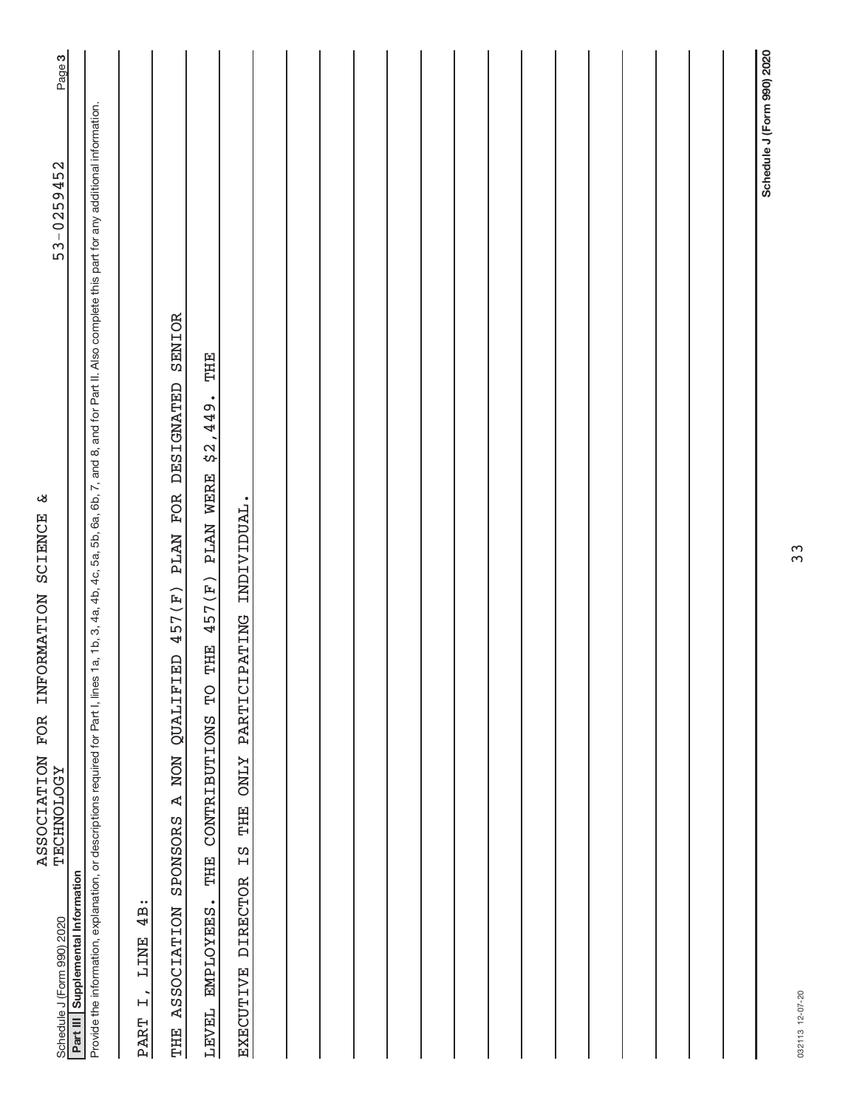| ىغ<br>SCIENCE<br>INFORMATION<br>FOR<br><b>ASSOCIATION</b><br><b><i>LECHNOLOGY</i></b><br>Schedule J (Form 990) 2020                                                                                        | 53-0259452                 | Page 3 |
|------------------------------------------------------------------------------------------------------------------------------------------------------------------------------------------------------------|----------------------------|--------|
| Part III Supplemental Information                                                                                                                                                                          |                            |        |
| Provide the information, explanation, or descriptions required for Part I, lines 1a, 1b, 3, 4a, 4b, 4c, 5a, 5b, 6a, 6b, 7, and 8, and for Part II. Also complete this part for any additional information. |                            |        |
| 4B:<br><b>LINE</b><br>$\overrightarrow{H}$<br>PART                                                                                                                                                         |                            |        |
| SENIOR<br>PLAN FOR DESIGNATED<br>457(F)<br>E<br>NON QUALIFI<br>$\mathbf{A}$<br>SPONSORS<br><b>ASSOCIATION</b><br>THE                                                                                       |                            |        |
| THE<br>\$2,449.<br>PLAN WERE<br>457(F)<br>THE<br>РÓ<br>CONTRIBUTIONS<br>THE<br>EMPLOYEES.<br>LEVEL                                                                                                         |                            |        |
| PATING INDIVIDUAL.<br>PARTICI<br><b>ZTNO</b><br>THE<br>Ξg<br><b>DIRECTOR</b><br>EXECUTIVE                                                                                                                  |                            |        |
|                                                                                                                                                                                                            |                            |        |
|                                                                                                                                                                                                            |                            |        |
|                                                                                                                                                                                                            |                            |        |
|                                                                                                                                                                                                            |                            |        |
|                                                                                                                                                                                                            |                            |        |
|                                                                                                                                                                                                            |                            |        |
|                                                                                                                                                                                                            |                            |        |
|                                                                                                                                                                                                            |                            |        |
|                                                                                                                                                                                                            |                            |        |
|                                                                                                                                                                                                            |                            |        |
|                                                                                                                                                                                                            |                            |        |
|                                                                                                                                                                                                            |                            |        |
|                                                                                                                                                                                                            |                            |        |
|                                                                                                                                                                                                            |                            |        |
|                                                                                                                                                                                                            |                            |        |
|                                                                                                                                                                                                            | Schedule J (Form 990) 2020 |        |

032113 12-07-20 032113 12-07-20

33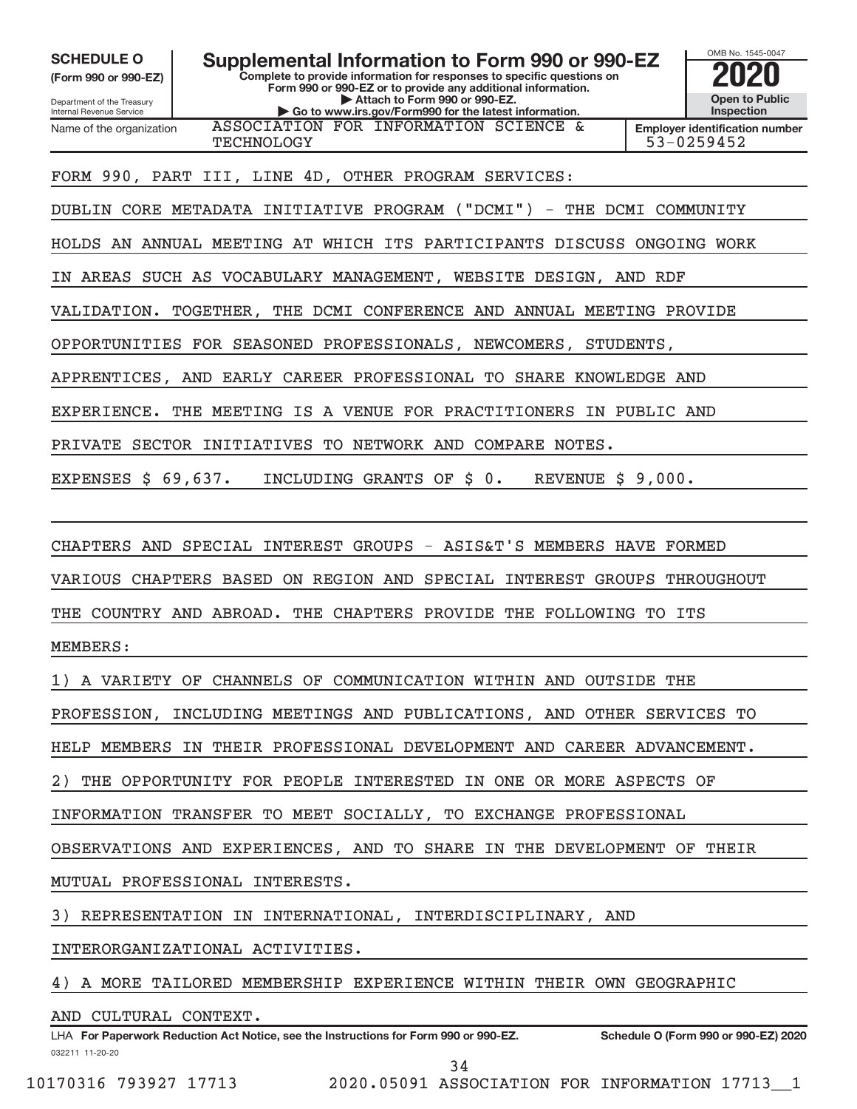**(Form 990 or 990-EZ)**

Department of the Treasury Internal Revenue Service Name of the organization

**SCHEDULE O Supplemental Information to Form 990 or 990-EZ 2020**<br>(Form 990 or 990-EZ) **2020** Complete to provide information for responses to specific questions on

**Complete to provide information for responses to specific questions on Form 990 or 990-EZ or to provide any additional information. | Attach to Form 990 or 990-EZ. | Go to www.irs.gov/Form990 for the latest information.**



**Employer identification number** TECHNOLOGY 53-0259452

FORM 990, PART III, LINE 4D, OTHER PROGRAM SERVICES:

DUBLIN CORE METADATA INITIATIVE PROGRAM ("DCMI") - THE DCMI COMMUNITY

ASSOCIATION FOR INFORMATION SCIENCE &

HOLDS AN ANNUAL MEETING AT WHICH ITS PARTICIPANTS DISCUSS ONGOING WORK

IN AREAS SUCH AS VOCABULARY MANAGEMENT, WEBSITE DESIGN, AND RDF

VALIDATION. TOGETHER, THE DCMI CONFERENCE AND ANNUAL MEETING PROVIDE

OPPORTUNITIES FOR SEASONED PROFESSIONALS, NEWCOMERS, STUDENTS,

APPRENTICES, AND EARLY CAREER PROFESSIONAL TO SHARE KNOWLEDGE AND

EXPERIENCE. THE MEETING IS A VENUE FOR PRACTITIONERS IN PUBLIC AND

PRIVATE SECTOR INITIATIVES TO NETWORK AND COMPARE NOTES.

EXPENSES \$ 69,637. INCLUDING GRANTS OF \$ 0. REVENUE \$ 9,000.

CHAPTERS AND SPECIAL INTEREST GROUPS - ASIS&T'S MEMBERS HAVE FORMED

VARIOUS CHAPTERS BASED ON REGION AND SPECIAL INTEREST GROUPS THROUGHOUT

THE COUNTRY AND ABROAD. THE CHAPTERS PROVIDE THE FOLLOWING TO ITS

MEMBERS:

1) A VARIETY OF CHANNELS OF COMMUNICATION WITHIN AND OUTSIDE THE

PROFESSION, INCLUDING MEETINGS AND PUBLICATIONS, AND OTHER SERVICES TO

HELP MEMBERS IN THEIR PROFESSIONAL DEVELOPMENT AND CAREER ADVANCEMENT.

THE OPPORTUNITY FOR PEOPLE INTERESTED IN ONE OR MORE ASPECTS OF

INFORMATION TRANSFER TO MEET SOCIALLY, TO EXCHANGE PROFESSIONAL

OBSERVATIONS AND EXPERIENCES, AND TO SHARE IN THE DEVELOPMENT OF THEIR

MUTUAL PROFESSIONAL INTERESTS.

3) REPRESENTATION IN INTERNATIONAL, INTERDISCIPLINARY, AND

INTERORGANIZATIONAL ACTIVITIES.

4) A MORE TAILORED MEMBERSHIP EXPERIENCE WITHIN THEIR OWN GEOGRAPHIC

AND CULTURAL CONTEXT.

032211 11-20-20 **For Paperwork Reduction Act Notice, see the Instructions for Form 990 or 990-EZ. Schedule O (Form 990 or 990-EZ) 2020** LHA

34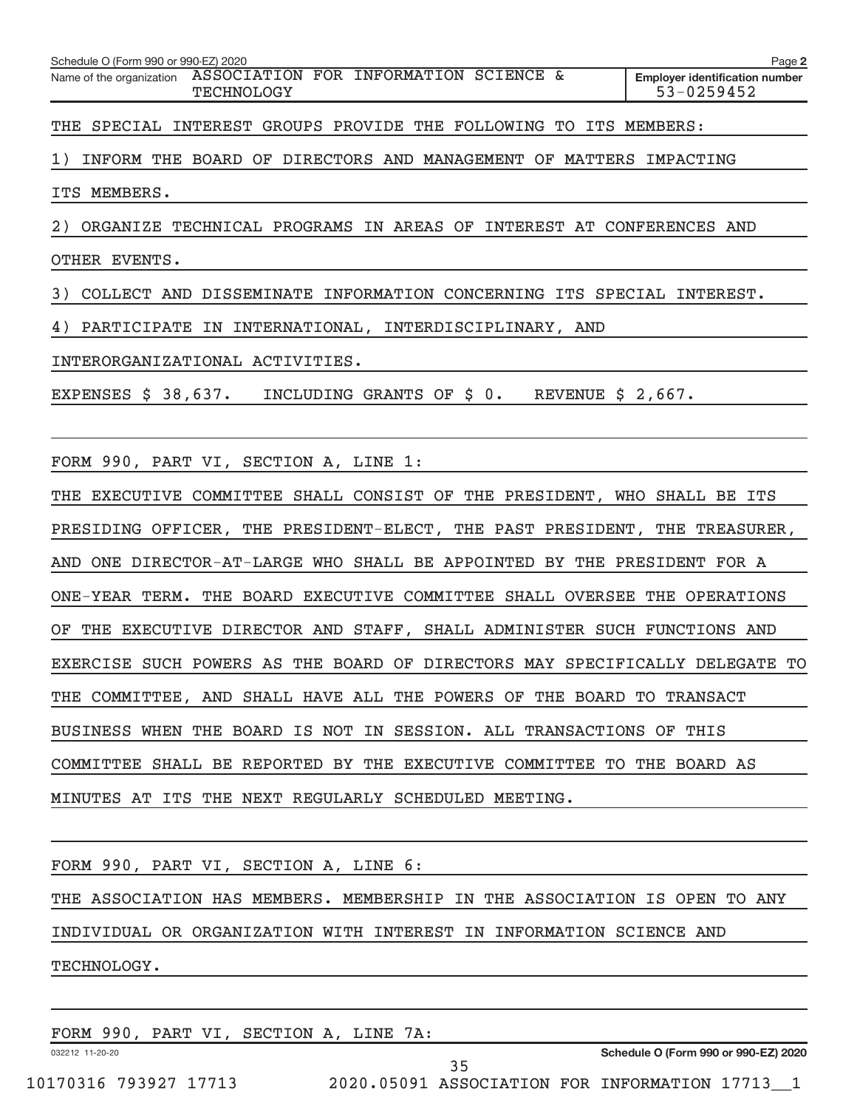| Schedule O (Form 990 or 990-EZ) 2020                              |            |  |  |  |                                                     | Page 2 |
|-------------------------------------------------------------------|------------|--|--|--|-----------------------------------------------------|--------|
| Name of the organization ASSOCIATION FOR INFORMATION SCIENCE &    | TECHNOLOGY |  |  |  | <b>Employer identification number</b><br>53-0259452 |        |
| THE SPECIAL INTEREST GROUPS PROVIDE THE FOLLOWING TO ITS MEMBERS: |            |  |  |  |                                                     |        |

1) INFORM THE BOARD OF DIRECTORS AND MANAGEMENT OF MATTERS IMPACTING

ITS MEMBERS.

2) ORGANIZE TECHNICAL PROGRAMS IN AREAS OF INTEREST AT CONFERENCES AND

OTHER EVENTS.

3) COLLECT AND DISSEMINATE INFORMATION CONCERNING ITS SPECIAL INTEREST.

4) PARTICIPATE IN INTERNATIONAL, INTERDISCIPLINARY, AND

INTERORGANIZATIONAL ACTIVITIES.

EXPENSES \$ 38,637. INCLUDING GRANTS OF \$ 0. REVENUE \$ 2,667.

FORM 990, PART VI, SECTION A, LINE 1:

THE EXECUTIVE COMMITTEE SHALL CONSIST OF THE PRESIDENT, WHO SHALL BE ITS PRESIDING OFFICER, THE PRESIDENT-ELECT, THE PAST PRESIDENT, THE TREASURER, AND ONE DIRECTOR-AT-LARGE WHO SHALL BE APPOINTED BY THE PRESIDENT FOR A ONE-YEAR TERM. THE BOARD EXECUTIVE COMMITTEE SHALL OVERSEE THE OPERATIONS OF THE EXECUTIVE DIRECTOR AND STAFF, SHALL ADMINISTER SUCH FUNCTIONS AND EXERCISE SUCH POWERS AS THE BOARD OF DIRECTORS MAY SPECIFICALLY DELEGATE TO THE COMMITTEE, AND SHALL HAVE ALL THE POWERS OF THE BOARD TO TRANSACT BUSINESS WHEN THE BOARD IS NOT IN SESSION. ALL TRANSACTIONS OF THIS COMMITTEE SHALL BE REPORTED BY THE EXECUTIVE COMMITTEE TO THE BOARD AS MINUTES AT ITS THE NEXT REGULARLY SCHEDULED MEETING.

FORM 990, PART VI, SECTION A, LINE 6: THE ASSOCIATION HAS MEMBERS. MEMBERSHIP IN THE ASSOCIATION IS OPEN TO ANY INDIVIDUAL OR ORGANIZATION WITH INTEREST IN INFORMATION SCIENCE AND TECHNOLOGY.

|                       |  | FORM 990, PART VI, SECTION A, LINE 7A: |  |  |                                                |  |
|-----------------------|--|----------------------------------------|--|--|------------------------------------------------|--|
| 032212 11-20-20       |  |                                        |  |  | Schedule O (Form 990 or 990-EZ) 2020           |  |
|                       |  |                                        |  |  |                                                |  |
| 10170316 793927 17713 |  |                                        |  |  | 2020.05091 ASSOCIATION FOR INFORMATION 17713 1 |  |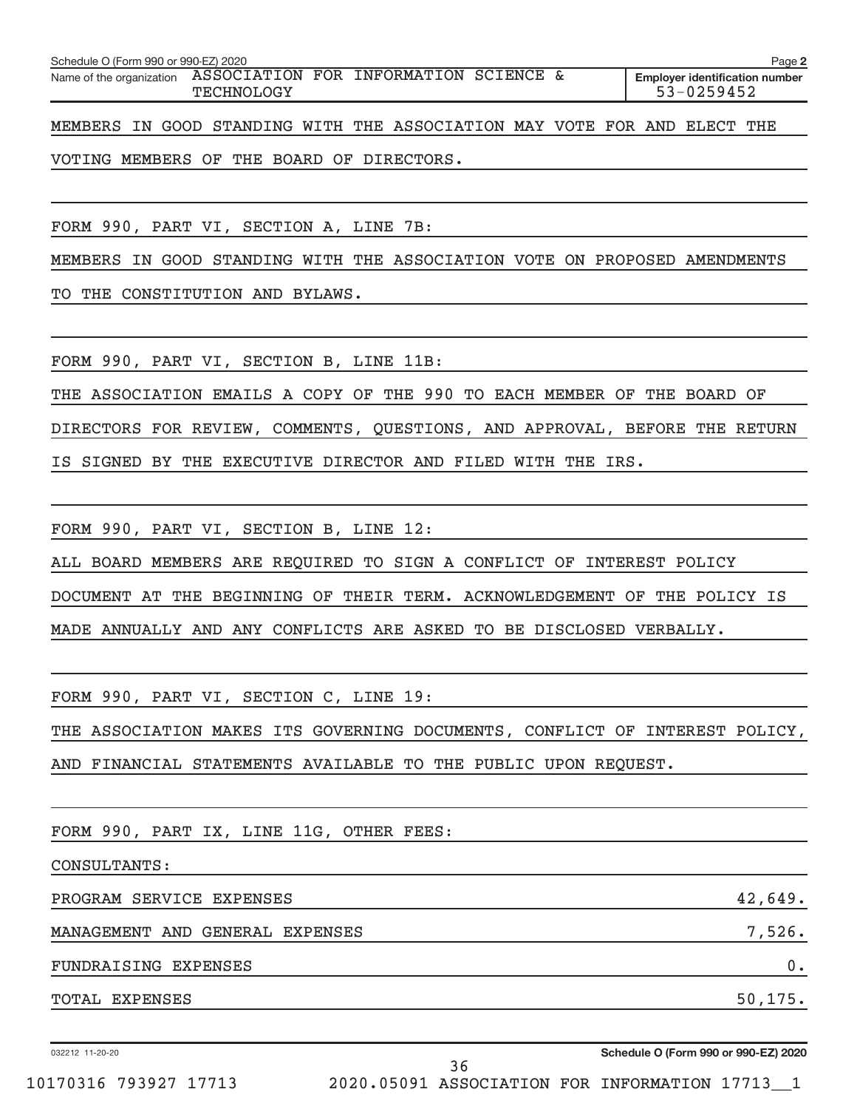| Schedule O (Form 990 or 990-EZ) 2020 |            |                                                                          | Page 2                                              |
|--------------------------------------|------------|--------------------------------------------------------------------------|-----------------------------------------------------|
|                                      | TECHNOLOGY | Name of the organization ASSOCIATION FOR INFORMATION SCIENCE &           | <b>Employer identification number</b><br>53-0259452 |
|                                      |            | MEMBERS IN GOOD STANDING WITH THE ASSOCIATION MAY VOTE FOR AND ELECT THE |                                                     |

VOTING MEMBERS OF THE BOARD OF DIRECTORS.

FORM 990, PART VI, SECTION A, LINE 7B:

MEMBERS IN GOOD STANDING WITH THE ASSOCIATION VOTE ON PROPOSED AMENDMENTS

TO THE CONSTITUTION AND BYLAWS.

FORM 990, PART VI, SECTION B, LINE 11B:

THE ASSOCIATION EMAILS A COPY OF THE 990 TO EACH MEMBER OF THE BOARD OF DIRECTORS FOR REVIEW, COMMENTS, QUESTIONS, AND APPROVAL, BEFORE THE RETURN IS SIGNED BY THE EXECUTIVE DIRECTOR AND FILED WITH THE IRS.

FORM 990, PART VI, SECTION B, LINE 12:

ALL BOARD MEMBERS ARE REQUIRED TO SIGN A CONFLICT OF INTEREST POLICY

DOCUMENT AT THE BEGINNING OF THEIR TERM. ACKNOWLEDGEMENT OF THE POLICY IS

MADE ANNUALLY AND ANY CONFLICTS ARE ASKED TO BE DISCLOSED VERBALLY.

FORM 990, PART VI, SECTION C, LINE 19:

THE ASSOCIATION MAKES ITS GOVERNING DOCUMENTS, CONFLICT OF INTEREST POLICY,

AND FINANCIAL STATEMENTS AVAILABLE TO THE PUBLIC UPON REQUEST.

FORM 990, PART IX, LINE 11G, OTHER FEES:

CONSULTANTS:

PROGRAM SERVICE EXPENSES **All and SERVICE** extended to the series of the series of the series of the series of the series of the series of the series of the series of the series of the series of the series of the series of MANAGEMENT AND GENERAL EXPENSES 7,526. FUNDRAISING EXPENSES 0. TOTAL EXPENSES 50,175.

032212 11-20-20